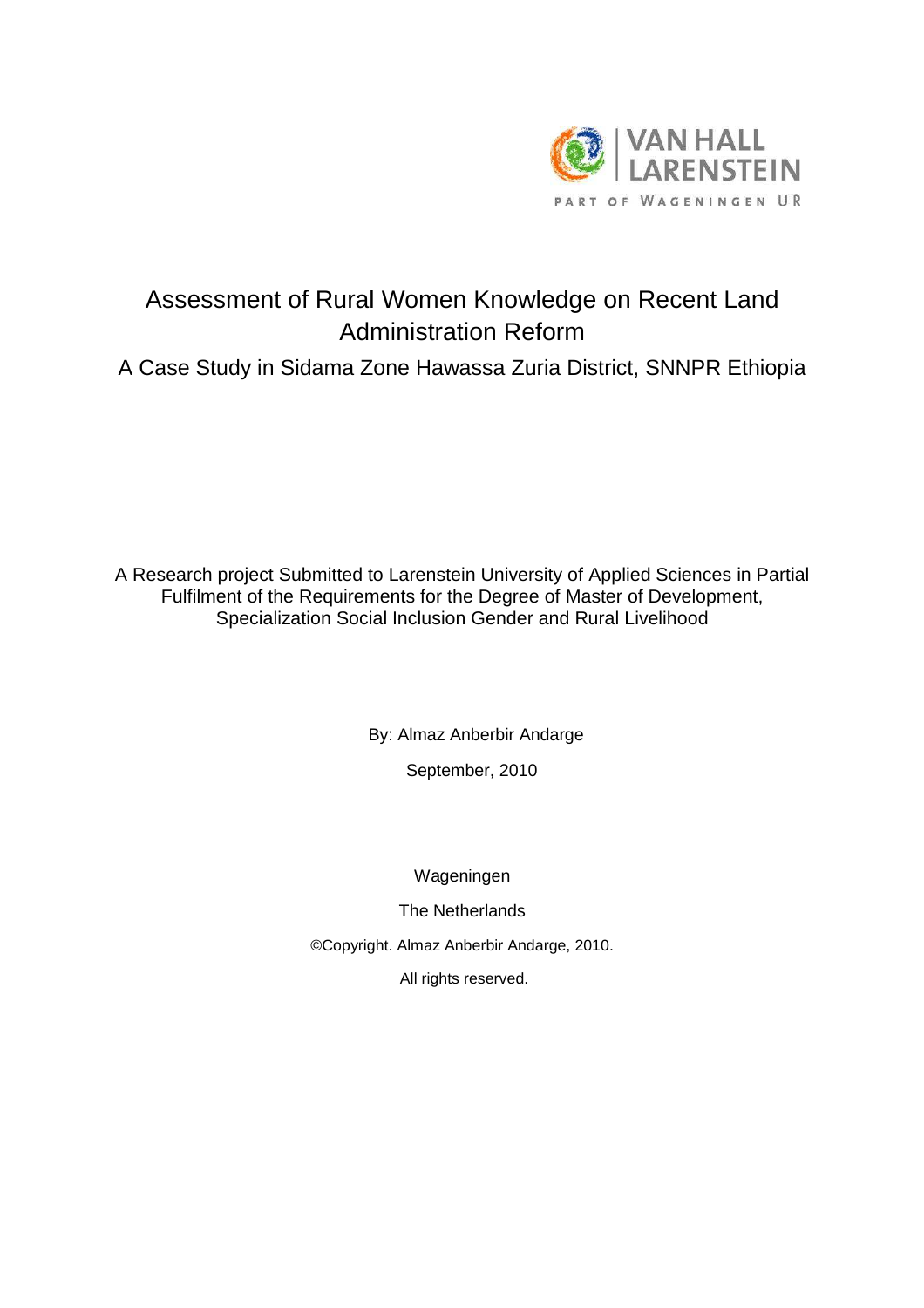

# Assessment of Rural Women Knowledge on Recent Land Administration Reform A Case Study in Sidama Zone Hawassa Zuria District, SNNPR Ethiopia

A Research project Submitted to Larenstein University of Applied Sciences in Partial Fulfilment of the Requirements for the Degree of Master of Development, Specialization Social Inclusion Gender and Rural Livelihood

By: Almaz Anberbir Andarge

September, 2010

Wageningen

The Netherlands

©Copyright. Almaz Anberbir Andarge, 2010.

All rights reserved.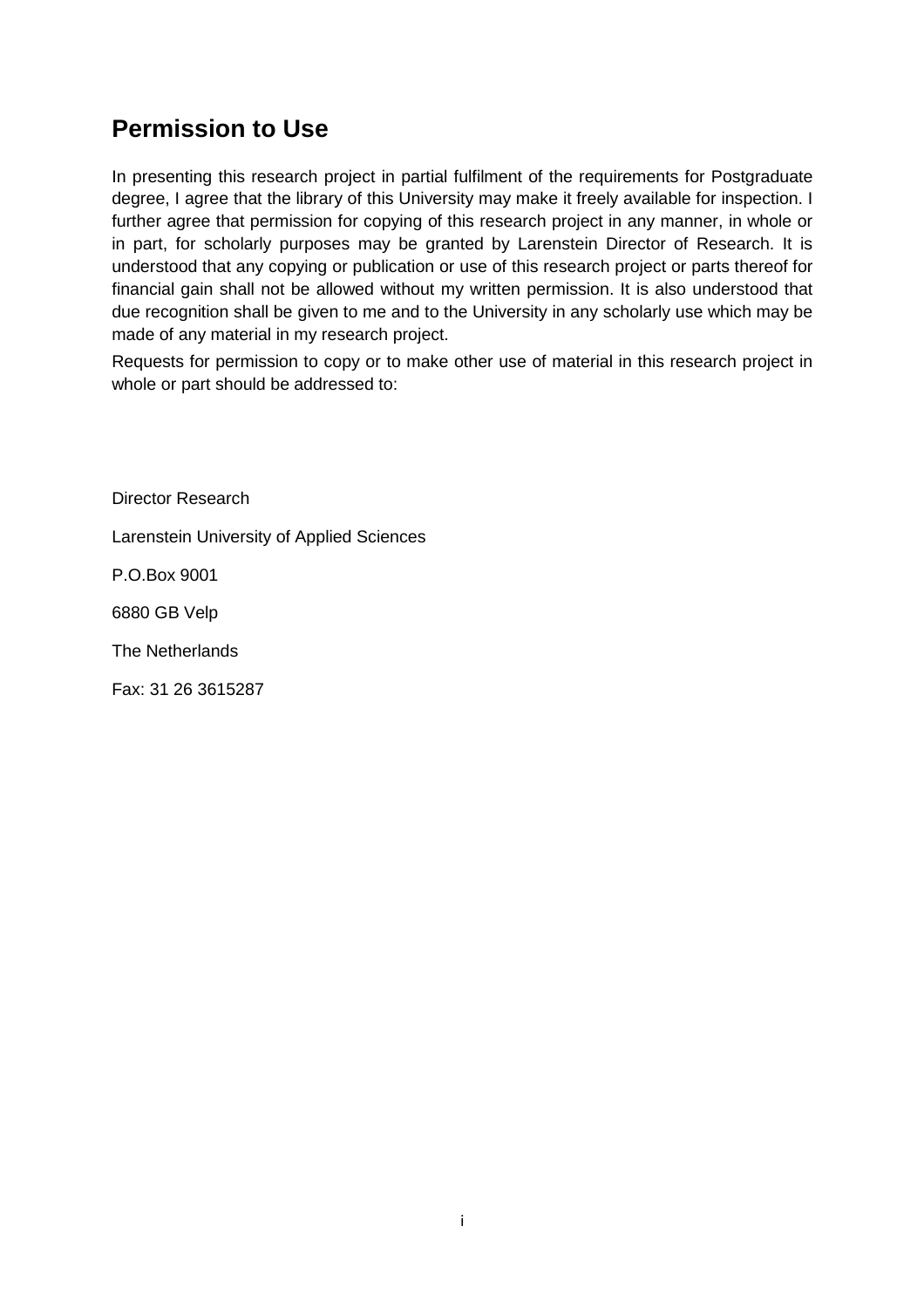# **Permission to Use**

In presenting this research project in partial fulfilment of the requirements for Postgraduate degree, I agree that the library of this University may make it freely available for inspection. I further agree that permission for copying of this research project in any manner, in whole or in part, for scholarly purposes may be granted by Larenstein Director of Research. It is understood that any copying or publication or use of this research project or parts thereof for financial gain shall not be allowed without my written permission. It is also understood that due recognition shall be given to me and to the University in any scholarly use which may be made of any material in my research project.

Requests for permission to copy or to make other use of material in this research project in whole or part should be addressed to:

Director Research Larenstein University of Applied Sciences P.O.Box 9001 6880 GB Velp The Netherlands Fax: 31 26 3615287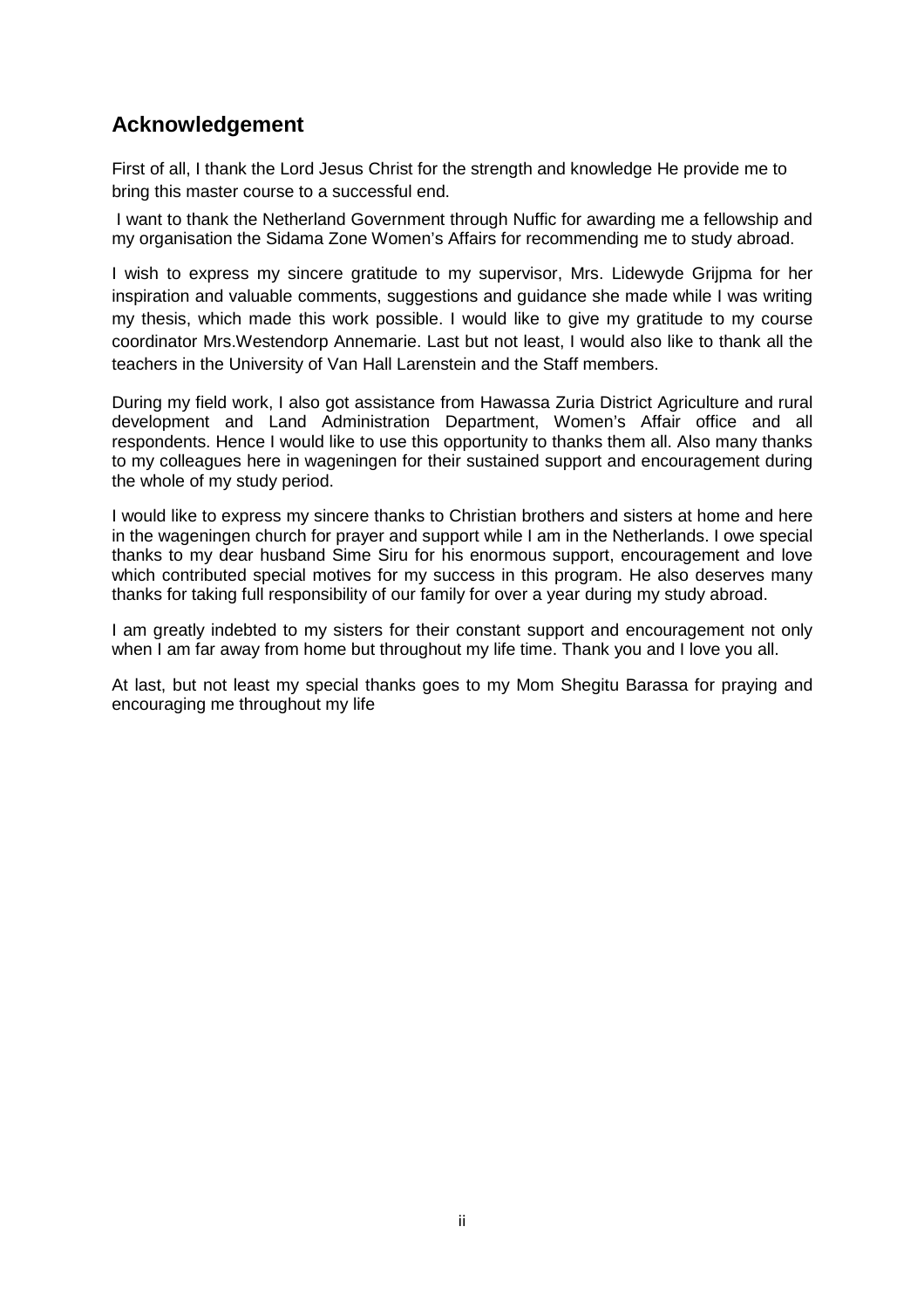## **Acknowledgement**

First of all, I thank the Lord Jesus Christ for the strength and knowledge He provide me to bring this master course to a successful end.

 I want to thank the Netherland Government through Nuffic for awarding me a fellowship and my organisation the Sidama Zone Women's Affairs for recommending me to study abroad.

I wish to express my sincere gratitude to my supervisor, Mrs. Lidewyde Grijpma for her inspiration and valuable comments, suggestions and guidance she made while I was writing my thesis, which made this work possible. I would like to give my gratitude to my course coordinator Mrs.Westendorp Annemarie. Last but not least, I would also like to thank all the teachers in the University of Van Hall Larenstein and the Staff members.

During my field work, I also got assistance from Hawassa Zuria District Agriculture and rural development and Land Administration Department, Women's Affair office and all respondents. Hence I would like to use this opportunity to thanks them all. Also many thanks to my colleagues here in wageningen for their sustained support and encouragement during the whole of my study period.

I would like to express my sincere thanks to Christian brothers and sisters at home and here in the wageningen church for prayer and support while I am in the Netherlands. I owe special thanks to my dear husband Sime Siru for his enormous support, encouragement and love which contributed special motives for my success in this program. He also deserves many thanks for taking full responsibility of our family for over a year during my study abroad.

I am greatly indebted to my sisters for their constant support and encouragement not only when I am far away from home but throughout my life time. Thank you and I love you all.

At last, but not least my special thanks goes to my Mom Shegitu Barassa for praying and encouraging me throughout my life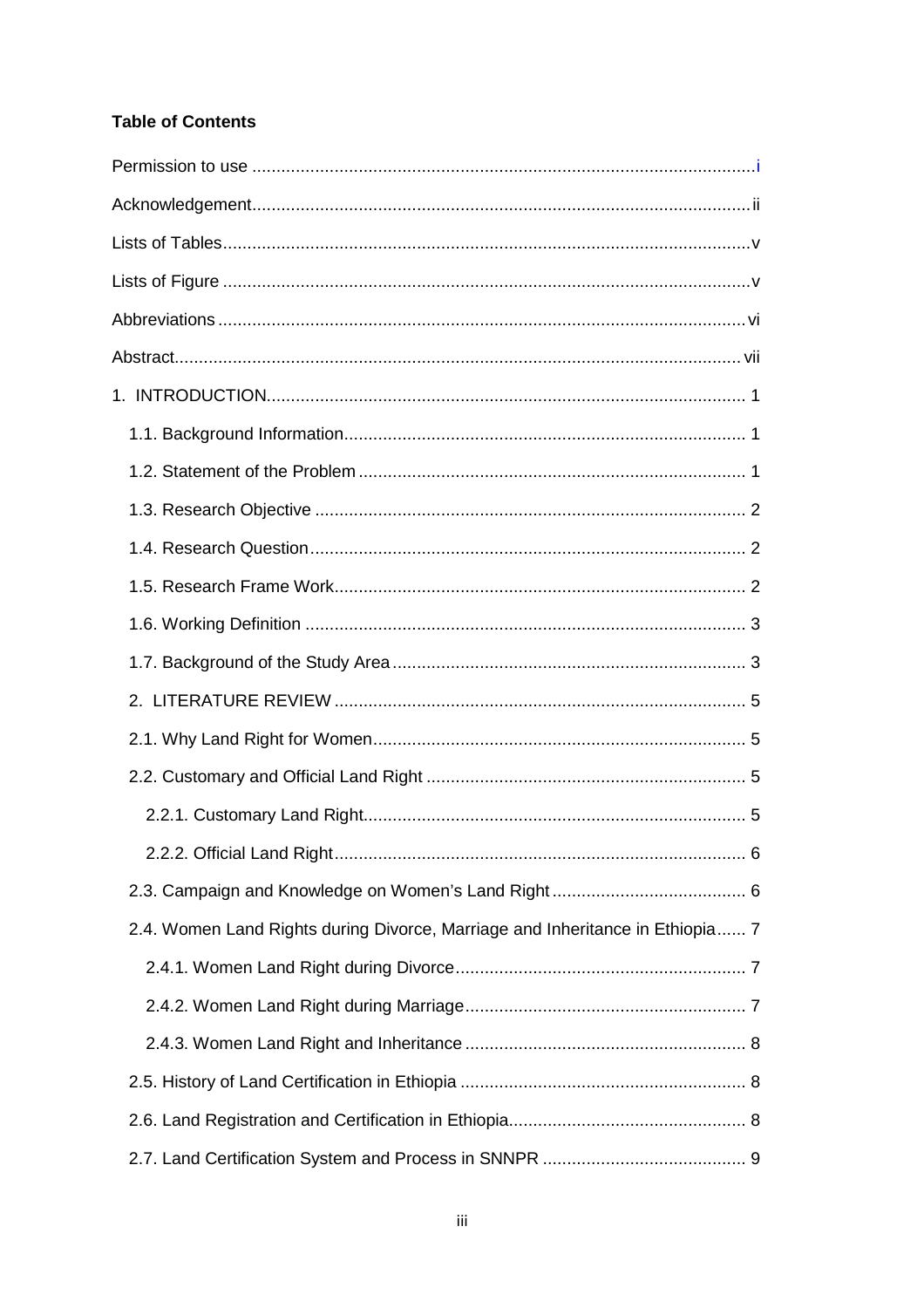## **Table of Contents**

| 2.4. Women Land Rights during Divorce, Marriage and Inheritance in Ethiopia 7 |  |
|-------------------------------------------------------------------------------|--|
|                                                                               |  |
|                                                                               |  |
|                                                                               |  |
|                                                                               |  |
|                                                                               |  |
|                                                                               |  |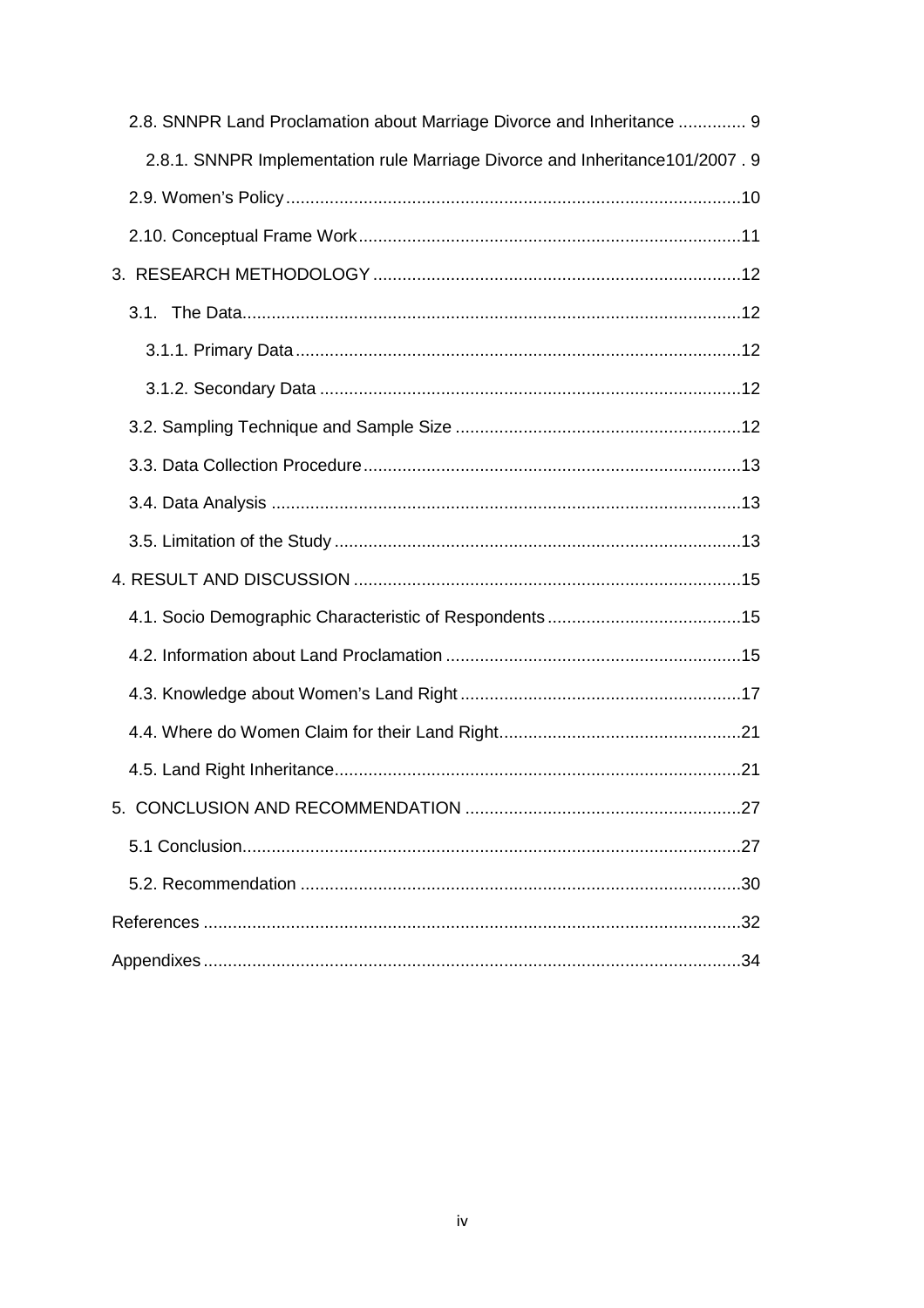| 2.8. SNNPR Land Proclamation about Marriage Divorce and Inheritance  9       |
|------------------------------------------------------------------------------|
| 2.8.1. SNNPR Implementation rule Marriage Divorce and Inheritance101/2007. 9 |
|                                                                              |
|                                                                              |
|                                                                              |
|                                                                              |
|                                                                              |
|                                                                              |
|                                                                              |
|                                                                              |
|                                                                              |
|                                                                              |
|                                                                              |
|                                                                              |
|                                                                              |
|                                                                              |
|                                                                              |
|                                                                              |
|                                                                              |
|                                                                              |
|                                                                              |
|                                                                              |
|                                                                              |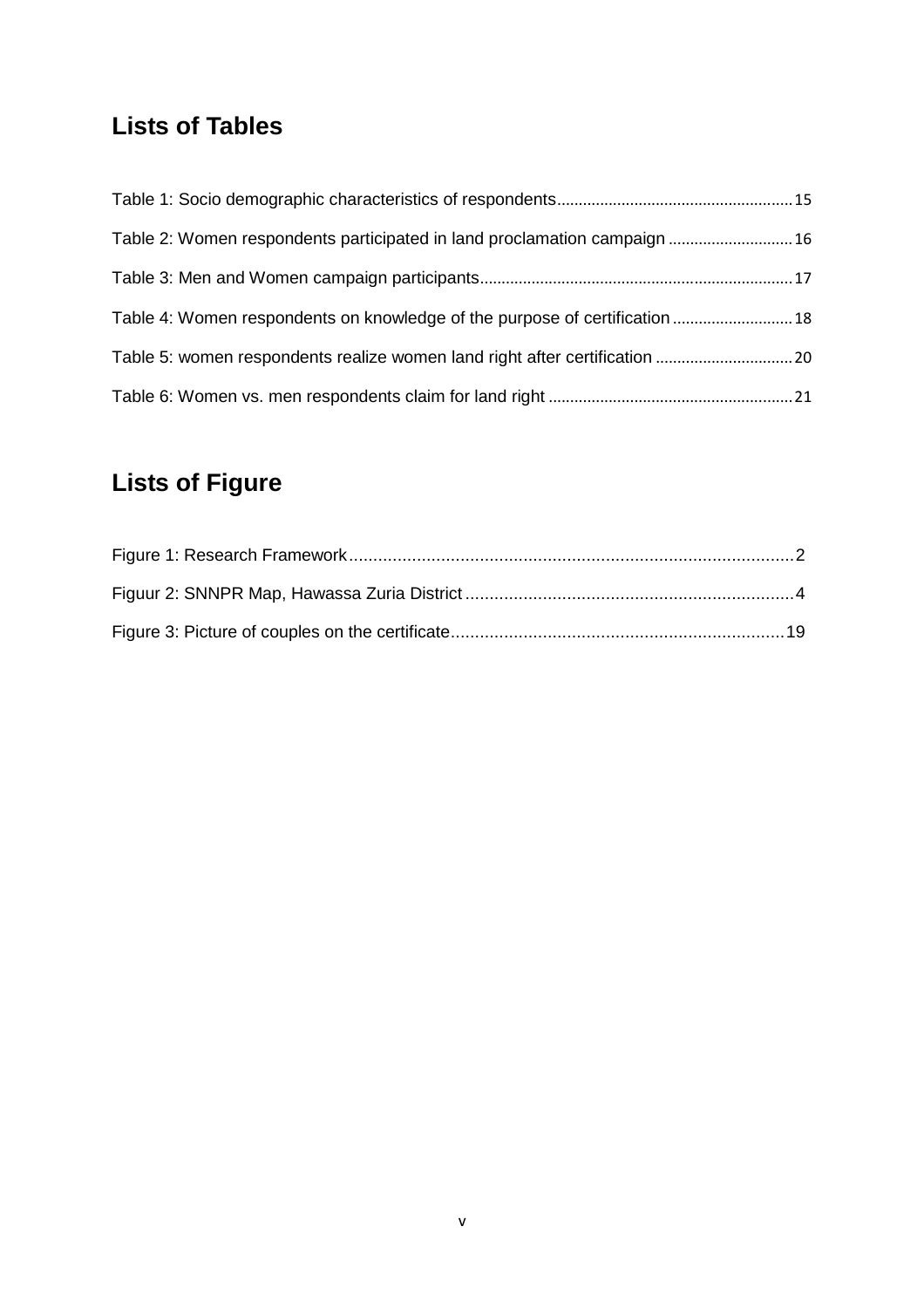# **Lists of Tables**

| Table 2: Women respondents participated in land proclamation campaign  16   |  |
|-----------------------------------------------------------------------------|--|
|                                                                             |  |
| Table 4: Women respondents on knowledge of the purpose of certification  18 |  |
|                                                                             |  |
|                                                                             |  |

# **Lists of Figure**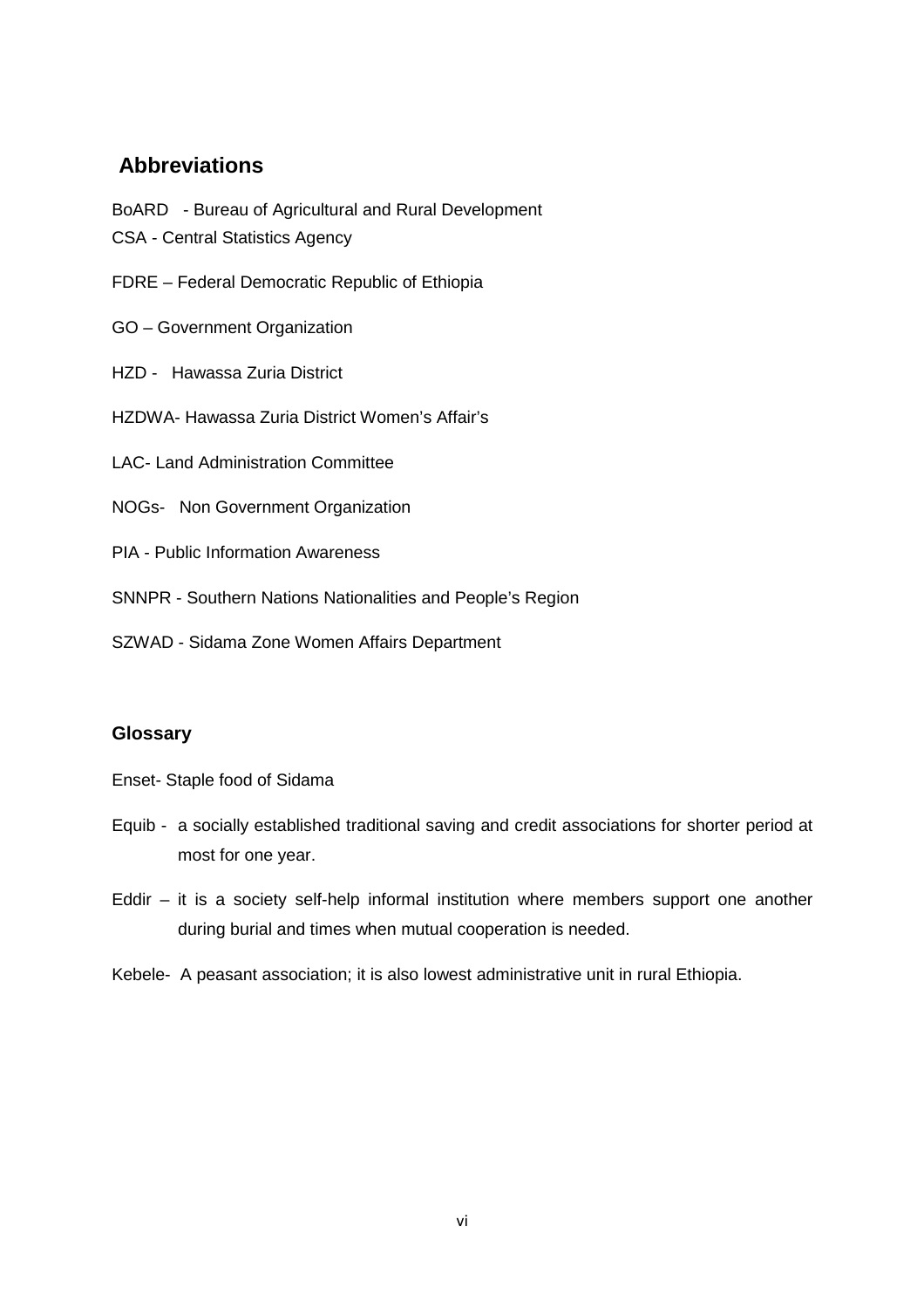## **Abbreviations**

BoARD - Bureau of Agricultural and Rural Development

- CSA Central Statistics Agency
- FDRE Federal Democratic Republic of Ethiopia
- GO Government Organization
- HZD Hawassa Zuria District
- HZDWA- Hawassa Zuria District Women's Affair's
- LAC- Land Administration Committee
- NOGs- Non Government Organization
- PIA Public Information Awareness
- SNNPR Southern Nations Nationalities and People's Region
- SZWAD Sidama Zone Women Affairs Department

## **Glossary**

- Enset- Staple food of Sidama
- Equib a socially established traditional saving and credit associations for shorter period at most for one year.
- Eddir it is a society self-help informal institution where members support one another during burial and times when mutual cooperation is needed.
- Kebele- A peasant association; it is also lowest administrative unit in rural Ethiopia.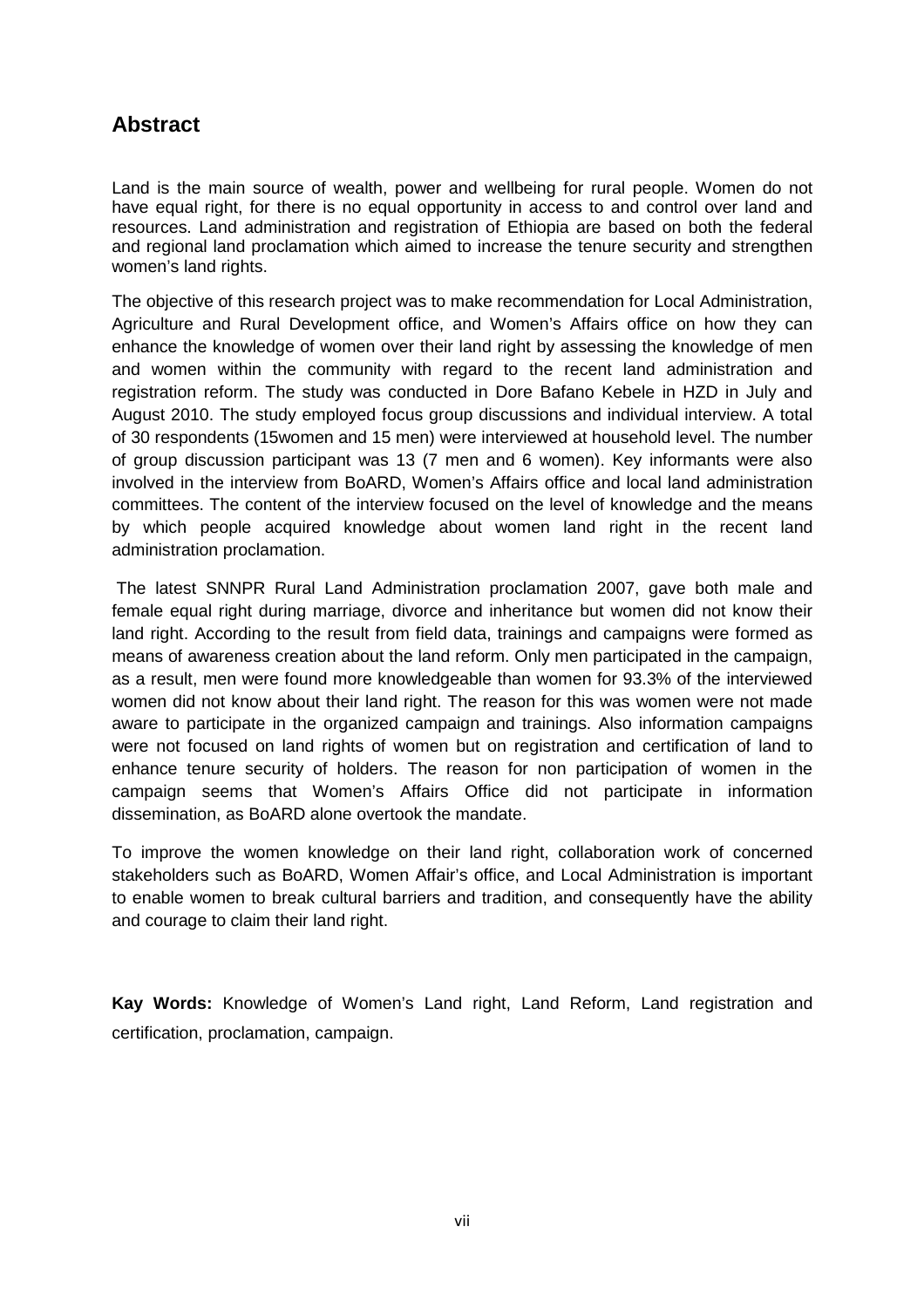## **Abstract**

Land is the main source of wealth, power and wellbeing for rural people. Women do not have equal right, for there is no equal opportunity in access to and control over land and resources. Land administration and registration of Ethiopia are based on both the federal and regional land proclamation which aimed to increase the tenure security and strengthen women's land rights.

The objective of this research project was to make recommendation for Local Administration, Agriculture and Rural Development office, and Women's Affairs office on how they can enhance the knowledge of women over their land right by assessing the knowledge of men and women within the community with regard to the recent land administration and registration reform. The study was conducted in Dore Bafano Kebele in HZD in July and August 2010. The study employed focus group discussions and individual interview. A total of 30 respondents (15women and 15 men) were interviewed at household level. The number of group discussion participant was 13 (7 men and 6 women). Key informants were also involved in the interview from BoARD, Women's Affairs office and local land administration committees. The content of the interview focused on the level of knowledge and the means by which people acquired knowledge about women land right in the recent land administration proclamation.

 The latest SNNPR Rural Land Administration proclamation 2007, gave both male and female equal right during marriage, divorce and inheritance but women did not know their land right. According to the result from field data, trainings and campaigns were formed as means of awareness creation about the land reform. Only men participated in the campaign, as a result, men were found more knowledgeable than women for 93.3% of the interviewed women did not know about their land right. The reason for this was women were not made aware to participate in the organized campaign and trainings. Also information campaigns were not focused on land rights of women but on registration and certification of land to enhance tenure security of holders. The reason for non participation of women in the campaign seems that Women's Affairs Office did not participate in information dissemination, as BoARD alone overtook the mandate.

To improve the women knowledge on their land right, collaboration work of concerned stakeholders such as BoARD, Women Affair's office, and Local Administration is important to enable women to break cultural barriers and tradition, and consequently have the ability and courage to claim their land right.

**Kay Words:** Knowledge of Women's Land right, Land Reform, Land registration and certification, proclamation, campaign.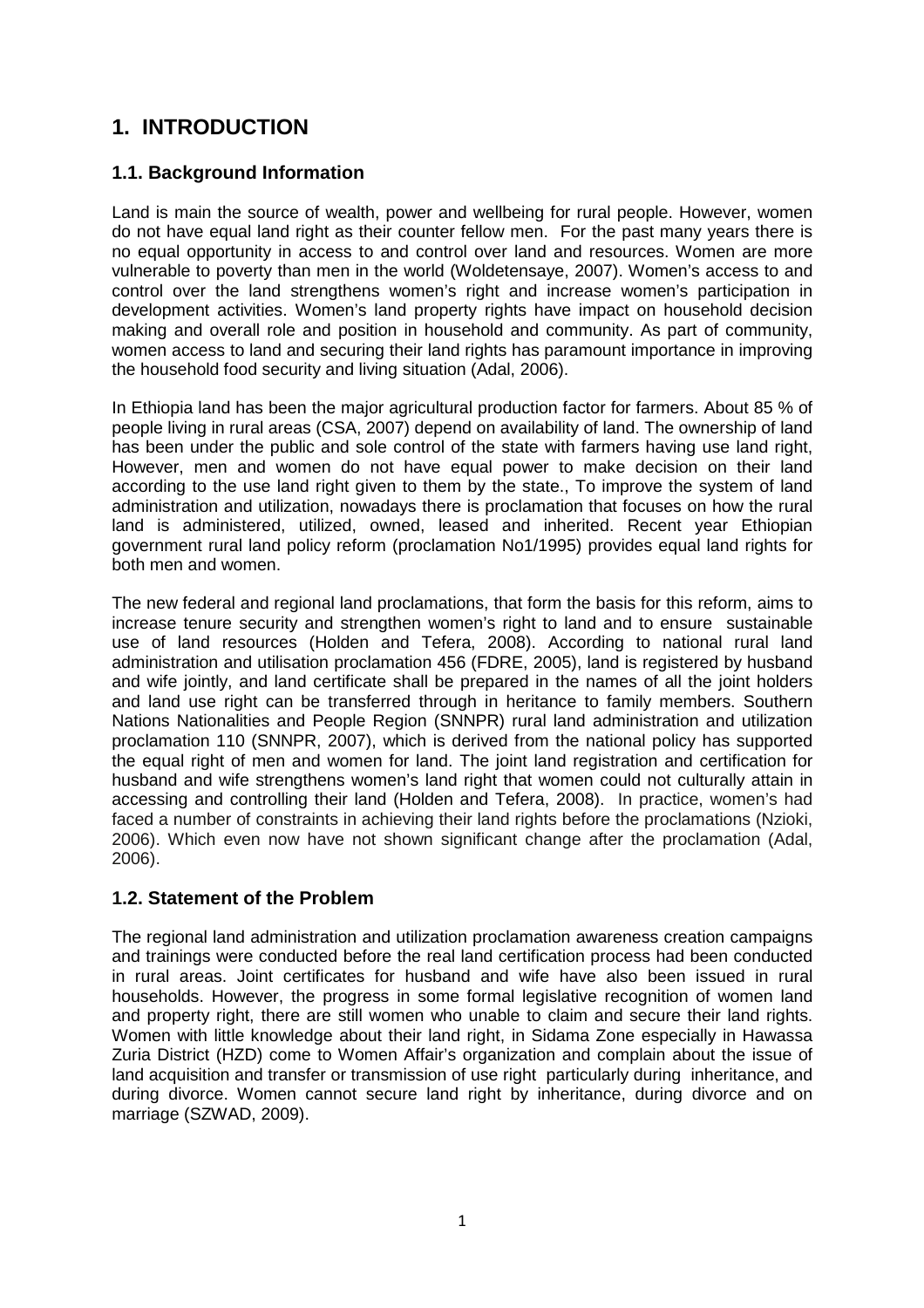## **1. INTRODUCTION**

## **1.1. Background Information**

Land is main the source of wealth, power and wellbeing for rural people. However, women do not have equal land right as their counter fellow men. For the past many years there is no equal opportunity in access to and control over land and resources. Women are more vulnerable to poverty than men in the world (Woldetensaye, 2007). Women's access to and control over the land strengthens women's right and increase women's participation in development activities. Women's land property rights have impact on household decision making and overall role and position in household and community. As part of community, women access to land and securing their land rights has paramount importance in improving the household food security and living situation (Adal, 2006).

In Ethiopia land has been the major agricultural production factor for farmers. About 85 % of people living in rural areas (CSA, 2007) depend on availability of land. The ownership of land has been under the public and sole control of the state with farmers having use land right, However, men and women do not have equal power to make decision on their land according to the use land right given to them by the state., To improve the system of land administration and utilization, nowadays there is proclamation that focuses on how the rural land is administered, utilized, owned, leased and inherited. Recent year Ethiopian government rural land policy reform (proclamation No1/1995) provides equal land rights for both men and women.

The new federal and regional land proclamations, that form the basis for this reform, aims to increase tenure security and strengthen women's right to land and to ensure sustainable use of land resources (Holden and Tefera, 2008). According to national rural land administration and utilisation proclamation 456 (FDRE, 2005), land is registered by husband and wife jointly, and land certificate shall be prepared in the names of all the joint holders and land use right can be transferred through in heritance to family members. Southern Nations Nationalities and People Region (SNNPR) rural land administration and utilization proclamation 110 (SNNPR, 2007), which is derived from the national policy has supported the equal right of men and women for land. The joint land registration and certification for husband and wife strengthens women's land right that women could not culturally attain in accessing and controlling their land (Holden and Tefera, 2008). In practice, women's had faced a number of constraints in achieving their land rights before the proclamations (Nzioki, 2006). Which even now have not shown significant change after the proclamation (Adal, 2006).

## **1.2. Statement of the Problem**

The regional land administration and utilization proclamation awareness creation campaigns and trainings were conducted before the real land certification process had been conducted in rural areas. Joint certificates for husband and wife have also been issued in rural households. However, the progress in some formal legislative recognition of women land and property right, there are still women who unable to claim and secure their land rights. Women with little knowledge about their land right, in Sidama Zone especially in Hawassa Zuria District (HZD) come to Women Affair's organization and complain about the issue of land acquisition and transfer or transmission of use right particularly during inheritance, and during divorce. Women cannot secure land right by inheritance, during divorce and on marriage (SZWAD, 2009).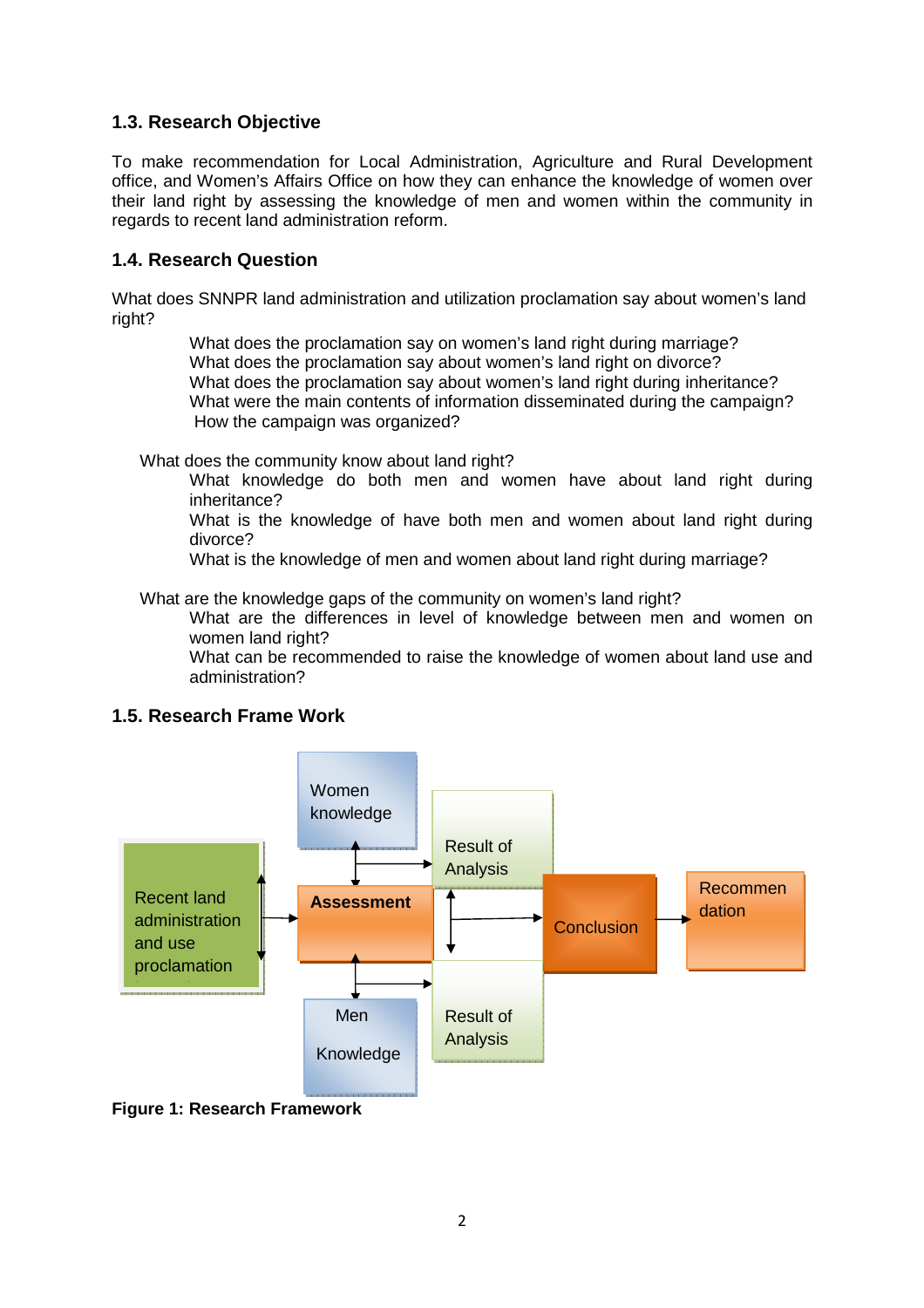## **1.3. Research Objective**

To make recommendation for Local Administration, Agriculture and Rural Development office, and Women's Affairs Office on how they can enhance the knowledge of women over their land right by assessing the knowledge of men and women within the community in regards to recent land administration reform.

## **1.4. Research Question**

What does SNNPR land administration and utilization proclamation say about women's land right?

> What does the proclamation say on women's land right during marriage? What does the proclamation say about women's land right on divorce? What does the proclamation say about women's land right during inheritance? What were the main contents of information disseminated during the campaign? How the campaign was organized?

What does the community know about land right?

What knowledge do both men and women have about land right during inheritance?

What is the knowledge of have both men and women about land right during divorce?

What is the knowledge of men and women about land right during marriage?

What are the knowledge gaps of the community on women's land right?

What are the differences in level of knowledge between men and women on women land right?

What can be recommended to raise the knowledge of women about land use and administration?

## **1.5. Research Frame Work**



**Figure 1: Research Framework**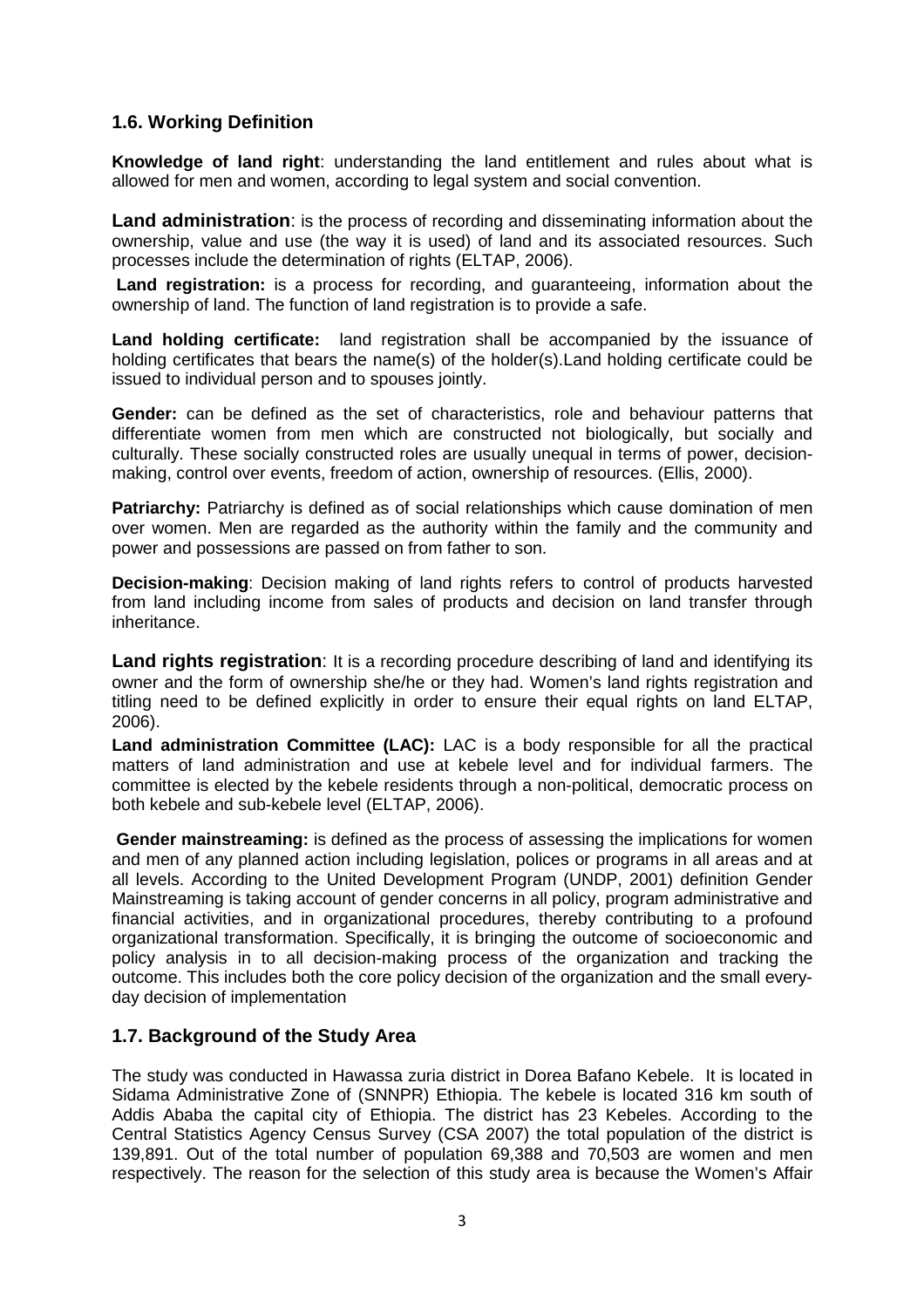## **1.6. Working Definition**

**Knowledge of land right**: understanding the land entitlement and rules about what is allowed for men and women, according to legal system and social convention.

**Land administration**: is the process of recording and disseminating information about the ownership, value and use (the way it is used) of land and its associated resources. Such processes include the determination of rights (ELTAP, 2006).

 **Land registration:** is a process for recording, and guaranteeing, information about the ownership of land. The function of land registration is to provide a safe.

**Land holding certificate:** land registration shall be accompanied by the issuance of holding certificates that bears the name(s) of the holder(s).Land holding certificate could be issued to individual person and to spouses jointly.

**Gender:** can be defined as the set of characteristics, role and behaviour patterns that differentiate women from men which are constructed not biologically, but socially and culturally. These socially constructed roles are usually unequal in terms of power, decisionmaking, control over events, freedom of action, ownership of resources. (Ellis, 2000).

**Patriarchy:** Patriarchy is defined as of social relationships which cause domination of men over women. Men are regarded as the authority within the family and the community and power and possessions are passed on from father to son.

**Decision-making**: Decision making of land rights refers to control of products harvested from land including income from sales of products and decision on land transfer through inheritance.

**Land rights registration**: It is a recording procedure describing of land and identifying its owner and the form of ownership she/he or they had. Women's land rights registration and titling need to be defined explicitly in order to ensure their equal rights on land ELTAP, 2006).

**Land administration Committee (LAC):** LAC is a body responsible for all the practical matters of land administration and use at kebele level and for individual farmers. The committee is elected by the kebele residents through a non-political, democratic process on both kebele and sub-kebele level (ELTAP, 2006).

**Gender mainstreaming:** is defined as the process of assessing the implications for women and men of any planned action including legislation, polices or programs in all areas and at all levels. According to the United Development Program (UNDP, 2001) definition Gender Mainstreaming is taking account of gender concerns in all policy, program administrative and financial activities, and in organizational procedures, thereby contributing to a profound organizational transformation. Specifically, it is bringing the outcome of socioeconomic and policy analysis in to all decision-making process of the organization and tracking the outcome. This includes both the core policy decision of the organization and the small everyday decision of implementation

## **1.7. Background of the Study Area**

The study was conducted in Hawassa zuria district in Dorea Bafano Kebele. It is located in Sidama Administrative Zone of (SNNPR) Ethiopia. The kebele is located 316 km south of Addis Ababa the capital city of Ethiopia. The district has 23 Kebeles. According to the Central Statistics Agency Census Survey (CSA 2007) the total population of the district is 139,891. Out of the total number of population 69,388 and 70,503 are women and men respectively. The reason for the selection of this study area is because the Women's Affair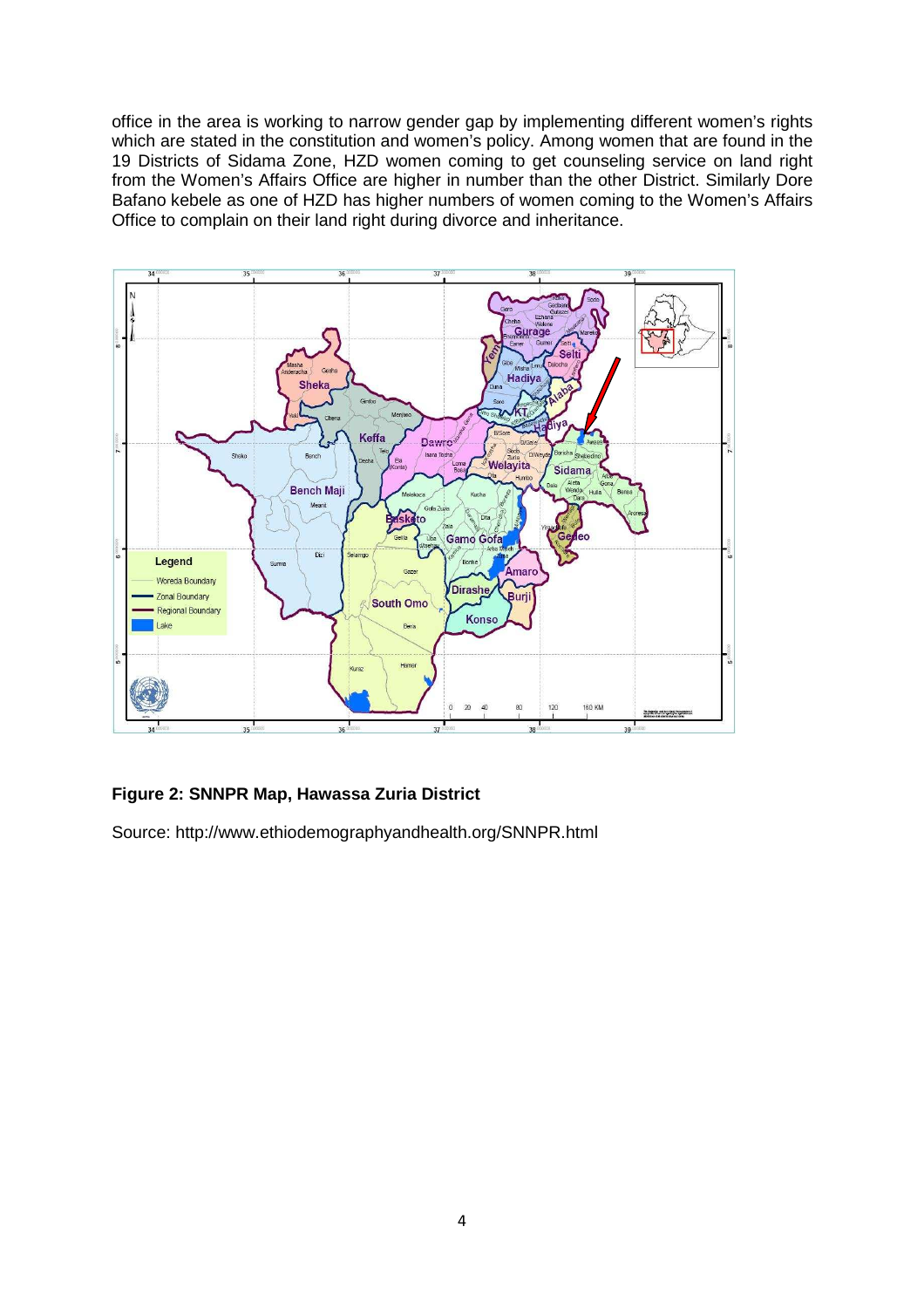office in the area is working to narrow gender gap by implementing different women's rights which are stated in the constitution and women's policy. Among women that are found in the 19 Districts of Sidama Zone, HZD women coming to get counseling service on land right from the Women's Affairs Office are higher in number than the other District. Similarly Dore Bafano kebele as one of HZD has higher numbers of women coming to the Women's Affairs Office to complain on their land right during divorce and inheritance.



## **Figure 2: SNNPR Map, Hawassa Zuria District**

Source: http://www.ethiodemographyandhealth.org/SNNPR.html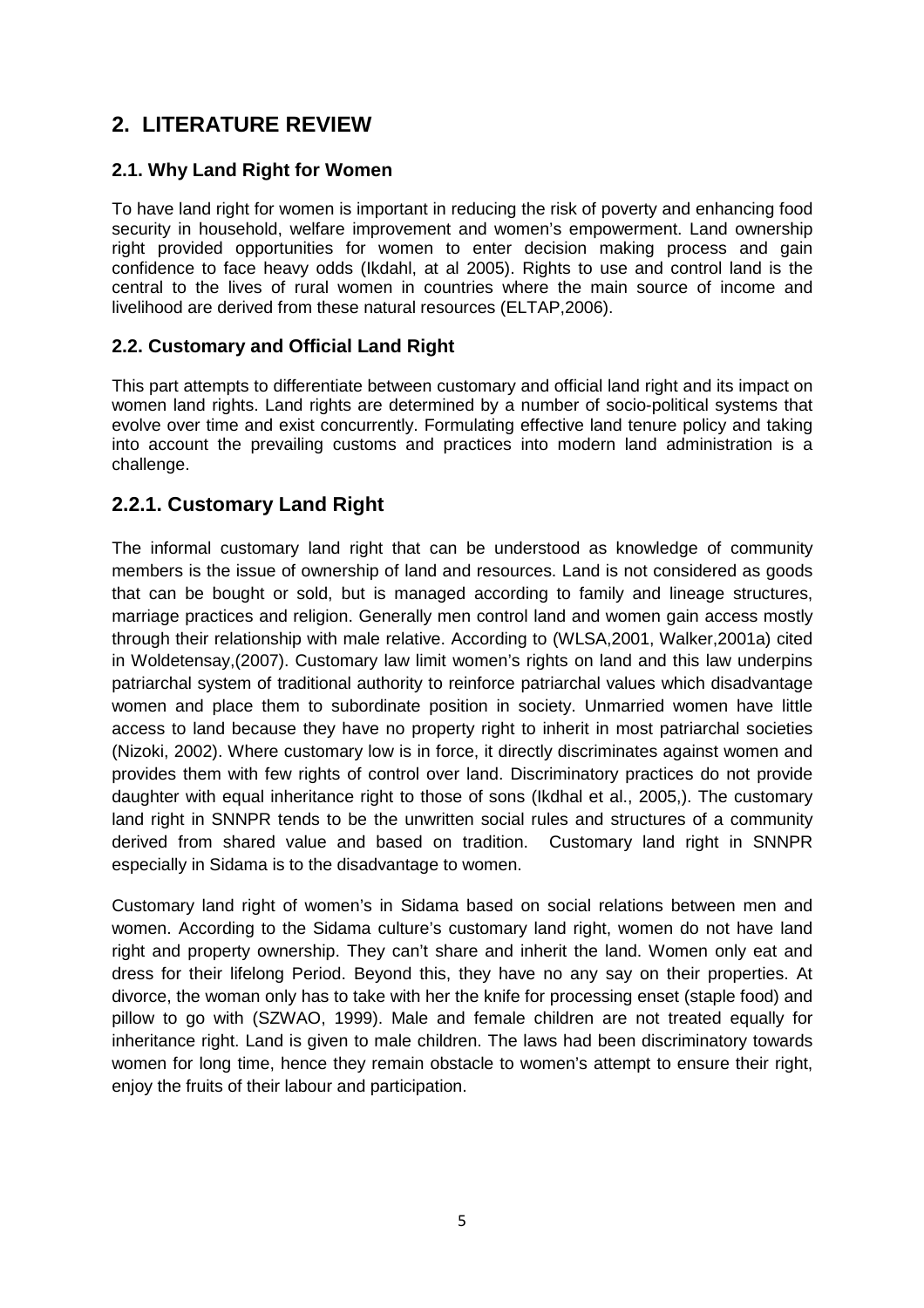## **2. LITERATURE REVIEW**

## **2.1. Why Land Right for Women**

To have land right for women is important in reducing the risk of poverty and enhancing food security in household, welfare improvement and women's empowerment. Land ownership right provided opportunities for women to enter decision making process and gain confidence to face heavy odds (Ikdahl, at al 2005). Rights to use and control land is the central to the lives of rural women in countries where the main source of income and livelihood are derived from these natural resources (ELTAP,2006).

## **2.2. Customary and Official Land Right**

This part attempts to differentiate between customary and official land right and its impact on women land rights. Land rights are determined by a number of socio-political systems that evolve over time and exist concurrently. Formulating effective land tenure policy and taking into account the prevailing customs and practices into modern land administration is a challenge.

## **2.2.1. Customary Land Right**

The informal customary land right that can be understood as knowledge of community members is the issue of ownership of land and resources. Land is not considered as goods that can be bought or sold, but is managed according to family and lineage structures, marriage practices and religion. Generally men control land and women gain access mostly through their relationship with male relative. According to (WLSA,2001, Walker,2001a) cited in Woldetensay,(2007). Customary law limit women's rights on land and this law underpins patriarchal system of traditional authority to reinforce patriarchal values which disadvantage women and place them to subordinate position in society. Unmarried women have little access to land because they have no property right to inherit in most patriarchal societies (Nizoki, 2002). Where customary low is in force, it directly discriminates against women and provides them with few rights of control over land. Discriminatory practices do not provide daughter with equal inheritance right to those of sons (Ikdhal et al., 2005,). The customary land right in SNNPR tends to be the unwritten social rules and structures of a community derived from shared value and based on tradition. Customary land right in SNNPR especially in Sidama is to the disadvantage to women.

Customary land right of women's in Sidama based on social relations between men and women. According to the Sidama culture's customary land right, women do not have land right and property ownership. They can't share and inherit the land. Women only eat and dress for their lifelong Period. Beyond this, they have no any say on their properties. At divorce, the woman only has to take with her the knife for processing enset (staple food) and pillow to go with (SZWAO, 1999). Male and female children are not treated equally for inheritance right. Land is given to male children. The laws had been discriminatory towards women for long time, hence they remain obstacle to women's attempt to ensure their right, enjoy the fruits of their labour and participation.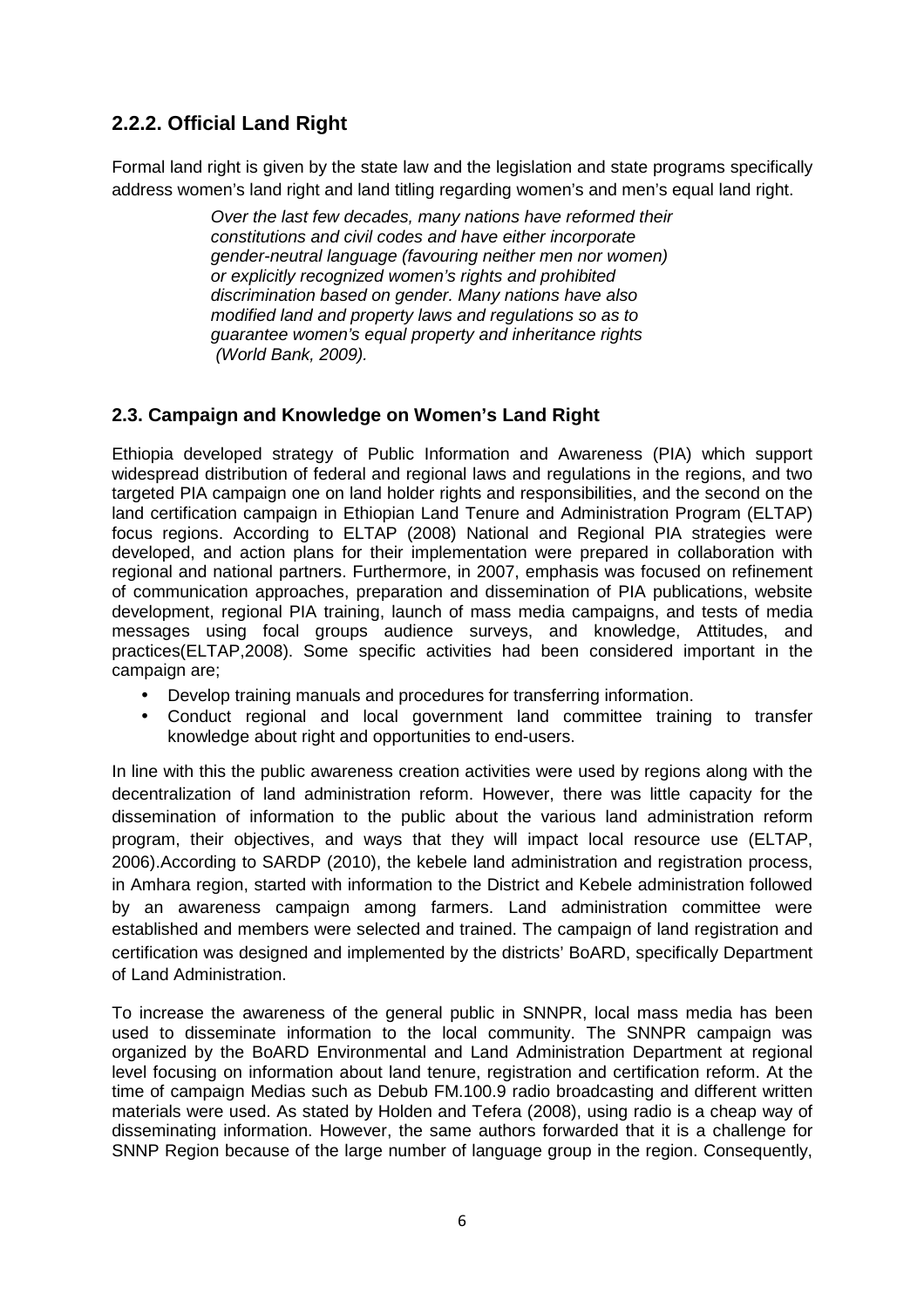## **2.2.2. Official Land Right**

Formal land right is given by the state law and the legislation and state programs specifically address women's land right and land titling regarding women's and men's equal land right.

> Over the last few decades, many nations have reformed their constitutions and civil codes and have either incorporate gender-neutral language (favouring neither men nor women) or explicitly recognized women's rights and prohibited discrimination based on gender. Many nations have also modified land and property laws and regulations so as to guarantee women's equal property and inheritance rights (World Bank, 2009).

## **2.3. Campaign and Knowledge on Women's Land Right**

Ethiopia developed strategy of Public Information and Awareness (PIA) which support widespread distribution of federal and regional laws and regulations in the regions, and two targeted PIA campaign one on land holder rights and responsibilities, and the second on the land certification campaign in Ethiopian Land Tenure and Administration Program (ELTAP) focus regions. According to ELTAP (2008) National and Regional PIA strategies were developed, and action plans for their implementation were prepared in collaboration with regional and national partners. Furthermore, in 2007, emphasis was focused on refinement of communication approaches, preparation and dissemination of PIA publications, website development, regional PIA training, launch of mass media campaigns, and tests of media messages using focal groups audience surveys, and knowledge, Attitudes, and practices(ELTAP,2008). Some specific activities had been considered important in the campaign are;

- Develop training manuals and procedures for transferring information.
- Conduct regional and local government land committee training to transfer knowledge about right and opportunities to end-users.

In line with this the public awareness creation activities were used by regions along with the decentralization of land administration reform. However, there was little capacity for the dissemination of information to the public about the various land administration reform program, their objectives, and ways that they will impact local resource use (ELTAP, 2006).According to SARDP (2010), the kebele land administration and registration process, in Amhara region, started with information to the District and Kebele administration followed by an awareness campaign among farmers. Land administration committee were established and members were selected and trained. The campaign of land registration and certification was designed and implemented by the districts' BoARD, specifically Department of Land Administration.

To increase the awareness of the general public in SNNPR, local mass media has been used to disseminate information to the local community. The SNNPR campaign was organized by the BoARD Environmental and Land Administration Department at regional level focusing on information about land tenure, registration and certification reform. At the time of campaign Medias such as Debub FM.100.9 radio broadcasting and different written materials were used. As stated by Holden and Tefera (2008), using radio is a cheap way of disseminating information. However, the same authors forwarded that it is a challenge for SNNP Region because of the large number of language group in the region. Consequently,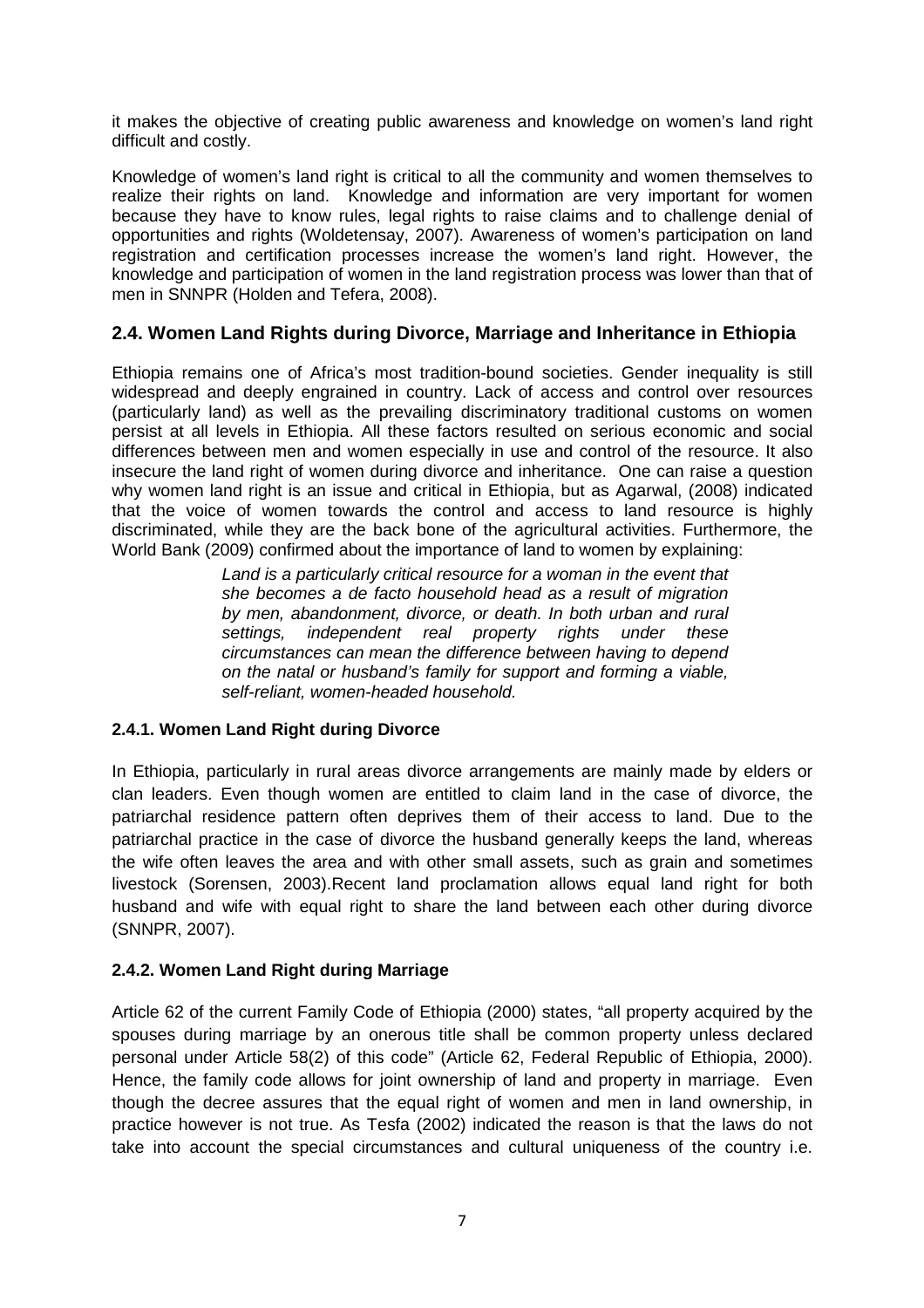it makes the objective of creating public awareness and knowledge on women's land right difficult and costly.

Knowledge of women's land right is critical to all the community and women themselves to realize their rights on land. Knowledge and information are very important for women because they have to know rules, legal rights to raise claims and to challenge denial of opportunities and rights (Woldetensay, 2007). Awareness of women's participation on land registration and certification processes increase the women's land right. However, the knowledge and participation of women in the land registration process was lower than that of men in SNNPR (Holden and Tefera, 2008).

## **2.4. Women Land Rights during Divorce, Marriage and Inheritance in Ethiopia**

Ethiopia remains one of Africa's most tradition-bound societies. Gender inequality is still widespread and deeply engrained in country. Lack of access and control over resources (particularly land) as well as the prevailing discriminatory traditional customs on women persist at all levels in Ethiopia. All these factors resulted on serious economic and social differences between men and women especially in use and control of the resource. It also insecure the land right of women during divorce and inheritance. One can raise a question why women land right is an issue and critical in Ethiopia, but as Agarwal, (2008) indicated that the voice of women towards the control and access to land resource is highly discriminated, while they are the back bone of the agricultural activities. Furthermore, the World Bank (2009) confirmed about the importance of land to women by explaining:

> Land is a particularly critical resource for a woman in the event that she becomes a de facto household head as a result of migration by men, abandonment, divorce, or death. In both urban and rural settings, independent real property rights under these circumstances can mean the difference between having to depend on the natal or husband's family for support and forming a viable, self-reliant, women-headed household.

#### **2.4.1. Women Land Right during Divorce**

In Ethiopia, particularly in rural areas divorce arrangements are mainly made by elders or clan leaders. Even though women are entitled to claim land in the case of divorce, the patriarchal residence pattern often deprives them of their access to land. Due to the patriarchal practice in the case of divorce the husband generally keeps the land, whereas the wife often leaves the area and with other small assets, such as grain and sometimes livestock (Sorensen, 2003).Recent land proclamation allows equal land right for both husband and wife with equal right to share the land between each other during divorce (SNNPR, 2007).

#### **2.4.2. Women Land Right during Marriage**

Article 62 of the current Family Code of Ethiopia (2000) states, "all property acquired by the spouses during marriage by an onerous title shall be common property unless declared personal under Article 58(2) of this code" (Article 62, Federal Republic of Ethiopia, 2000). Hence, the family code allows for joint ownership of land and property in marriage. Even though the decree assures that the equal right of women and men in land ownership, in practice however is not true. As Tesfa (2002) indicated the reason is that the laws do not take into account the special circumstances and cultural uniqueness of the country i.e.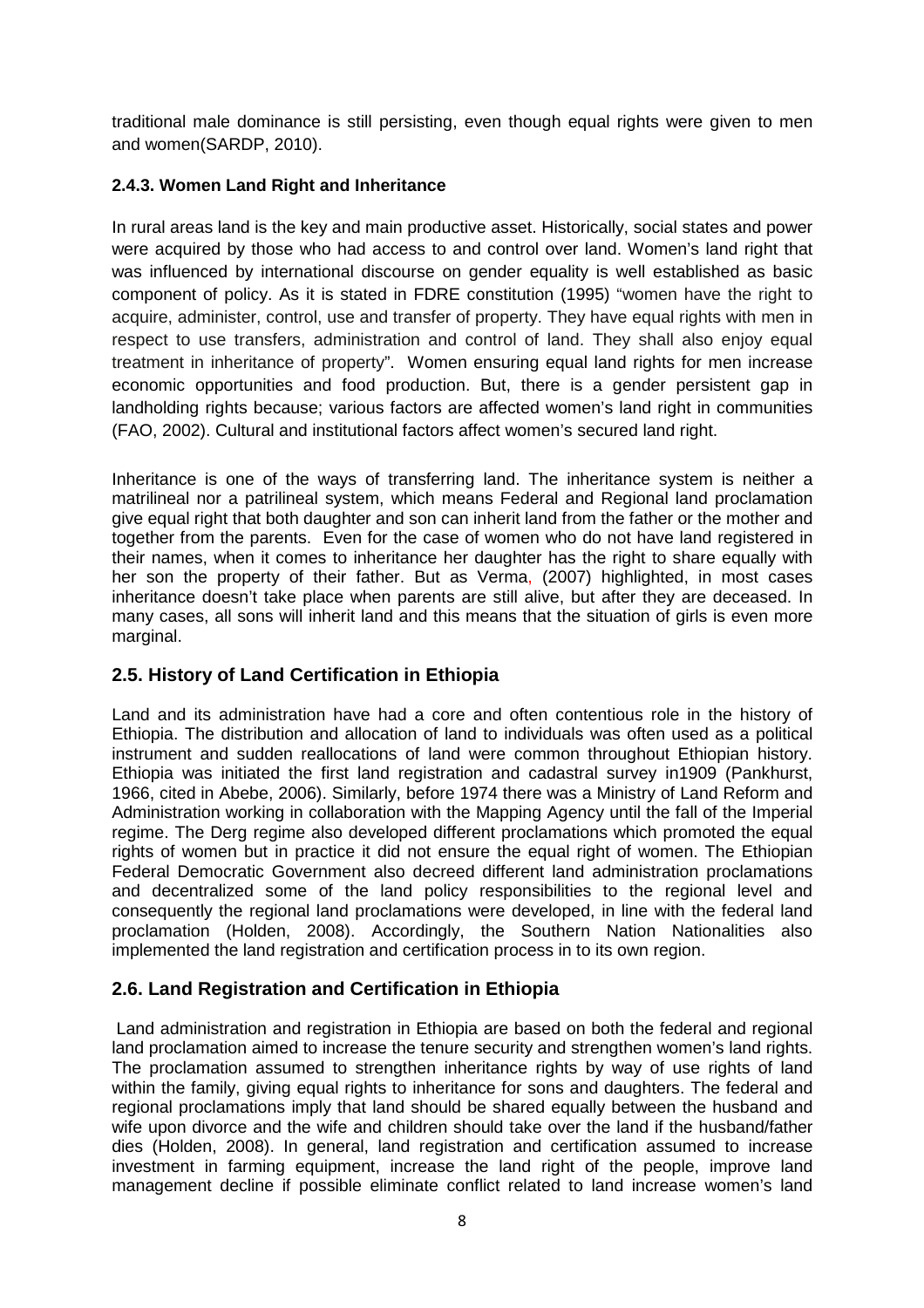traditional male dominance is still persisting, even though equal rights were given to men and women(SARDP, 2010).

## **2.4.3. Women Land Right and Inheritance**

In rural areas land is the key and main productive asset. Historically, social states and power were acquired by those who had access to and control over land. Women's land right that was influenced by international discourse on gender equality is well established as basic component of policy. As it is stated in FDRE constitution (1995) "women have the right to acquire, administer, control, use and transfer of property. They have equal rights with men in respect to use transfers, administration and control of land. They shall also enjoy equal treatment in inheritance of property". Women ensuring equal land rights for men increase economic opportunities and food production. But, there is a gender persistent gap in landholding rights because; various factors are affected women's land right in communities (FAO, 2002). Cultural and institutional factors affect women's secured land right.

Inheritance is one of the ways of transferring land. The inheritance system is neither a matrilineal nor a patrilineal system, which means Federal and Regional land proclamation give equal right that both daughter and son can inherit land from the father or the mother and together from the parents. Even for the case of women who do not have land registered in their names, when it comes to inheritance her daughter has the right to share equally with her son the property of their father. But as Verma, (2007) highlighted, in most cases inheritance doesn't take place when parents are still alive, but after they are deceased. In many cases, all sons will inherit land and this means that the situation of girls is even more marginal.

## **2.5. History of Land Certification in Ethiopia**

Land and its administration have had a core and often contentious role in the history of Ethiopia. The distribution and allocation of land to individuals was often used as a political instrument and sudden reallocations of land were common throughout Ethiopian history. Ethiopia was initiated the first land registration and cadastral survey in1909 (Pankhurst, 1966, cited in Abebe, 2006). Similarly, before 1974 there was a Ministry of Land Reform and Administration working in collaboration with the Mapping Agency until the fall of the Imperial regime. The Derg regime also developed different proclamations which promoted the equal rights of women but in practice it did not ensure the equal right of women. The Ethiopian Federal Democratic Government also decreed different land administration proclamations and decentralized some of the land policy responsibilities to the regional level and consequently the regional land proclamations were developed, in line with the federal land proclamation (Holden, 2008). Accordingly, the Southern Nation Nationalities also implemented the land registration and certification process in to its own region.

## **2.6. Land Registration and Certification in Ethiopia**

 Land administration and registration in Ethiopia are based on both the federal and regional land proclamation aimed to increase the tenure security and strengthen women's land rights. The proclamation assumed to strengthen inheritance rights by way of use rights of land within the family, giving equal rights to inheritance for sons and daughters. The federal and regional proclamations imply that land should be shared equally between the husband and wife upon divorce and the wife and children should take over the land if the husband/father dies (Holden, 2008). In general, land registration and certification assumed to increase investment in farming equipment, increase the land right of the people, improve land management decline if possible eliminate conflict related to land increase women's land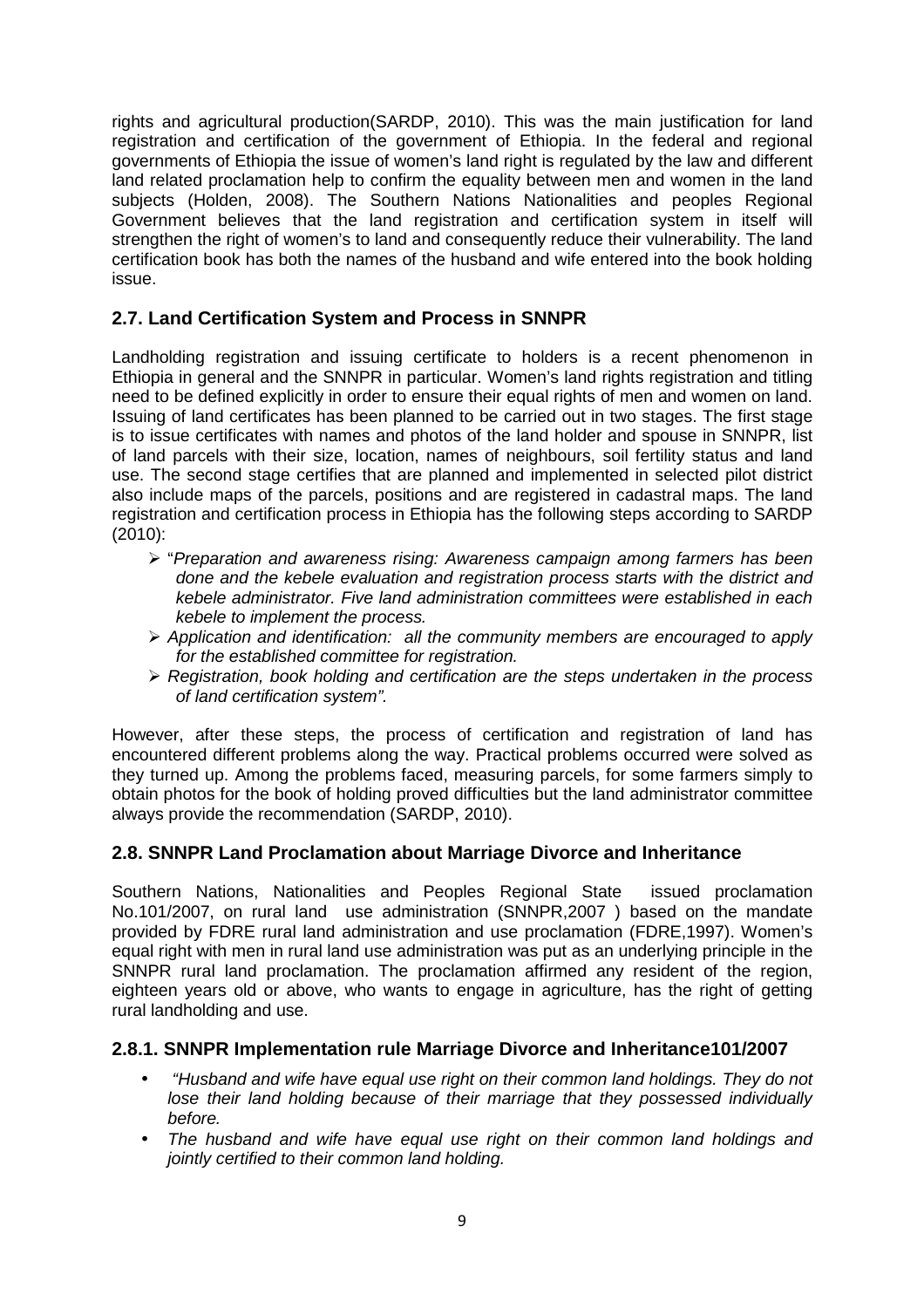rights and agricultural production(SARDP, 2010). This was the main justification for land registration and certification of the government of Ethiopia. In the federal and regional governments of Ethiopia the issue of women's land right is regulated by the law and different land related proclamation help to confirm the equality between men and women in the land subjects (Holden, 2008). The Southern Nations Nationalities and peoples Regional Government believes that the land registration and certification system in itself will strengthen the right of women's to land and consequently reduce their vulnerability. The land certification book has both the names of the husband and wife entered into the book holding issue.

## **2.7. Land Certification System and Process in SNNPR**

Landholding registration and issuing certificate to holders is a recent phenomenon in Ethiopia in general and the SNNPR in particular. Women's land rights registration and titling need to be defined explicitly in order to ensure their equal rights of men and women on land. Issuing of land certificates has been planned to be carried out in two stages. The first stage is to issue certificates with names and photos of the land holder and spouse in SNNPR, list of land parcels with their size, location, names of neighbours, soil fertility status and land use. The second stage certifies that are planned and implemented in selected pilot district also include maps of the parcels, positions and are registered in cadastral maps. The land registration and certification process in Ethiopia has the following steps according to SARDP (2010):

- > "Preparation and awareness rising: Awareness campaign among farmers has been done and the kebele evaluation and registration process starts with the district and kebele administrator. Five land administration committees were established in each kebele to implement the process.
- $\triangleright$  Application and identification: all the community members are encouraged to apply for the established committee for registration.
- $\triangleright$  Registration, book holding and certification are the steps undertaken in the process of land certification system".

However, after these steps, the process of certification and registration of land has encountered different problems along the way. Practical problems occurred were solved as they turned up. Among the problems faced, measuring parcels, for some farmers simply to obtain photos for the book of holding proved difficulties but the land administrator committee always provide the recommendation (SARDP, 2010).

## **2.8. SNNPR Land Proclamation about Marriage Divorce and Inheritance**

Southern Nations, Nationalities and Peoples Regional State issued proclamation No.101/2007, on rural land use administration (SNNPR,2007 ) based on the mandate provided by FDRE rural land administration and use proclamation (FDRE,1997). Women's equal right with men in rural land use administration was put as an underlying principle in the SNNPR rural land proclamation. The proclamation affirmed any resident of the region, eighteen years old or above, who wants to engage in agriculture, has the right of getting rural landholding and use.

## **2.8.1. SNNPR Implementation rule Marriage Divorce and Inheritance101/2007**

- "Husband and wife have equal use right on their common land holdings. They do not lose their land holding because of their marriage that they possessed individually before.
- The husband and wife have equal use right on their common land holdings and jointly certified to their common land holding.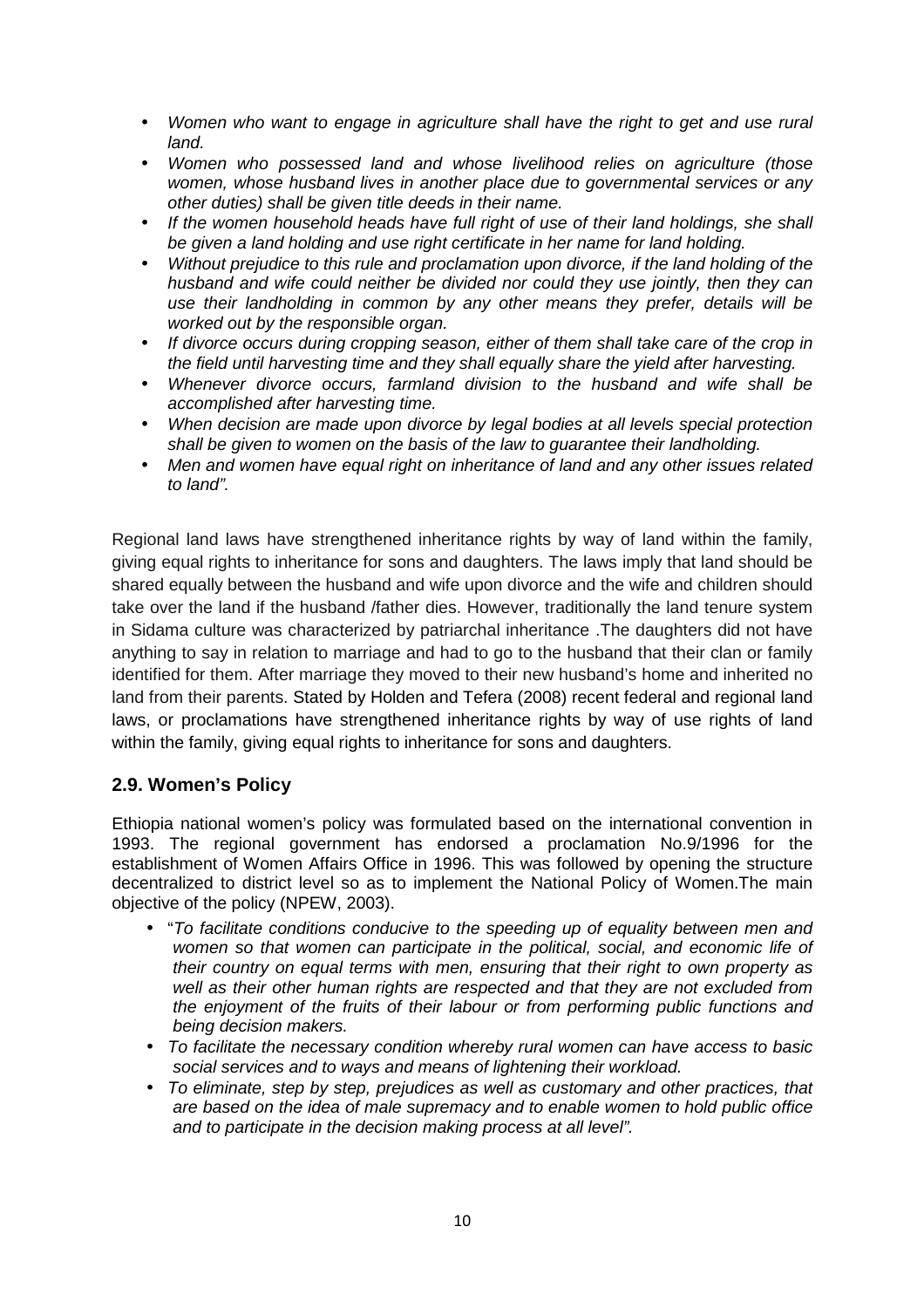- Women who want to engage in agriculture shall have the right to get and use rural land.
- Women who possessed land and whose livelihood relies on agriculture (those women, whose husband lives in another place due to governmental services or any other duties) shall be given title deeds in their name.
- If the women household heads have full right of use of their land holdings, she shall be given a land holding and use right certificate in her name for land holding.
- Without prejudice to this rule and proclamation upon divorce, if the land holding of the husband and wife could neither be divided nor could they use jointly, then they can use their landholding in common by any other means they prefer, details will be worked out by the responsible organ.
- If divorce occurs during cropping season, either of them shall take care of the crop in the field until harvesting time and they shall equally share the yield after harvesting.
- Whenever divorce occurs, farmland division to the husband and wife shall be accomplished after harvesting time.
- When decision are made upon divorce by legal bodies at all levels special protection shall be given to women on the basis of the law to guarantee their landholding.
- Men and women have equal right on inheritance of land and any other issues related to land".

Regional land laws have strengthened inheritance rights by way of land within the family, giving equal rights to inheritance for sons and daughters. The laws imply that land should be shared equally between the husband and wife upon divorce and the wife and children should take over the land if the husband /father dies. However, traditionally the land tenure system in Sidama culture was characterized by patriarchal inheritance .The daughters did not have anything to say in relation to marriage and had to go to the husband that their clan or family identified for them. After marriage they moved to their new husband's home and inherited no land from their parents. Stated by Holden and Tefera (2008) recent federal and regional land laws, or proclamations have strengthened inheritance rights by way of use rights of land within the family, giving equal rights to inheritance for sons and daughters.

## **2.9. Women's Policy**

Ethiopia national women's policy was formulated based on the international convention in 1993. The regional government has endorsed a proclamation No.9/1996 for the establishment of Women Affairs Office in 1996. This was followed by opening the structure decentralized to district level so as to implement the National Policy of Women.The main objective of the policy (NPEW, 2003).

- "To facilitate conditions conducive to the speeding up of equality between men and women so that women can participate in the political, social, and economic life of their country on equal terms with men, ensuring that their right to own property as well as their other human rights are respected and that they are not excluded from the enjoyment of the fruits of their labour or from performing public functions and being decision makers.
- To facilitate the necessary condition whereby rural women can have access to basic social services and to ways and means of lightening their workload.
- To eliminate, step by step, prejudices as well as customary and other practices, that are based on the idea of male supremacy and to enable women to hold public office and to participate in the decision making process at all level".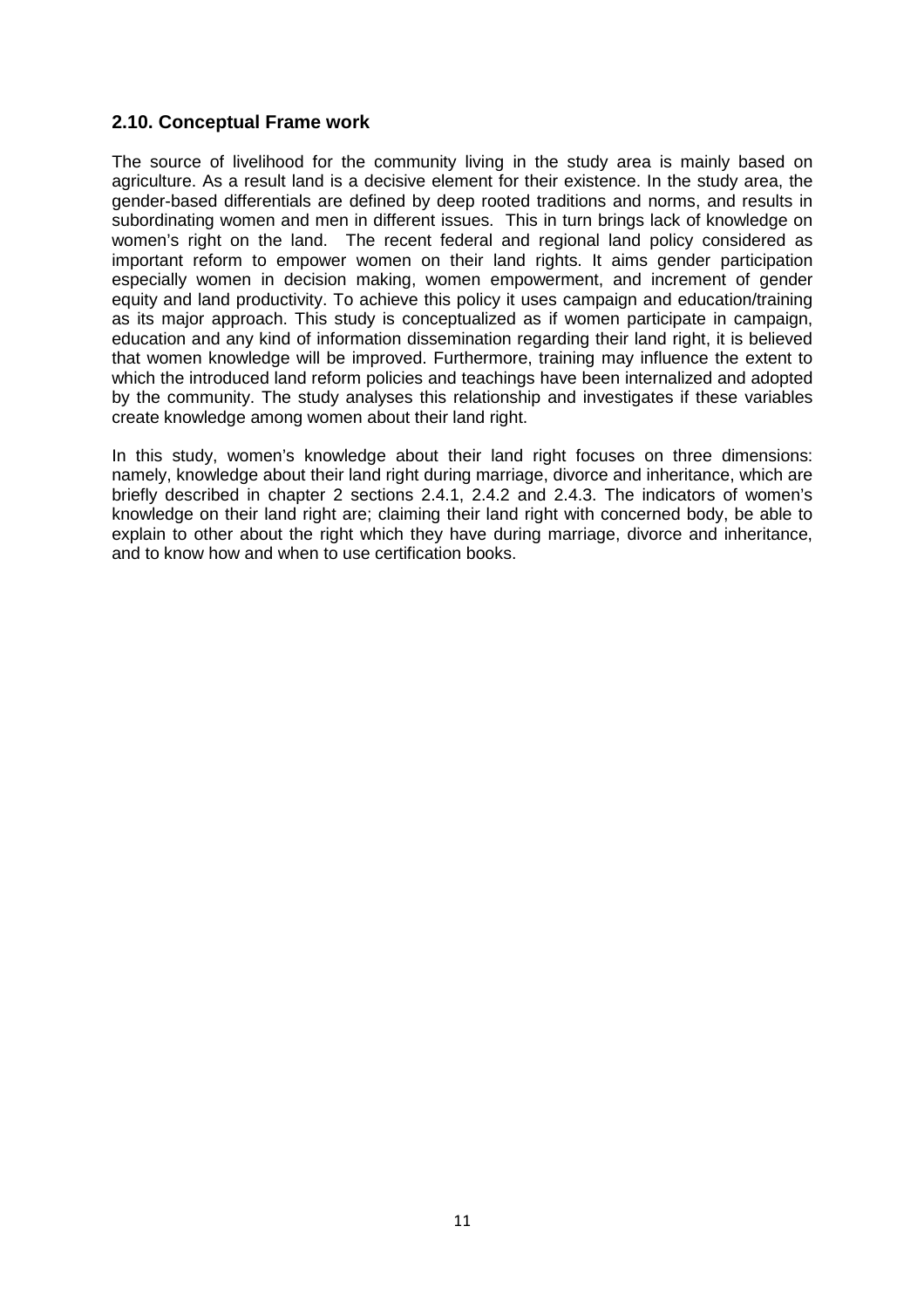## **2.10. Conceptual Frame work**

The source of livelihood for the community living in the study area is mainly based on agriculture. As a result land is a decisive element for their existence. In the study area, the gender-based differentials are defined by deep rooted traditions and norms, and results in subordinating women and men in different issues. This in turn brings lack of knowledge on women's right on the land. The recent federal and regional land policy considered as important reform to empower women on their land rights. It aims gender participation especially women in decision making, women empowerment, and increment of gender equity and land productivity. To achieve this policy it uses campaign and education/training as its major approach. This study is conceptualized as if women participate in campaign, education and any kind of information dissemination regarding their land right, it is believed that women knowledge will be improved. Furthermore, training may influence the extent to which the introduced land reform policies and teachings have been internalized and adopted by the community. The study analyses this relationship and investigates if these variables create knowledge among women about their land right.

In this study, women's knowledge about their land right focuses on three dimensions: namely, knowledge about their land right during marriage, divorce and inheritance, which are briefly described in chapter 2 sections 2.4.1, 2.4.2 and 2.4.3. The indicators of women's knowledge on their land right are; claiming their land right with concerned body, be able to explain to other about the right which they have during marriage, divorce and inheritance, and to know how and when to use certification books.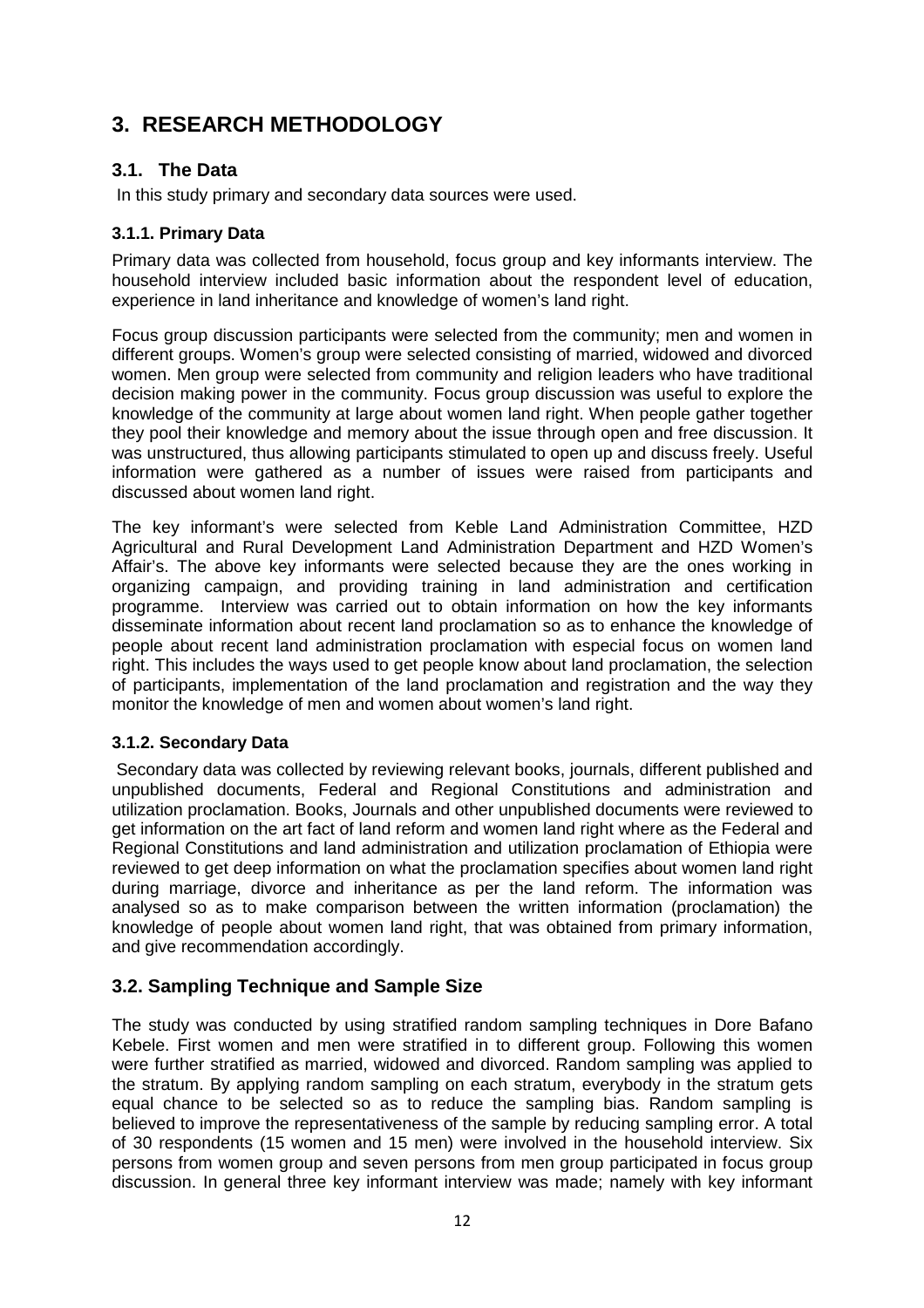## **3. RESEARCH METHODOLOGY**

## **3.1. The Data**

In this study primary and secondary data sources were used.

## **3.1.1. Primary Data**

Primary data was collected from household, focus group and key informants interview. The household interview included basic information about the respondent level of education, experience in land inheritance and knowledge of women's land right.

Focus group discussion participants were selected from the community; men and women in different groups. Women's group were selected consisting of married, widowed and divorced women. Men group were selected from community and religion leaders who have traditional decision making power in the community. Focus group discussion was useful to explore the knowledge of the community at large about women land right. When people gather together they pool their knowledge and memory about the issue through open and free discussion. It was unstructured, thus allowing participants stimulated to open up and discuss freely. Useful information were gathered as a number of issues were raised from participants and discussed about women land right.

The key informant's were selected from Keble Land Administration Committee, HZD Agricultural and Rural Development Land Administration Department and HZD Women's Affair's. The above key informants were selected because they are the ones working in organizing campaign, and providing training in land administration and certification programme. Interview was carried out to obtain information on how the key informants disseminate information about recent land proclamation so as to enhance the knowledge of people about recent land administration proclamation with especial focus on women land right. This includes the ways used to get people know about land proclamation, the selection of participants, implementation of the land proclamation and registration and the way they monitor the knowledge of men and women about women's land right.

## **3.1.2. Secondary Data**

 Secondary data was collected by reviewing relevant books, journals, different published and unpublished documents, Federal and Regional Constitutions and administration and utilization proclamation. Books, Journals and other unpublished documents were reviewed to get information on the art fact of land reform and women land right where as the Federal and Regional Constitutions and land administration and utilization proclamation of Ethiopia were reviewed to get deep information on what the proclamation specifies about women land right during marriage, divorce and inheritance as per the land reform. The information was analysed so as to make comparison between the written information (proclamation) the knowledge of people about women land right, that was obtained from primary information, and give recommendation accordingly.

## **3.2. Sampling Technique and Sample Size**

The study was conducted by using stratified random sampling techniques in Dore Bafano Kebele. First women and men were stratified in to different group. Following this women were further stratified as married, widowed and divorced. Random sampling was applied to the stratum. By applying random sampling on each stratum, everybody in the stratum gets equal chance to be selected so as to reduce the sampling bias. Random sampling is believed to improve the representativeness of the sample by reducing sampling error. A total of 30 respondents (15 women and 15 men) were involved in the household interview. Six persons from women group and seven persons from men group participated in focus group discussion. In general three key informant interview was made; namely with key informant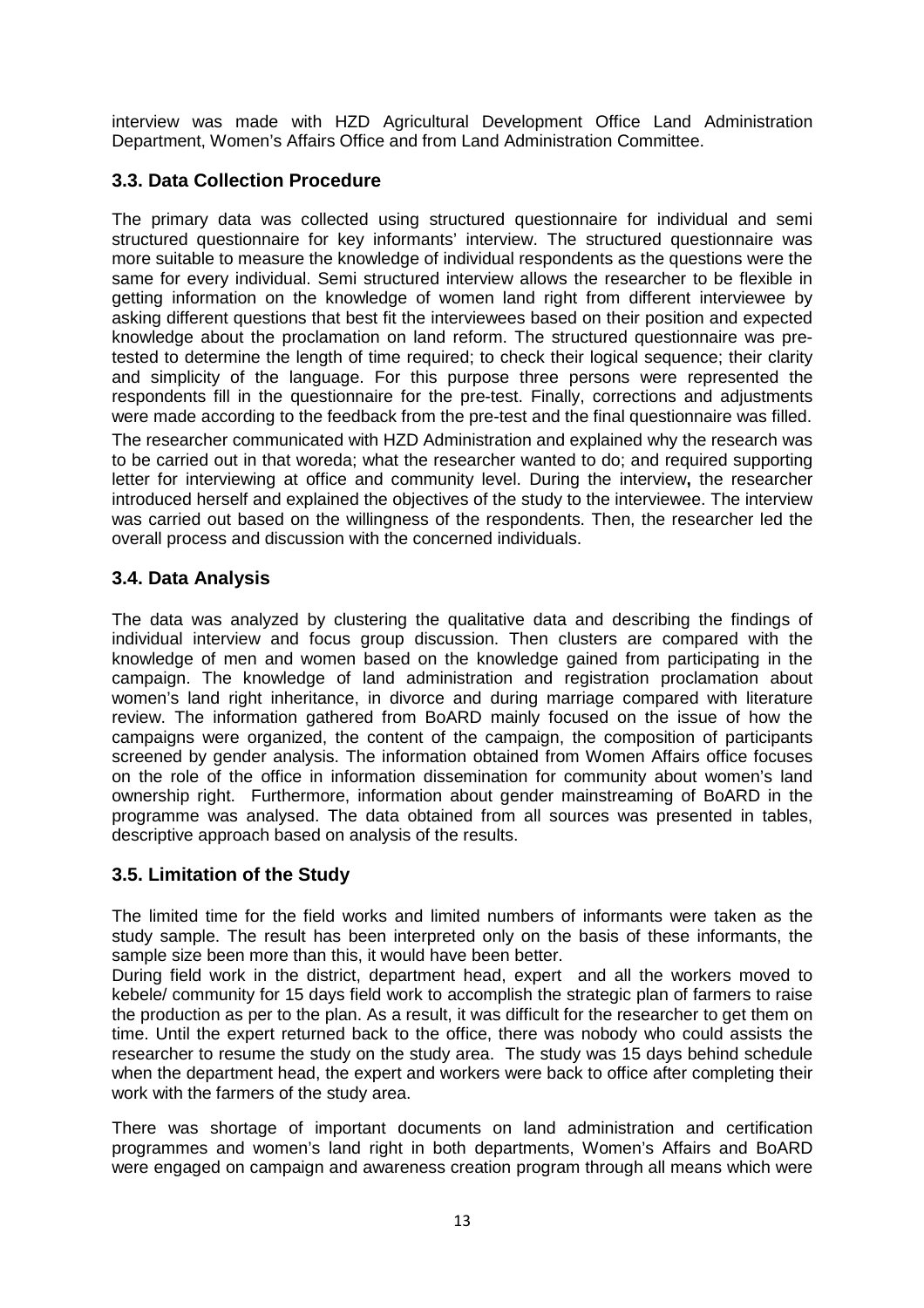interview was made with HZD Agricultural Development Office Land Administration Department, Women's Affairs Office and from Land Administration Committee.

## **3.3. Data Collection Procedure**

The primary data was collected using structured questionnaire for individual and semi structured questionnaire for key informants' interview. The structured questionnaire was more suitable to measure the knowledge of individual respondents as the questions were the same for every individual. Semi structured interview allows the researcher to be flexible in getting information on the knowledge of women land right from different interviewee by asking different questions that best fit the interviewees based on their position and expected knowledge about the proclamation on land reform. The structured questionnaire was pretested to determine the length of time required; to check their logical sequence; their clarity and simplicity of the language. For this purpose three persons were represented the respondents fill in the questionnaire for the pre-test. Finally, corrections and adjustments were made according to the feedback from the pre-test and the final questionnaire was filled. The researcher communicated with HZD Administration and explained why the research was to be carried out in that woreda; what the researcher wanted to do; and required supporting letter for interviewing at office and community level. During the interview**,** the researcher introduced herself and explained the objectives of the study to the interviewee. The interview was carried out based on the willingness of the respondents. Then, the researcher led the overall process and discussion with the concerned individuals.

## **3.4. Data Analysis**

The data was analyzed by clustering the qualitative data and describing the findings of individual interview and focus group discussion. Then clusters are compared with the knowledge of men and women based on the knowledge gained from participating in the campaign. The knowledge of land administration and registration proclamation about women's land right inheritance, in divorce and during marriage compared with literature review. The information gathered from BoARD mainly focused on the issue of how the campaigns were organized, the content of the campaign, the composition of participants screened by gender analysis. The information obtained from Women Affairs office focuses on the role of the office in information dissemination for community about women's land ownership right. Furthermore, information about gender mainstreaming of BoARD in the programme was analysed. The data obtained from all sources was presented in tables, descriptive approach based on analysis of the results.

## **3.5. Limitation of the Study**

The limited time for the field works and limited numbers of informants were taken as the study sample. The result has been interpreted only on the basis of these informants, the sample size been more than this, it would have been better.

During field work in the district, department head, expert and all the workers moved to kebele/ community for 15 days field work to accomplish the strategic plan of farmers to raise the production as per to the plan. As a result, it was difficult for the researcher to get them on time. Until the expert returned back to the office, there was nobody who could assists the researcher to resume the study on the study area. The study was 15 days behind schedule when the department head, the expert and workers were back to office after completing their work with the farmers of the study area.

There was shortage of important documents on land administration and certification programmes and women's land right in both departments, Women's Affairs and BoARD were engaged on campaign and awareness creation program through all means which were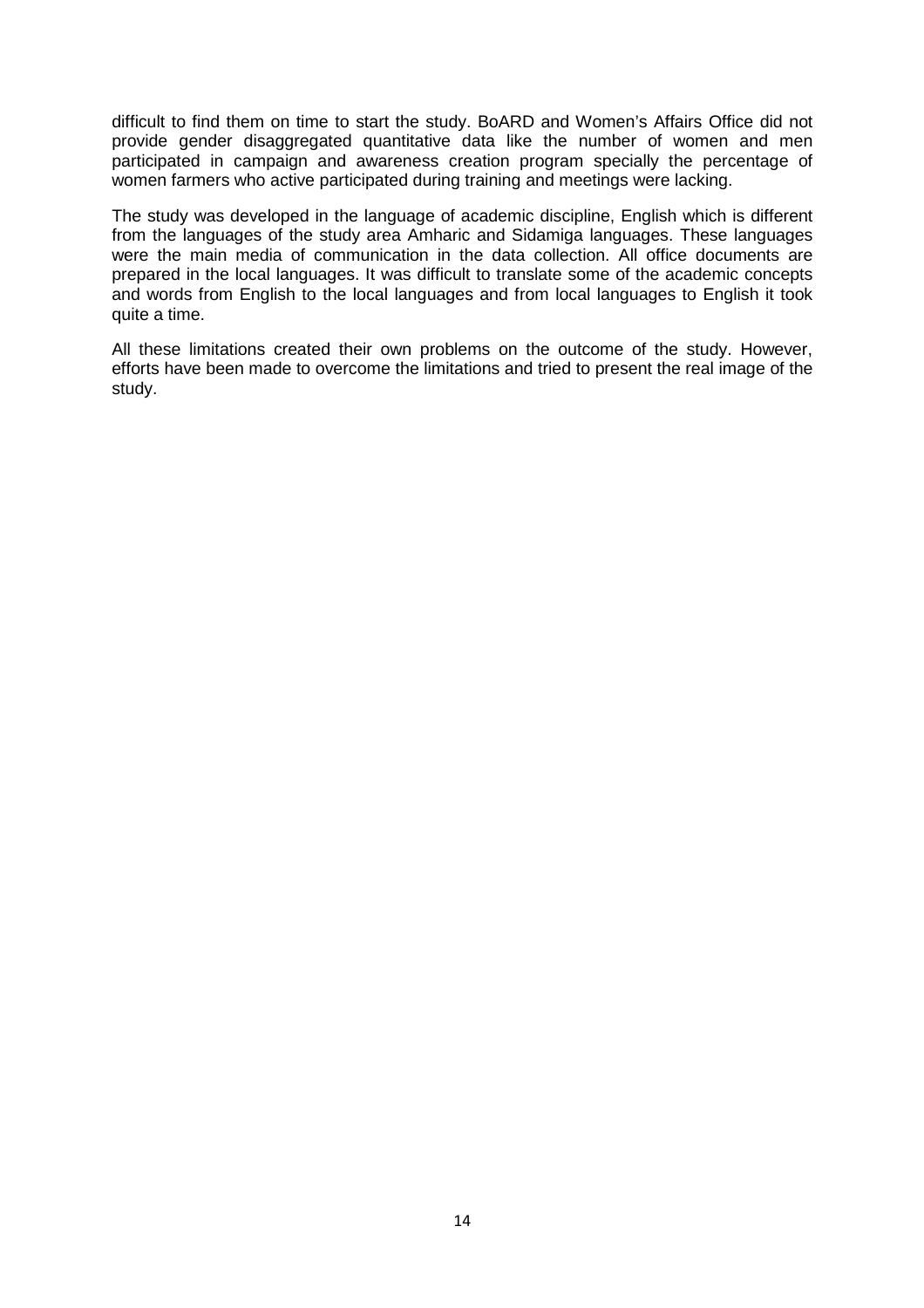difficult to find them on time to start the study. BoARD and Women's Affairs Office did not provide gender disaggregated quantitative data like the number of women and men participated in campaign and awareness creation program specially the percentage of women farmers who active participated during training and meetings were lacking.

The study was developed in the language of academic discipline, English which is different from the languages of the study area Amharic and Sidamiga languages. These languages were the main media of communication in the data collection. All office documents are prepared in the local languages. It was difficult to translate some of the academic concepts and words from English to the local languages and from local languages to English it took quite a time.

All these limitations created their own problems on the outcome of the study. However, efforts have been made to overcome the limitations and tried to present the real image of the study.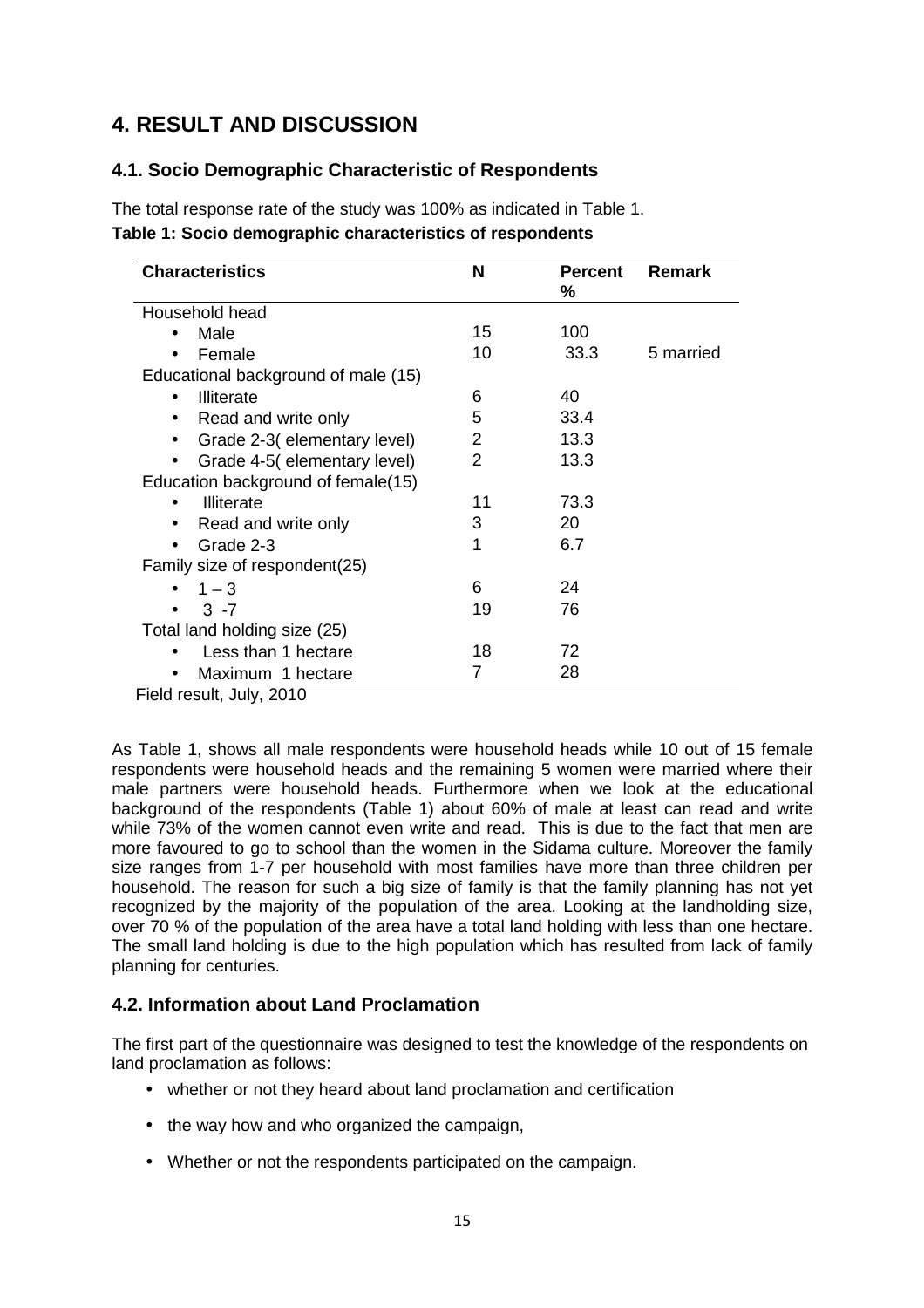## **4. RESULT AND DISCUSSION**

## **4.1. Socio Demographic Characteristic of Respondents**

The total response rate of the study was 100% as indicated in Table 1. **Table 1: Socio demographic characteristics of respondents** 

| <b>Characteristics</b>              | N  | <b>Percent</b><br>℅ | <b>Remark</b> |
|-------------------------------------|----|---------------------|---------------|
| Household head                      |    |                     |               |
| Male                                | 15 | 100                 |               |
| Female                              | 10 | 33.3                | 5 married     |
| Educational background of male (15) |    |                     |               |
| <b>Illiterate</b><br>$\bullet$      | 6  | 40                  |               |
| Read and write only<br>$\bullet$    | 5  | 33.4                |               |
| Grade 2-3(elementary level)         | 2  | 13.3                |               |
| Grade 4-5(elementary level)         | 2  | 13.3                |               |
| Education background of female(15)  |    |                     |               |
| <b>Illiterate</b>                   | 11 | 73.3                |               |
| Read and write only                 | 3  | 20                  |               |
| Grade 2-3                           | 1  | 6.7                 |               |
| Family size of respondent(25)       |    |                     |               |
| $1 - 3$                             | 6  | 24                  |               |
| $3 - 7$                             | 19 | 76                  |               |
| Total land holding size (25)        |    |                     |               |
| Less than 1 hectare                 | 18 | 72                  |               |
| Maximum 1 hectare                   | 7  | 28                  |               |

Field result, July, 2010

As Table 1, shows all male respondents were household heads while 10 out of 15 female respondents were household heads and the remaining 5 women were married where their male partners were household heads. Furthermore when we look at the educational background of the respondents (Table 1) about 60% of male at least can read and write while 73% of the women cannot even write and read. This is due to the fact that men are more favoured to go to school than the women in the Sidama culture. Moreover the family size ranges from 1-7 per household with most families have more than three children per household. The reason for such a big size of family is that the family planning has not yet recognized by the majority of the population of the area. Looking at the landholding size, over 70 % of the population of the area have a total land holding with less than one hectare. The small land holding is due to the high population which has resulted from lack of family planning for centuries.

## **4.2. Information about Land Proclamation**

The first part of the questionnaire was designed to test the knowledge of the respondents on land proclamation as follows:

- whether or not they heard about land proclamation and certification
- the way how and who organized the campaign,
- Whether or not the respondents participated on the campaign.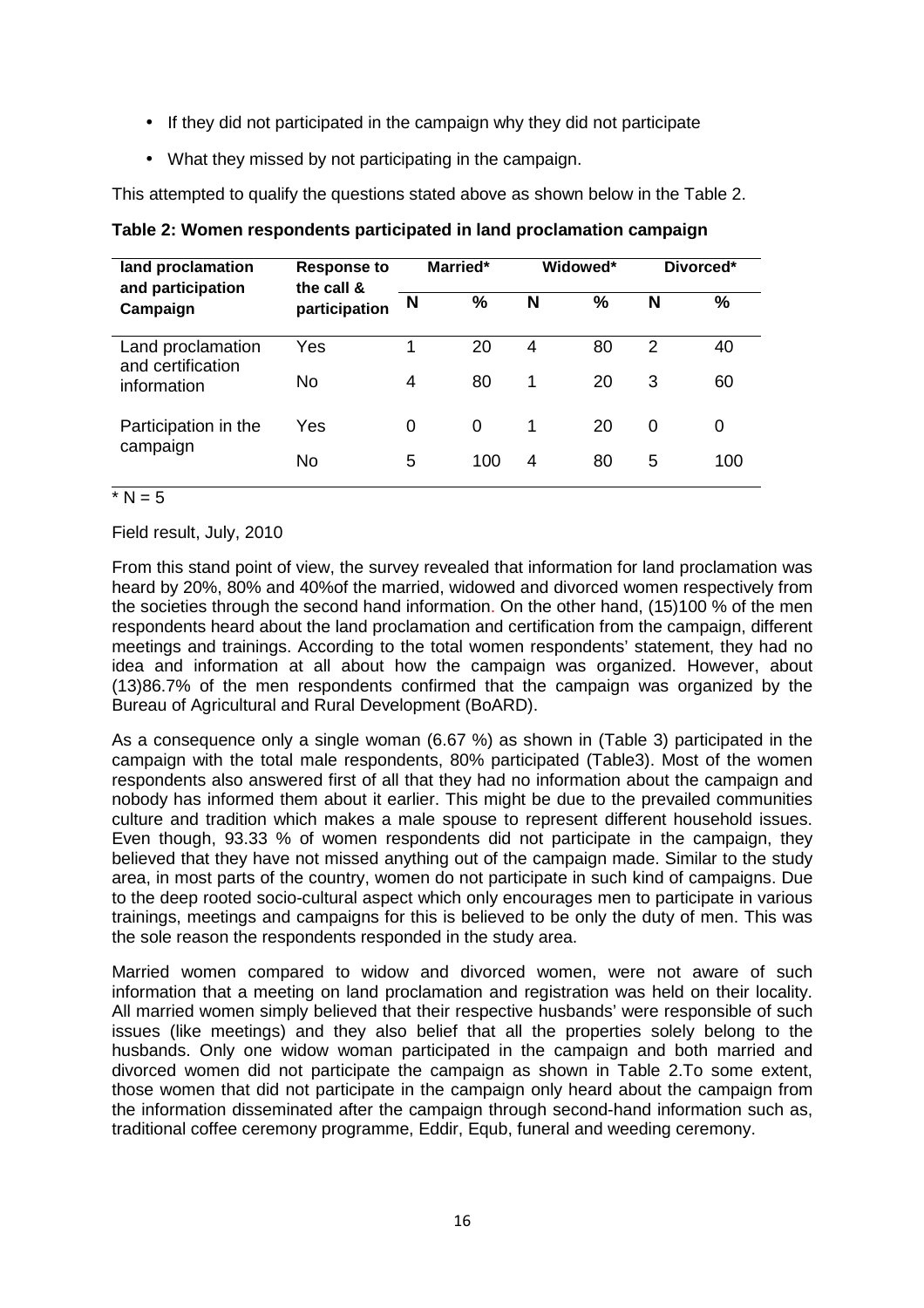- If they did not participated in the campaign why they did not participate
- What they missed by not participating in the campaign.

This attempted to qualify the questions stated above as shown below in the Table 2.

| land proclamation<br>and participation | <b>Response to</b><br>the call & |   | Married*      |   | Widowed* |   | Divorced* |
|----------------------------------------|----------------------------------|---|---------------|---|----------|---|-----------|
| Campaign                               | participation                    | N | $\frac{9}{6}$ | N | %        | N | %         |
| Land proclamation<br>and certification | Yes                              | 1 | 20            | 4 | 80       | 2 | 40        |
| information                            | No                               | 4 | 80            | 1 | 20       | 3 | 60        |
| Participation in the                   | Yes                              | 0 | 0             | 1 | 20       | 0 | 0         |
| campaign                               | <b>No</b>                        | 5 | 100           | 4 | 80       | 5 | 100       |

**Table 2: Women respondents participated in land proclamation campaign** 

#### $^*$  N = 5

Field result, July, 2010

From this stand point of view, the survey revealed that information for land proclamation was heard by 20%, 80% and 40%of the married, widowed and divorced women respectively from the societies through the second hand information. On the other hand, (15)100 % of the men respondents heard about the land proclamation and certification from the campaign, different meetings and trainings. According to the total women respondents' statement, they had no idea and information at all about how the campaign was organized. However, about (13)86.7% of the men respondents confirmed that the campaign was organized by the Bureau of Agricultural and Rural Development (BoARD).

As a consequence only a single woman (6.67 %) as shown in (Table 3) participated in the campaign with the total male respondents, 80% participated (Table3). Most of the women respondents also answered first of all that they had no information about the campaign and nobody has informed them about it earlier. This might be due to the prevailed communities culture and tradition which makes a male spouse to represent different household issues. Even though, 93.33 % of women respondents did not participate in the campaign, they believed that they have not missed anything out of the campaign made. Similar to the study area, in most parts of the country, women do not participate in such kind of campaigns. Due to the deep rooted socio-cultural aspect which only encourages men to participate in various trainings, meetings and campaigns for this is believed to be only the duty of men. This was the sole reason the respondents responded in the study area.

Married women compared to widow and divorced women, were not aware of such information that a meeting on land proclamation and registration was held on their locality. All married women simply believed that their respective husbands' were responsible of such issues (like meetings) and they also belief that all the properties solely belong to the husbands. Only one widow woman participated in the campaign and both married and divorced women did not participate the campaign as shown in Table 2.To some extent, those women that did not participate in the campaign only heard about the campaign from the information disseminated after the campaign through second-hand information such as, traditional coffee ceremony programme, Eddir, Equb, funeral and weeding ceremony.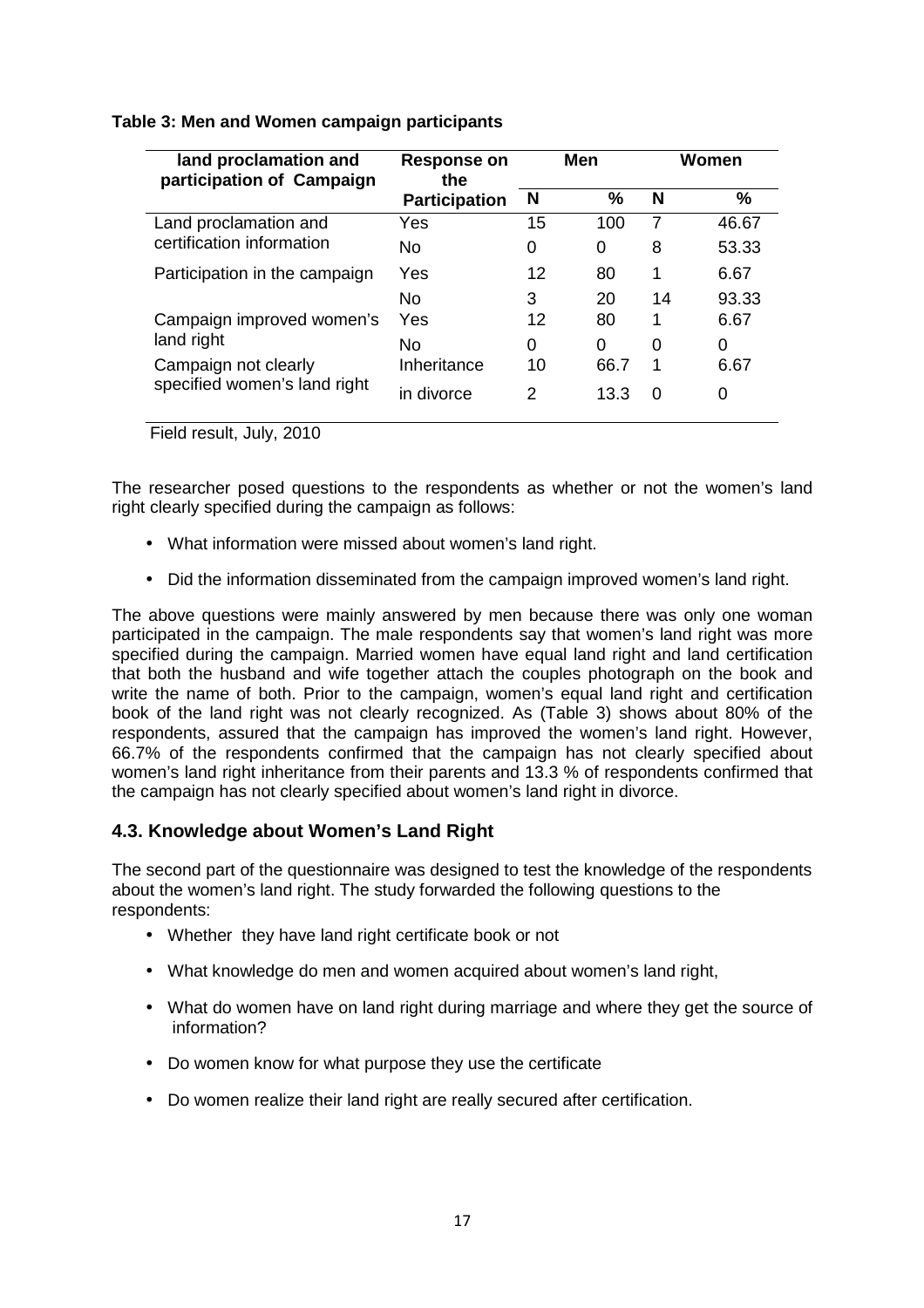| land proclamation and<br>participation of Campaign                 | <b>Response on</b><br>the        |              | Men               |                | Women          |
|--------------------------------------------------------------------|----------------------------------|--------------|-------------------|----------------|----------------|
|                                                                    | <b>Participation</b>             | N            | $\frac{0}{0}$     | N              | %              |
| Land proclamation and                                              | Yes                              | 15           | 100               | $\overline{7}$ | 46.67          |
| certification information                                          | No                               | 0            | 0                 | 8              | 53.33          |
| Participation in the campaign                                      | Yes                              | 12           | 80                | 1              | 6.67           |
| Campaign improved women's                                          | No.<br>Yes                       | 3<br>12      | 20<br>80          | 14<br>1        | 93.33<br>6.67  |
| land right<br>Campaign not clearly<br>specified women's land right | No.<br>Inheritance<br>in divorce | 0<br>10<br>2 | 0<br>66.7<br>13.3 | 0<br>1<br>0    | 0<br>6.67<br>0 |
|                                                                    |                                  |              |                   |                |                |

#### **Table 3: Men and Women campaign participants**

Field result, July, 2010

The researcher posed questions to the respondents as whether or not the women's land right clearly specified during the campaign as follows:

- What information were missed about women's land right.
- Did the information disseminated from the campaign improved women's land right.

The above questions were mainly answered by men because there was only one woman participated in the campaign. The male respondents say that women's land right was more specified during the campaign. Married women have equal land right and land certification that both the husband and wife together attach the couples photograph on the book and write the name of both. Prior to the campaign, women's equal land right and certification book of the land right was not clearly recognized. As (Table 3) shows about 80% of the respondents, assured that the campaign has improved the women's land right. However, 66.7% of the respondents confirmed that the campaign has not clearly specified about women's land right inheritance from their parents and 13.3 % of respondents confirmed that the campaign has not clearly specified about women's land right in divorce.

## **4.3. Knowledge about Women's Land Right**

The second part of the questionnaire was designed to test the knowledge of the respondents about the women's land right. The study forwarded the following questions to the respondents:

- Whether they have land right certificate book or not
- What knowledge do men and women acquired about women's land right,
- What do women have on land right during marriage and where they get the source of information?
- Do women know for what purpose they use the certificate
- Do women realize their land right are really secured after certification.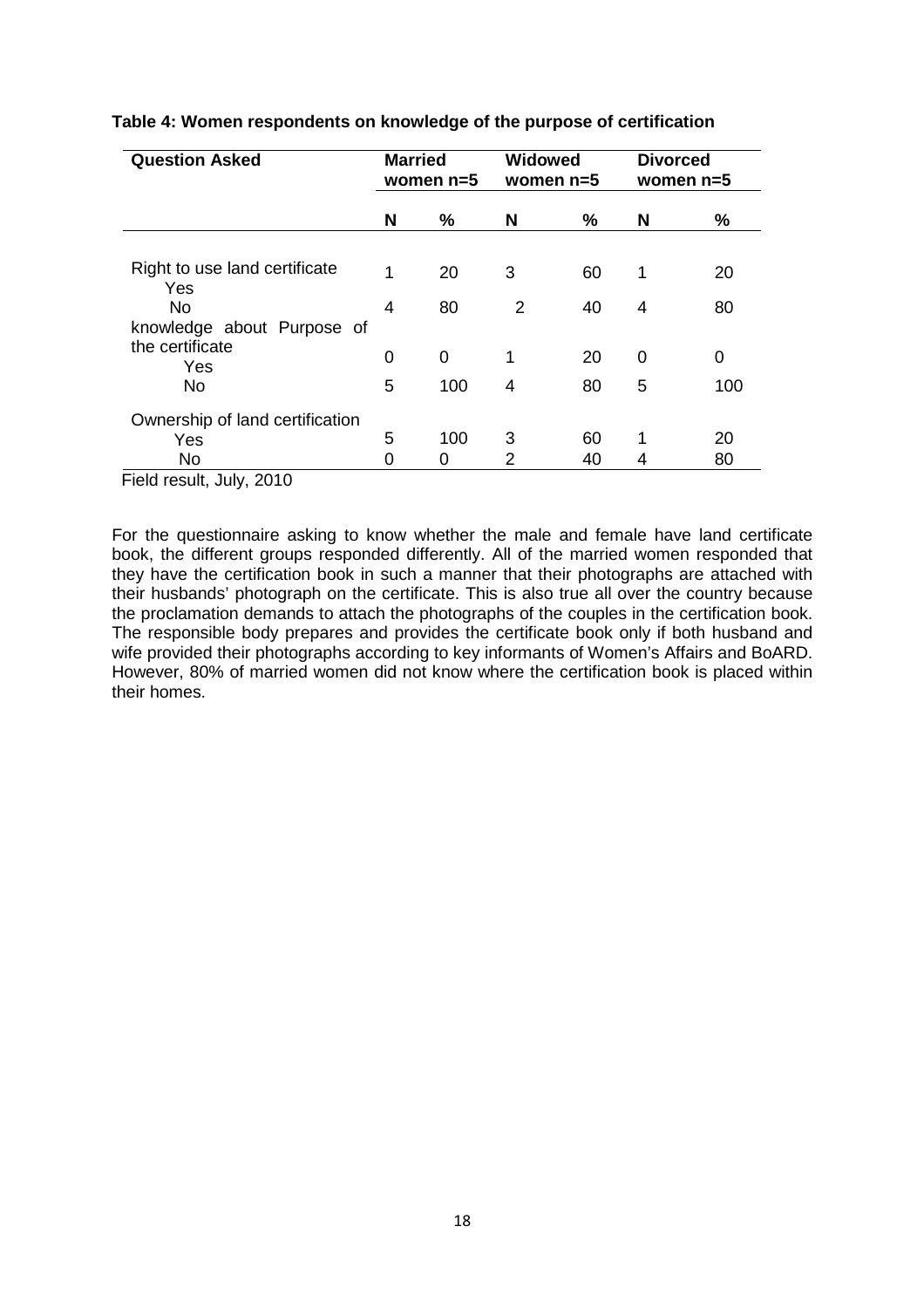| <b>Question Asked</b>                |   | <b>Married</b><br>women $n=5$ |   | <b>Widowed</b><br>women $n=5$ |   | <b>Divorced</b><br>women $n=5$ |
|--------------------------------------|---|-------------------------------|---|-------------------------------|---|--------------------------------|
|                                      | N | $\%$                          | N | ℅                             | N | %                              |
|                                      |   |                               |   |                               |   |                                |
| Right to use land certificate<br>Yes | 1 | 20                            | 3 | 60                            | 1 | 20                             |
| <b>No</b>                            | 4 | 80                            | 2 | 40                            | 4 | 80                             |
| knowledge about Purpose of           |   |                               |   |                               |   |                                |
| the certificate<br>Yes               | 0 | 0                             | 1 | 20                            | 0 | 0                              |
| <b>No</b>                            | 5 | 100                           | 4 | 80                            | 5 | 100                            |
| Ownership of land certification      |   |                               |   |                               |   |                                |
| Yes                                  | 5 | 100                           | 3 | 60                            | 1 | 20                             |
| <b>No</b>                            | 0 | 0                             | 2 | 40                            | 4 | 80                             |

#### **Table 4: Women respondents on knowledge of the purpose of certification**

Field result, July, 2010

For the questionnaire asking to know whether the male and female have land certificate book, the different groups responded differently. All of the married women responded that they have the certification book in such a manner that their photographs are attached with their husbands' photograph on the certificate. This is also true all over the country because the proclamation demands to attach the photographs of the couples in the certification book. The responsible body prepares and provides the certificate book only if both husband and wife provided their photographs according to key informants of Women's Affairs and BoARD. However, 80% of married women did not know where the certification book is placed within their homes.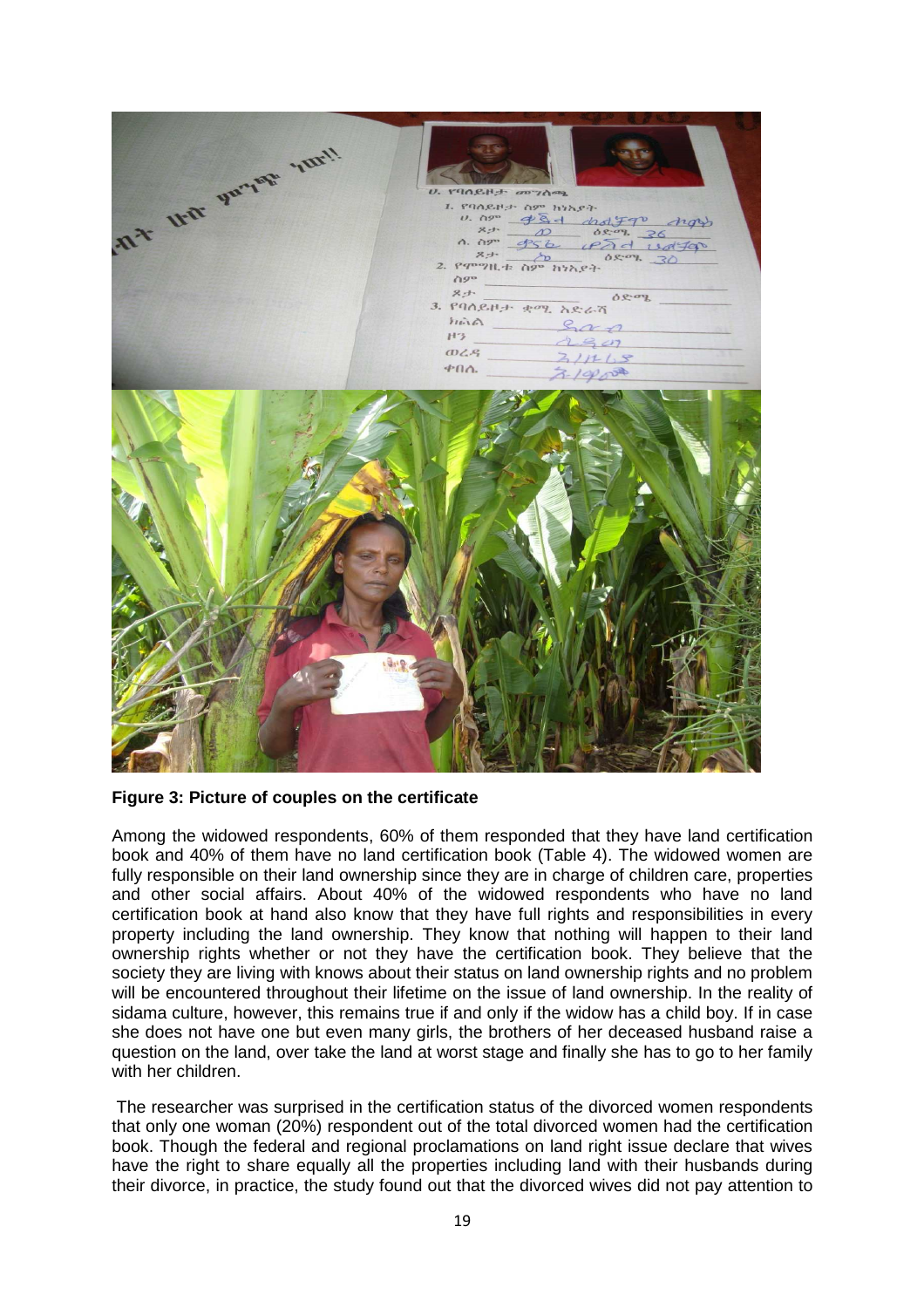

**Figure 3: Picture of couples on the certificate** 

Among the widowed respondents, 60% of them responded that they have land certification book and 40% of them have no land certification book (Table 4). The widowed women are fully responsible on their land ownership since they are in charge of children care, properties and other social affairs. About 40% of the widowed respondents who have no land certification book at hand also know that they have full rights and responsibilities in every property including the land ownership. They know that nothing will happen to their land ownership rights whether or not they have the certification book. They believe that the society they are living with knows about their status on land ownership rights and no problem will be encountered throughout their lifetime on the issue of land ownership. In the reality of sidama culture, however, this remains true if and only if the widow has a child boy. If in case she does not have one but even many girls, the brothers of her deceased husband raise a question on the land, over take the land at worst stage and finally she has to go to her family with her children.

 The researcher was surprised in the certification status of the divorced women respondents that only one woman (20%) respondent out of the total divorced women had the certification book. Though the federal and regional proclamations on land right issue declare that wives have the right to share equally all the properties including land with their husbands during their divorce, in practice, the study found out that the divorced wives did not pay attention to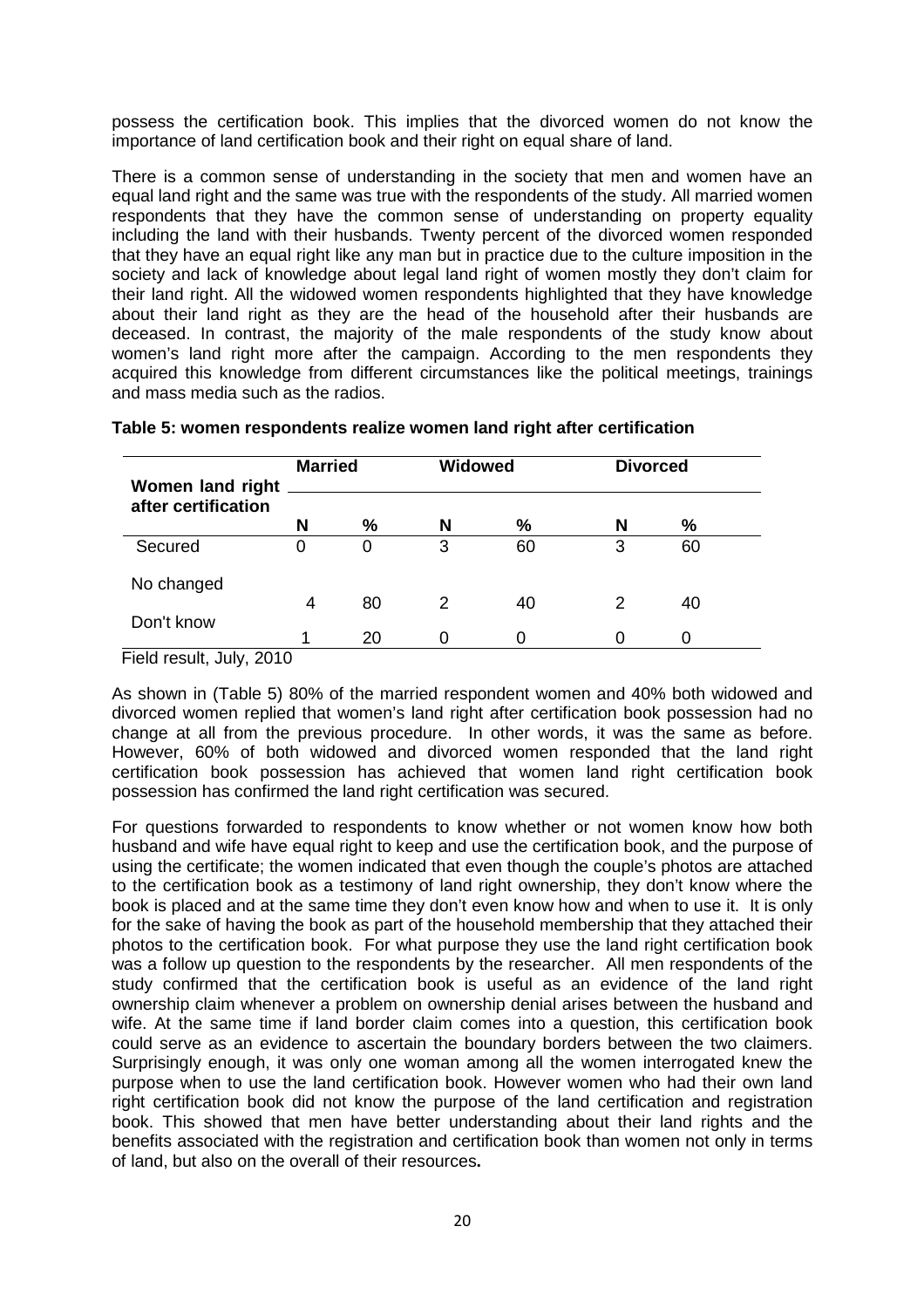possess the certification book. This implies that the divorced women do not know the importance of land certification book and their right on equal share of land.

There is a common sense of understanding in the society that men and women have an equal land right and the same was true with the respondents of the study. All married women respondents that they have the common sense of understanding on property equality including the land with their husbands. Twenty percent of the divorced women responded that they have an equal right like any man but in practice due to the culture imposition in the society and lack of knowledge about legal land right of women mostly they don't claim for their land right. All the widowed women respondents highlighted that they have knowledge about their land right as they are the head of the household after their husbands are deceased. In contrast, the majority of the male respondents of the study know about women's land right more after the campaign. According to the men respondents they acquired this knowledge from different circumstances like the political meetings, trainings and mass media such as the radios.

| <b>Women land right</b> | <b>Married</b> |    | <b>Widowed</b> |    | <b>Divorced</b> |    |
|-------------------------|----------------|----|----------------|----|-----------------|----|
| after certification     | N              | %  | N              | %  | N               | %  |
| Secured                 | 0              | 0  | 3              | 60 | 3               | 60 |
| No changed              |                |    |                |    |                 |    |
|                         | 4              | 80 | 2              | 40 | 2               | 40 |
| Don't know              | ◢              | 20 |                |    |                 |    |

#### **Table 5: women respondents realize women land right after certification**

Field result, July, 2010

As shown in (Table 5) 80% of the married respondent women and 40% both widowed and divorced women replied that women's land right after certification book possession had no change at all from the previous procedure. In other words, it was the same as before. However, 60% of both widowed and divorced women responded that the land right certification book possession has achieved that women land right certification book possession has confirmed the land right certification was secured.

For questions forwarded to respondents to know whether or not women know how both husband and wife have equal right to keep and use the certification book, and the purpose of using the certificate; the women indicated that even though the couple's photos are attached to the certification book as a testimony of land right ownership, they don't know where the book is placed and at the same time they don't even know how and when to use it. It is only for the sake of having the book as part of the household membership that they attached their photos to the certification book. For what purpose they use the land right certification book was a follow up question to the respondents by the researcher. All men respondents of the study confirmed that the certification book is useful as an evidence of the land right ownership claim whenever a problem on ownership denial arises between the husband and wife. At the same time if land border claim comes into a question, this certification book could serve as an evidence to ascertain the boundary borders between the two claimers. Surprisingly enough, it was only one woman among all the women interrogated knew the purpose when to use the land certification book. However women who had their own land right certification book did not know the purpose of the land certification and registration book. This showed that men have better understanding about their land rights and the benefits associated with the registration and certification book than women not only in terms of land, but also on the overall of their resources**.**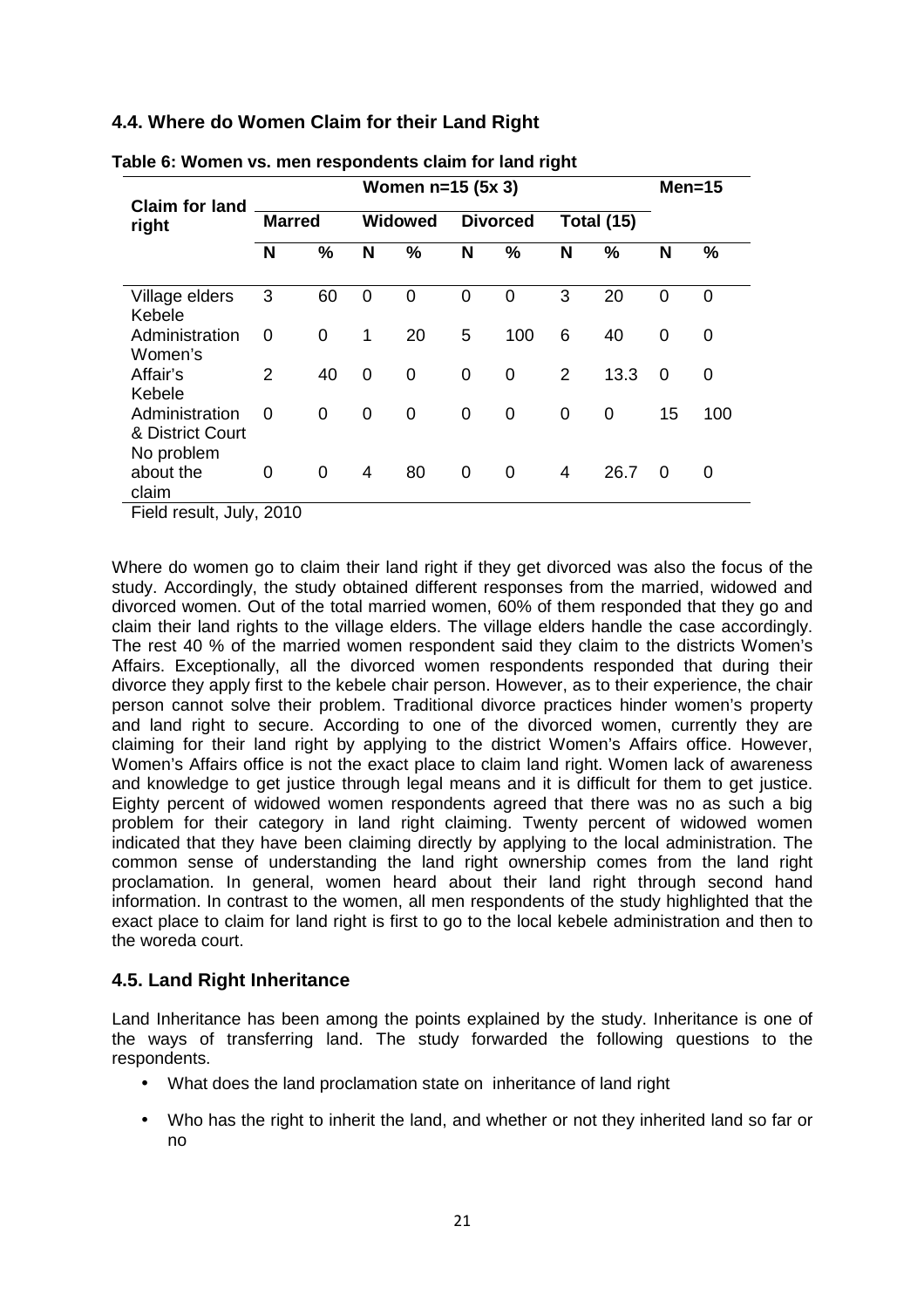## **4.4. Where do Women Claim for their Land Right**

|                                                  |               |    |             | Women n=15 (5x 3) |   |                 |   |                   |          | $Men=15$    |
|--------------------------------------------------|---------------|----|-------------|-------------------|---|-----------------|---|-------------------|----------|-------------|
| <b>Claim for land</b><br>right                   | <b>Marred</b> |    |             | <b>Widowed</b>    |   | <b>Divorced</b> |   | <b>Total (15)</b> |          |             |
|                                                  | N             | %  | N           | $\frac{0}{0}$     | N | %               | N | %                 | N        | %           |
| Village elders<br>Kebele                         | 3             | 60 | 0           | 0                 | 0 | 0               | 3 | 20                | $\Omega$ | 0           |
| Administration<br>Women's                        | 0             | 0  | 1           | 20                | 5 | 100             | 6 | 40                | 0        | 0           |
| Affair's<br>Kebele                               | 2             | 40 | $\mathbf 0$ | $\mathbf 0$       | 0 | $\overline{0}$  | 2 | 13.3              | 0        | $\mathbf 0$ |
| Administration<br>& District Court<br>No problem | 0             | 0  | 0           | $\mathbf 0$       | 0 | $\overline{0}$  | 0 | 0                 | 15       | 100         |
| about the<br>claim                               | 0             | 0  | 4           | 80                | 0 | 0               | 4 | 26.7              | $\Omega$ | 0           |

| Table 6: Women vs. men respondents claim for land right |  |  |  |  |  |  |
|---------------------------------------------------------|--|--|--|--|--|--|
|---------------------------------------------------------|--|--|--|--|--|--|

Field result, July, 2010

Where do women go to claim their land right if they get divorced was also the focus of the study. Accordingly, the study obtained different responses from the married, widowed and divorced women. Out of the total married women, 60% of them responded that they go and claim their land rights to the village elders. The village elders handle the case accordingly. The rest 40 % of the married women respondent said they claim to the districts Women's Affairs. Exceptionally, all the divorced women respondents responded that during their divorce they apply first to the kebele chair person. However, as to their experience, the chair person cannot solve their problem. Traditional divorce practices hinder women's property and land right to secure. According to one of the divorced women, currently they are claiming for their land right by applying to the district Women's Affairs office. However, Women's Affairs office is not the exact place to claim land right. Women lack of awareness and knowledge to get justice through legal means and it is difficult for them to get justice. Eighty percent of widowed women respondents agreed that there was no as such a big problem for their category in land right claiming. Twenty percent of widowed women indicated that they have been claiming directly by applying to the local administration. The common sense of understanding the land right ownership comes from the land right proclamation. In general, women heard about their land right through second hand information. In contrast to the women, all men respondents of the study highlighted that the exact place to claim for land right is first to go to the local kebele administration and then to the woreda court.

## **4.5. Land Right Inheritance**

Land Inheritance has been among the points explained by the study. Inheritance is one of the ways of transferring land. The study forwarded the following questions to the respondents.

- What does the land proclamation state on inheritance of land right
- Who has the right to inherit the land, and whether or not they inherited land so far or no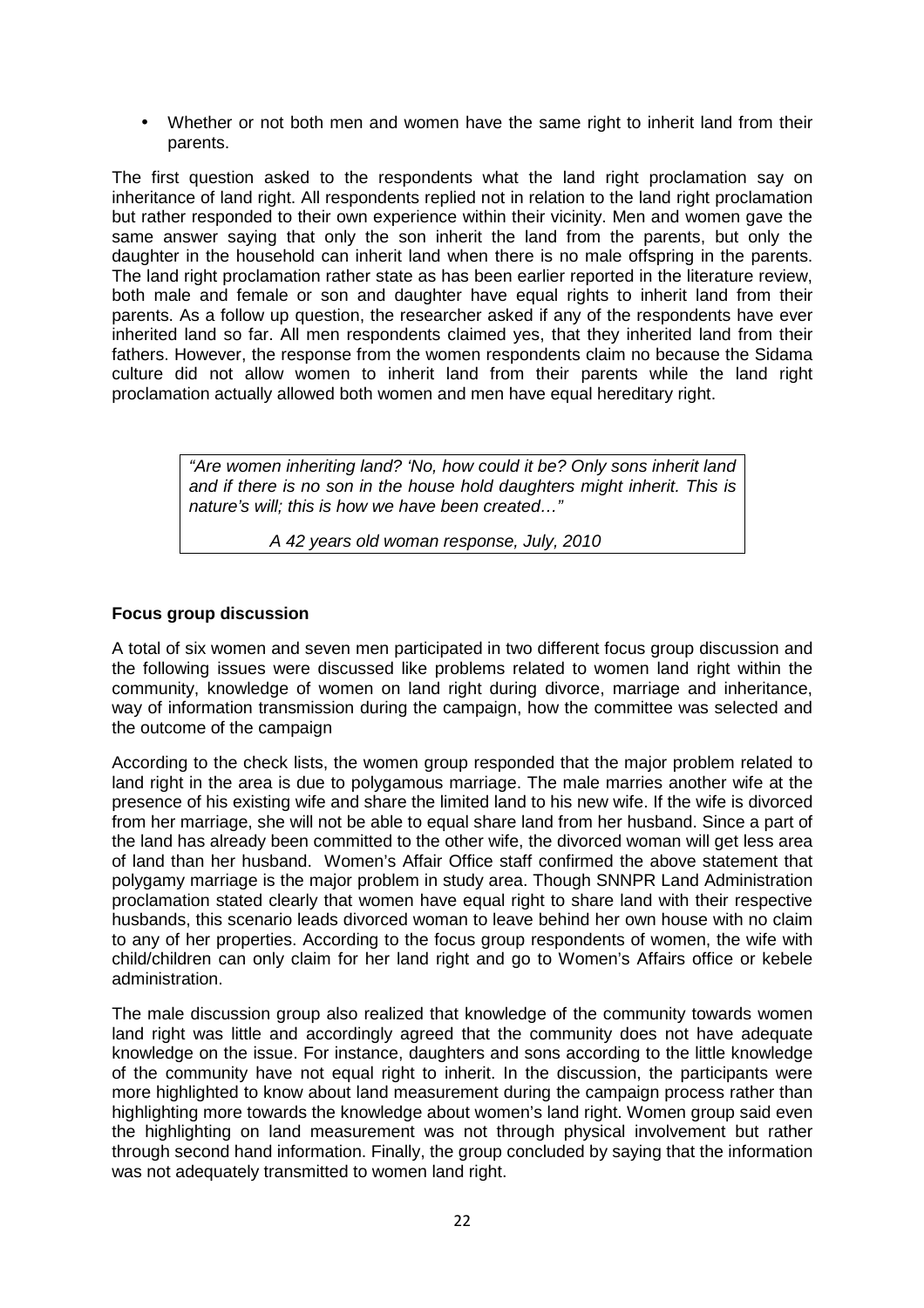• Whether or not both men and women have the same right to inherit land from their parents.

The first question asked to the respondents what the land right proclamation say on inheritance of land right. All respondents replied not in relation to the land right proclamation but rather responded to their own experience within their vicinity. Men and women gave the same answer saying that only the son inherit the land from the parents, but only the daughter in the household can inherit land when there is no male offspring in the parents. The land right proclamation rather state as has been earlier reported in the literature review, both male and female or son and daughter have equal rights to inherit land from their parents. As a follow up question, the researcher asked if any of the respondents have ever inherited land so far. All men respondents claimed yes, that they inherited land from their fathers. However, the response from the women respondents claim no because the Sidama culture did not allow women to inherit land from their parents while the land right proclamation actually allowed both women and men have equal hereditary right.

> "Are women inheriting land? 'No, how could it be? Only sons inherit land and if there is no son in the house hold daughters might inherit. This is nature's will; this is how we have been created…"

> > A 42 years old woman response, July, 2010

#### **Focus group discussion**

A total of six women and seven men participated in two different focus group discussion and the following issues were discussed like problems related to women land right within the community, knowledge of women on land right during divorce, marriage and inheritance, way of information transmission during the campaign, how the committee was selected and the outcome of the campaign

According to the check lists, the women group responded that the major problem related to land right in the area is due to polygamous marriage. The male marries another wife at the presence of his existing wife and share the limited land to his new wife. If the wife is divorced from her marriage, she will not be able to equal share land from her husband. Since a part of the land has already been committed to the other wife, the divorced woman will get less area of land than her husband. Women's Affair Office staff confirmed the above statement that polygamy marriage is the major problem in study area. Though SNNPR Land Administration proclamation stated clearly that women have equal right to share land with their respective husbands, this scenario leads divorced woman to leave behind her own house with no claim to any of her properties. According to the focus group respondents of women, the wife with child/children can only claim for her land right and go to Women's Affairs office or kebele administration.

The male discussion group also realized that knowledge of the community towards women land right was little and accordingly agreed that the community does not have adequate knowledge on the issue. For instance, daughters and sons according to the little knowledge of the community have not equal right to inherit. In the discussion, the participants were more highlighted to know about land measurement during the campaign process rather than highlighting more towards the knowledge about women's land right. Women group said even the highlighting on land measurement was not through physical involvement but rather through second hand information. Finally, the group concluded by saying that the information was not adequately transmitted to women land right.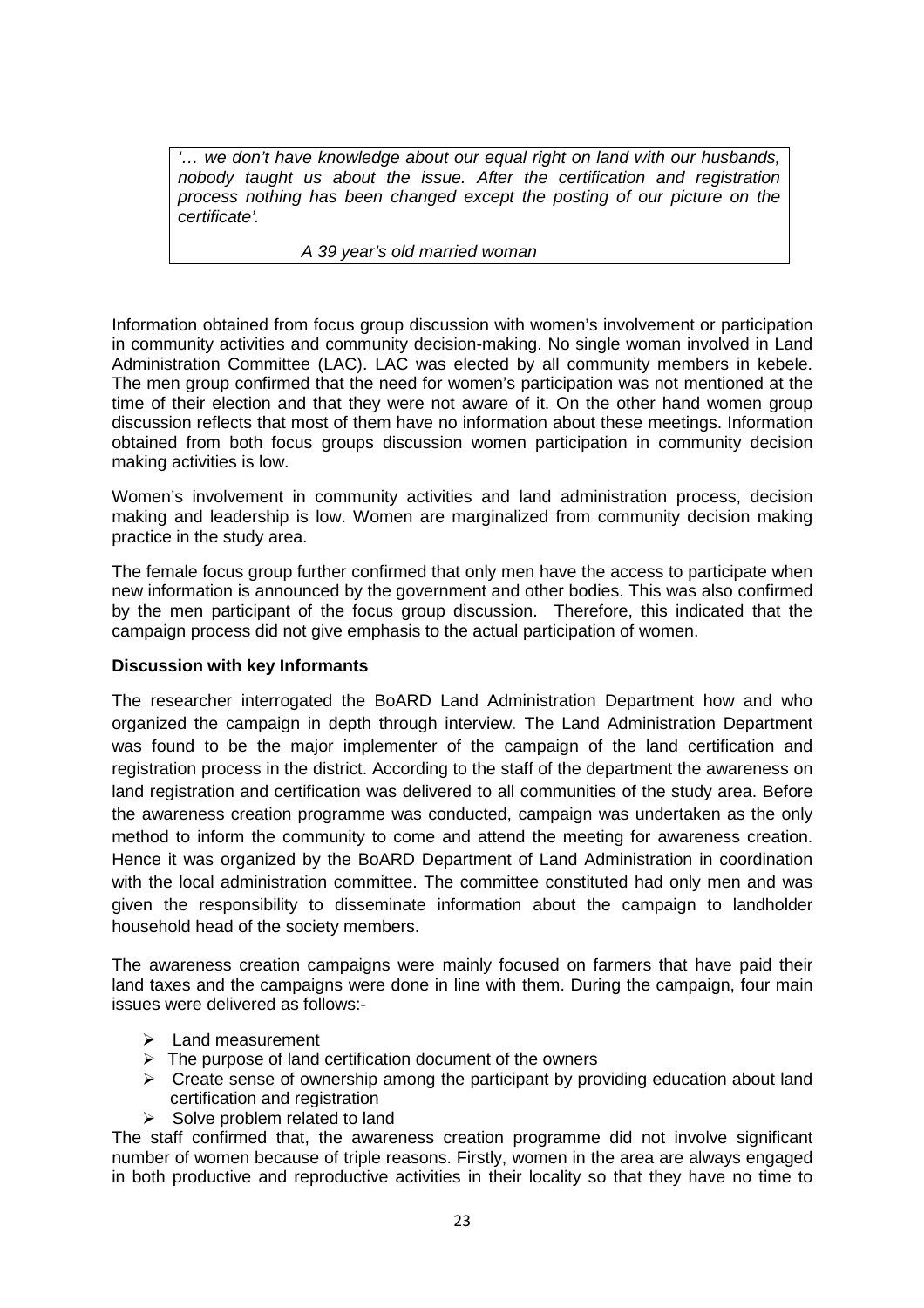'… we don't have knowledge about our equal right on land with our husbands, nobody taught us about the issue. After the certification and registration process nothing has been changed except the posting of our picture on the certificate'.

#### A 39 year's old married woman

Information obtained from focus group discussion with women's involvement or participation in community activities and community decision-making. No single woman involved in Land Administration Committee (LAC). LAC was elected by all community members in kebele. The men group confirmed that the need for women's participation was not mentioned at the time of their election and that they were not aware of it. On the other hand women group discussion reflects that most of them have no information about these meetings. Information obtained from both focus groups discussion women participation in community decision making activities is low.

Women's involvement in community activities and land administration process, decision making and leadership is low. Women are marginalized from community decision making practice in the study area.

The female focus group further confirmed that only men have the access to participate when new information is announced by the government and other bodies. This was also confirmed by the men participant of the focus group discussion. Therefore, this indicated that the campaign process did not give emphasis to the actual participation of women.

#### **Discussion with key Informants**

The researcher interrogated the BoARD Land Administration Department how and who organized the campaign in depth through interview. The Land Administration Department was found to be the major implementer of the campaign of the land certification and registration process in the district. According to the staff of the department the awareness on land registration and certification was delivered to all communities of the study area. Before the awareness creation programme was conducted, campaign was undertaken as the only method to inform the community to come and attend the meeting for awareness creation. Hence it was organized by the BoARD Department of Land Administration in coordination with the local administration committee. The committee constituted had only men and was given the responsibility to disseminate information about the campaign to landholder household head of the society members.

The awareness creation campaigns were mainly focused on farmers that have paid their land taxes and the campaigns were done in line with them. During the campaign, four main issues were delivered as follows:-

- $\blacktriangleright$  Land measurement
- $\triangleright$  The purpose of land certification document of the owners
- $\triangleright$  Create sense of ownership among the participant by providing education about land certification and registration
- $\triangleright$  Solve problem related to land

The staff confirmed that, the awareness creation programme did not involve significant number of women because of triple reasons. Firstly, women in the area are always engaged in both productive and reproductive activities in their locality so that they have no time to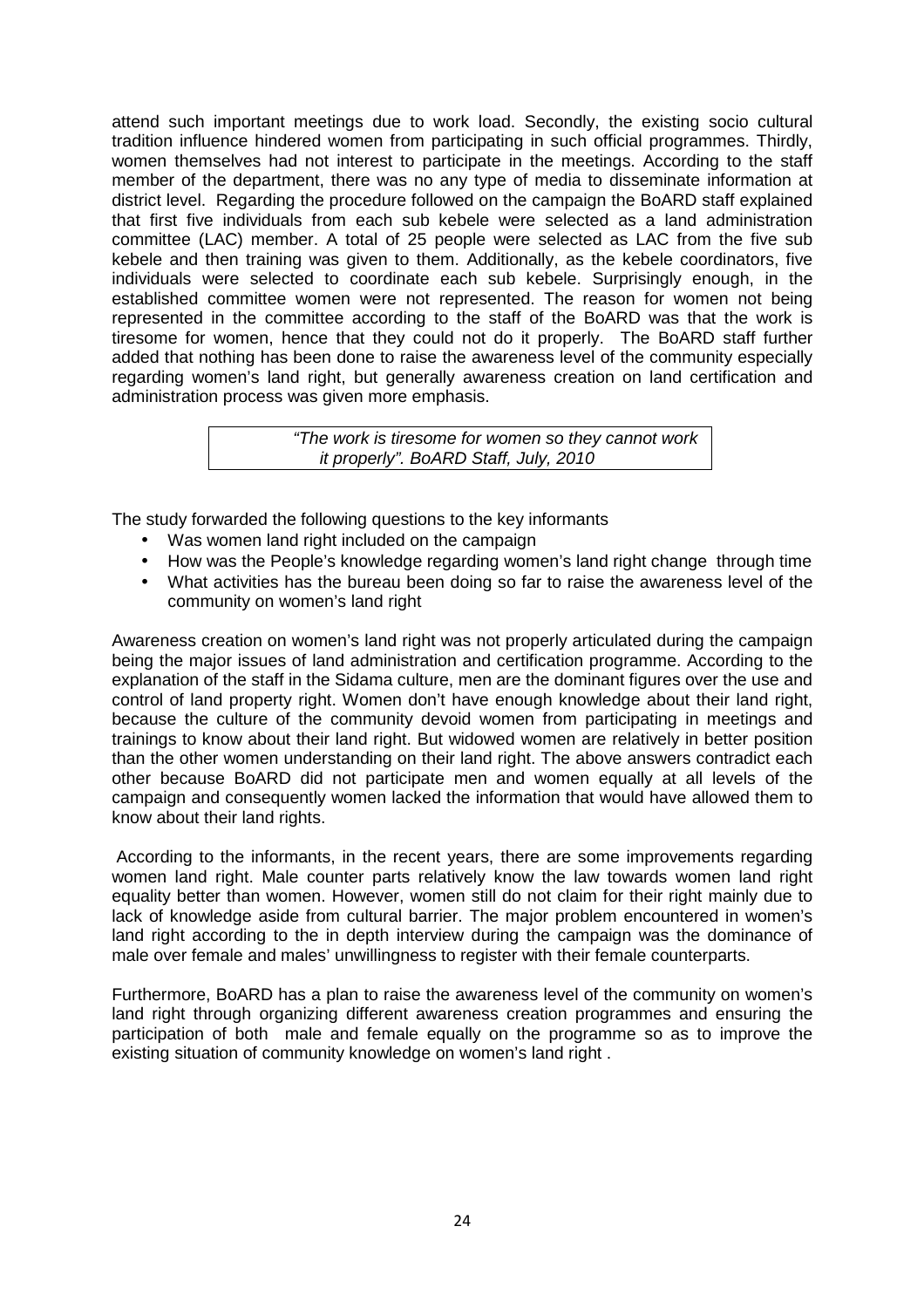attend such important meetings due to work load. Secondly, the existing socio cultural tradition influence hindered women from participating in such official programmes. Thirdly, women themselves had not interest to participate in the meetings. According to the staff member of the department, there was no any type of media to disseminate information at district level. Regarding the procedure followed on the campaign the BoARD staff explained that first five individuals from each sub kebele were selected as a land administration committee (LAC) member. A total of 25 people were selected as LAC from the five sub kebele and then training was given to them. Additionally, as the kebele coordinators, five individuals were selected to coordinate each sub kebele. Surprisingly enough, in the established committee women were not represented. The reason for women not being represented in the committee according to the staff of the BoARD was that the work is tiresome for women, hence that they could not do it properly. The BoARD staff further added that nothing has been done to raise the awareness level of the community especially regarding women's land right, but generally awareness creation on land certification and administration process was given more emphasis.

> "The work is tiresome for women so they cannot work it properly". BoARD Staff, July, 2010

The study forwarded the following questions to the key informants

- Was women land right included on the campaign
- How was the People's knowledge regarding women's land right change through time
- What activities has the bureau been doing so far to raise the awareness level of the community on women's land right

Awareness creation on women's land right was not properly articulated during the campaign being the major issues of land administration and certification programme. According to the explanation of the staff in the Sidama culture, men are the dominant figures over the use and control of land property right. Women don't have enough knowledge about their land right, because the culture of the community devoid women from participating in meetings and trainings to know about their land right. But widowed women are relatively in better position than the other women understanding on their land right. The above answers contradict each other because BoARD did not participate men and women equally at all levels of the campaign and consequently women lacked the information that would have allowed them to know about their land rights.

 According to the informants, in the recent years, there are some improvements regarding women land right. Male counter parts relatively know the law towards women land right equality better than women. However, women still do not claim for their right mainly due to lack of knowledge aside from cultural barrier. The major problem encountered in women's land right according to the in depth interview during the campaign was the dominance of male over female and males' unwillingness to register with their female counterparts.

Furthermore, BoARD has a plan to raise the awareness level of the community on women's land right through organizing different awareness creation programmes and ensuring the participation of both male and female equally on the programme so as to improve the existing situation of community knowledge on women's land right .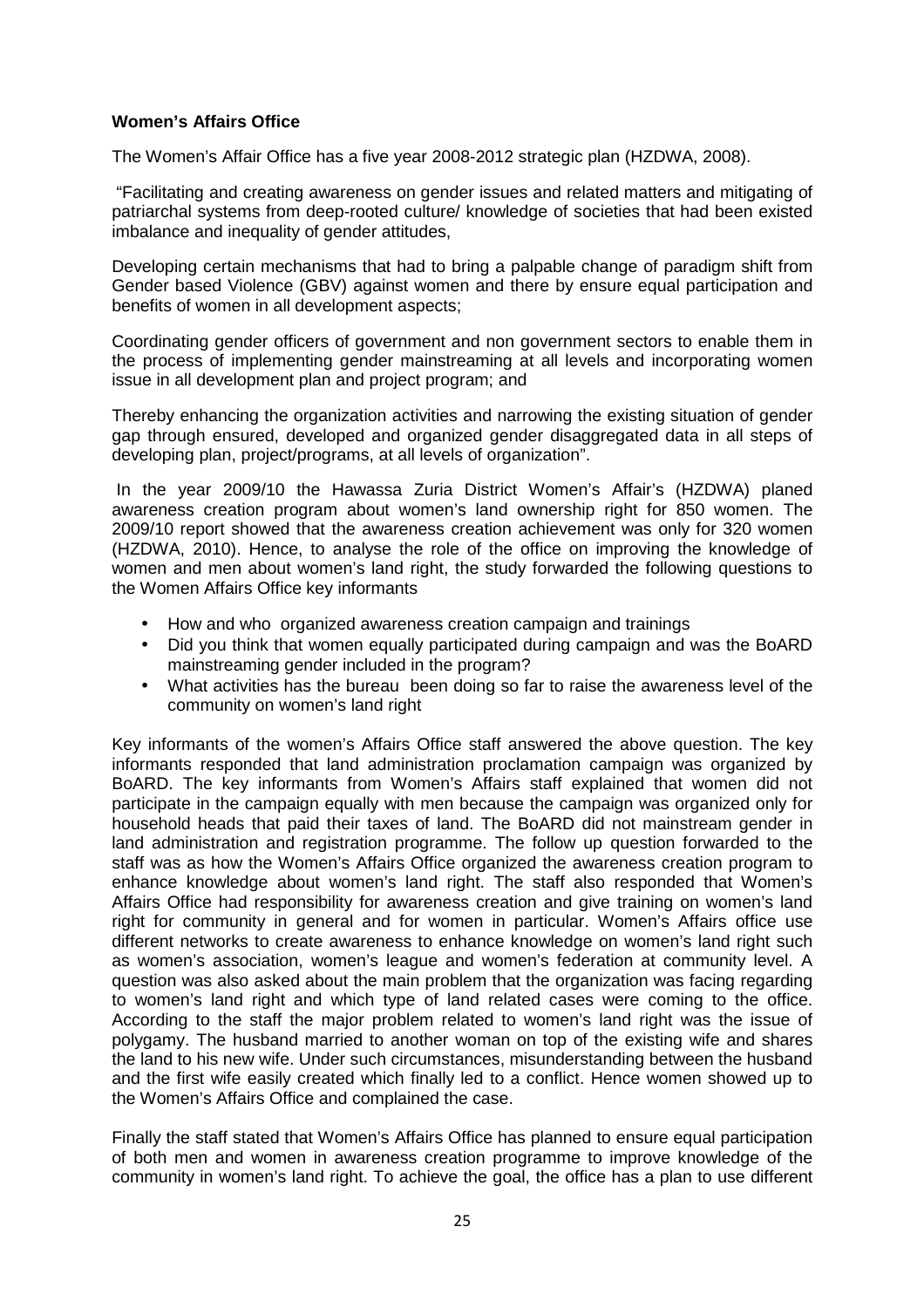#### **Women's Affairs Office**

The Women's Affair Office has a five year 2008-2012 strategic plan (HZDWA, 2008).

 "Facilitating and creating awareness on gender issues and related matters and mitigating of patriarchal systems from deep-rooted culture/ knowledge of societies that had been existed imbalance and inequality of gender attitudes.

Developing certain mechanisms that had to bring a palpable change of paradigm shift from Gender based Violence (GBV) against women and there by ensure equal participation and benefits of women in all development aspects;

Coordinating gender officers of government and non government sectors to enable them in the process of implementing gender mainstreaming at all levels and incorporating women issue in all development plan and project program; and

Thereby enhancing the organization activities and narrowing the existing situation of gender gap through ensured, developed and organized gender disaggregated data in all steps of developing plan, project/programs, at all levels of organization".

 In the year 2009/10 the Hawassa Zuria District Women's Affair's (HZDWA) planed awareness creation program about women's land ownership right for 850 women. The 2009/10 report showed that the awareness creation achievement was only for 320 women (HZDWA, 2010). Hence, to analyse the role of the office on improving the knowledge of women and men about women's land right, the study forwarded the following questions to the Women Affairs Office key informants

- How and who organized awareness creation campaign and trainings
- Did you think that women equally participated during campaign and was the BoARD mainstreaming gender included in the program?
- What activities has the bureau been doing so far to raise the awareness level of the community on women's land right

Key informants of the women's Affairs Office staff answered the above question. The key informants responded that land administration proclamation campaign was organized by BoARD. The key informants from Women's Affairs staff explained that women did not participate in the campaign equally with men because the campaign was organized only for household heads that paid their taxes of land. The BoARD did not mainstream gender in land administration and registration programme. The follow up question forwarded to the staff was as how the Women's Affairs Office organized the awareness creation program to enhance knowledge about women's land right. The staff also responded that Women's Affairs Office had responsibility for awareness creation and give training on women's land right for community in general and for women in particular. Women's Affairs office use different networks to create awareness to enhance knowledge on women's land right such as women's association, women's league and women's federation at community level. A question was also asked about the main problem that the organization was facing regarding to women's land right and which type of land related cases were coming to the office. According to the staff the major problem related to women's land right was the issue of polygamy. The husband married to another woman on top of the existing wife and shares the land to his new wife. Under such circumstances, misunderstanding between the husband and the first wife easily created which finally led to a conflict. Hence women showed up to the Women's Affairs Office and complained the case.

Finally the staff stated that Women's Affairs Office has planned to ensure equal participation of both men and women in awareness creation programme to improve knowledge of the community in women's land right. To achieve the goal, the office has a plan to use different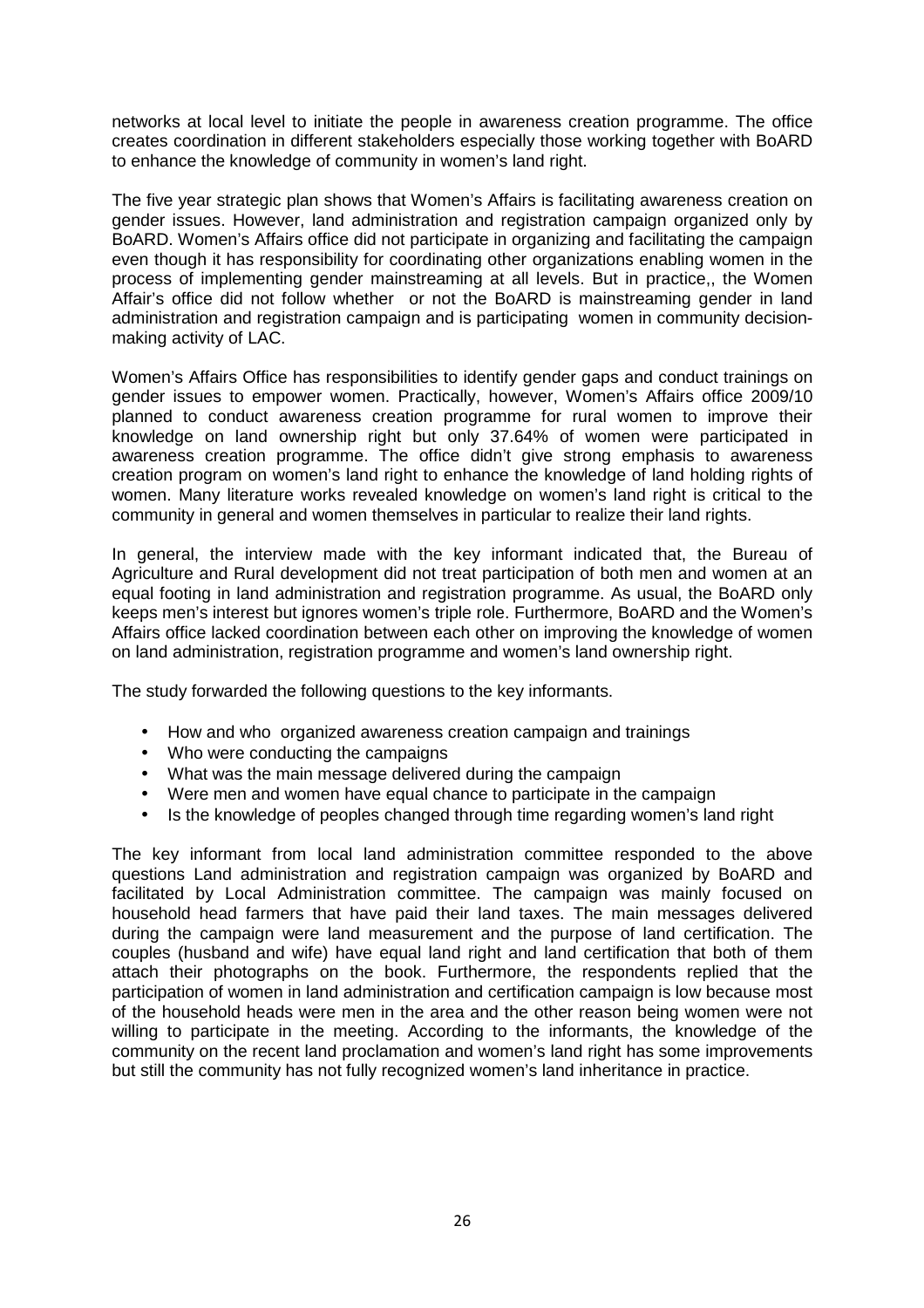networks at local level to initiate the people in awareness creation programme. The office creates coordination in different stakeholders especially those working together with BoARD to enhance the knowledge of community in women's land right.

The five year strategic plan shows that Women's Affairs is facilitating awareness creation on gender issues. However, land administration and registration campaign organized only by BoARD. Women's Affairs office did not participate in organizing and facilitating the campaign even though it has responsibility for coordinating other organizations enabling women in the process of implementing gender mainstreaming at all levels. But in practice,, the Women Affair's office did not follow whether or not the BoARD is mainstreaming gender in land administration and registration campaign and is participating women in community decisionmaking activity of LAC.

Women's Affairs Office has responsibilities to identify gender gaps and conduct trainings on gender issues to empower women. Practically, however, Women's Affairs office 2009/10 planned to conduct awareness creation programme for rural women to improve their knowledge on land ownership right but only 37.64% of women were participated in awareness creation programme. The office didn't give strong emphasis to awareness creation program on women's land right to enhance the knowledge of land holding rights of women. Many literature works revealed knowledge on women's land right is critical to the community in general and women themselves in particular to realize their land rights.

In general, the interview made with the key informant indicated that, the Bureau of Agriculture and Rural development did not treat participation of both men and women at an equal footing in land administration and registration programme. As usual, the BoARD only keeps men's interest but ignores women's triple role. Furthermore, BoARD and the Women's Affairs office lacked coordination between each other on improving the knowledge of women on land administration, registration programme and women's land ownership right.

The study forwarded the following questions to the key informants.

- How and who organized awareness creation campaign and trainings
- Who were conducting the campaigns
- What was the main message delivered during the campaign
- Were men and women have equal chance to participate in the campaign
- Is the knowledge of peoples changed through time regarding women's land right

The key informant from local land administration committee responded to the above questions Land administration and registration campaign was organized by BoARD and facilitated by Local Administration committee. The campaign was mainly focused on household head farmers that have paid their land taxes. The main messages delivered during the campaign were land measurement and the purpose of land certification. The couples (husband and wife) have equal land right and land certification that both of them attach their photographs on the book. Furthermore, the respondents replied that the participation of women in land administration and certification campaign is low because most of the household heads were men in the area and the other reason being women were not willing to participate in the meeting. According to the informants, the knowledge of the community on the recent land proclamation and women's land right has some improvements but still the community has not fully recognized women's land inheritance in practice.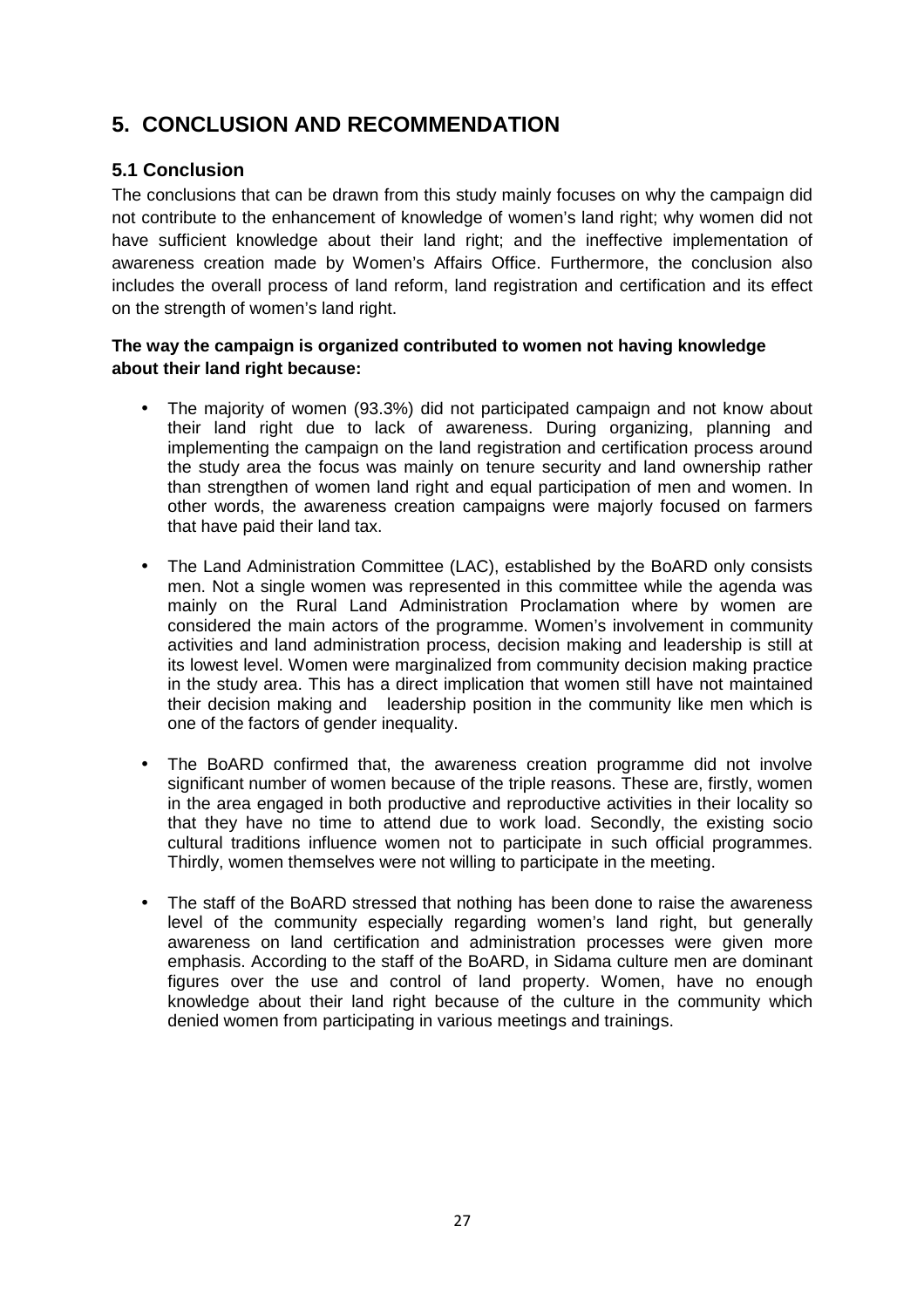## **5. CONCLUSION AND RECOMMENDATION**

## **5.1 Conclusion**

The conclusions that can be drawn from this study mainly focuses on why the campaign did not contribute to the enhancement of knowledge of women's land right; why women did not have sufficient knowledge about their land right; and the ineffective implementation of awareness creation made by Women's Affairs Office. Furthermore, the conclusion also includes the overall process of land reform, land registration and certification and its effect on the strength of women's land right.

## **The way the campaign is organized contributed to women not having knowledge about their land right because:**

- The majority of women (93.3%) did not participated campaign and not know about their land right due to lack of awareness. During organizing, planning and implementing the campaign on the land registration and certification process around the study area the focus was mainly on tenure security and land ownership rather than strengthen of women land right and equal participation of men and women. In other words, the awareness creation campaigns were majorly focused on farmers that have paid their land tax.
- The Land Administration Committee (LAC), established by the BoARD only consists men. Not a single women was represented in this committee while the agenda was mainly on the Rural Land Administration Proclamation where by women are considered the main actors of the programme. Women's involvement in community activities and land administration process, decision making and leadership is still at its lowest level. Women were marginalized from community decision making practice in the study area. This has a direct implication that women still have not maintained their decision making and leadership position in the community like men which is one of the factors of gender inequality.
- The BoARD confirmed that, the awareness creation programme did not involve significant number of women because of the triple reasons. These are, firstly, women in the area engaged in both productive and reproductive activities in their locality so that they have no time to attend due to work load. Secondly, the existing socio cultural traditions influence women not to participate in such official programmes. Thirdly, women themselves were not willing to participate in the meeting.
- The staff of the BoARD stressed that nothing has been done to raise the awareness level of the community especially regarding women's land right, but generally awareness on land certification and administration processes were given more emphasis. According to the staff of the BoARD, in Sidama culture men are dominant figures over the use and control of land property. Women, have no enough knowledge about their land right because of the culture in the community which denied women from participating in various meetings and trainings.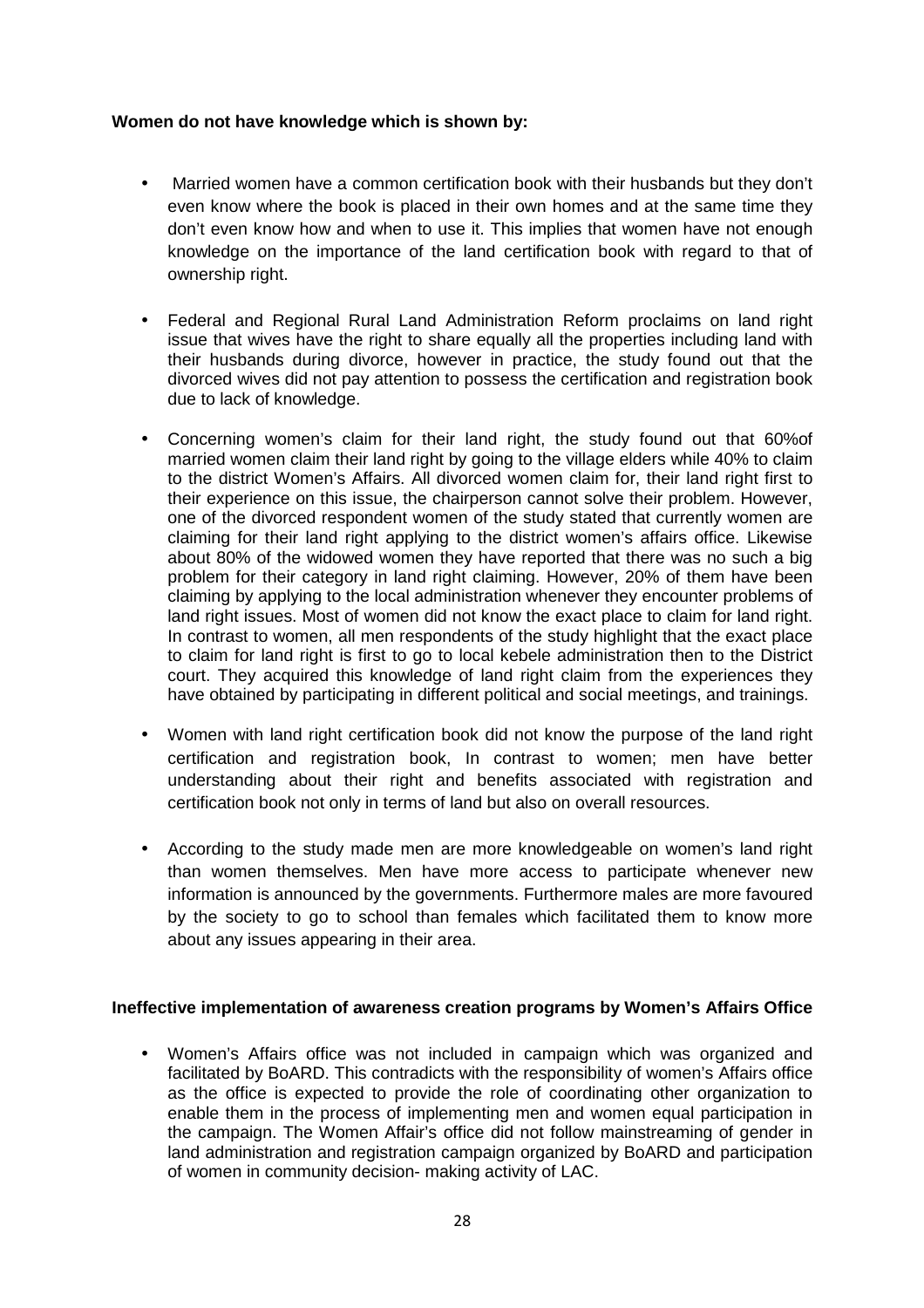#### **Women do not have knowledge which is shown by:**

- Married women have a common certification book with their husbands but they don't even know where the book is placed in their own homes and at the same time they don't even know how and when to use it. This implies that women have not enough knowledge on the importance of the land certification book with regard to that of ownership right.
- Federal and Regional Rural Land Administration Reform proclaims on land right issue that wives have the right to share equally all the properties including land with their husbands during divorce, however in practice, the study found out that the divorced wives did not pay attention to possess the certification and registration book due to lack of knowledge.
- Concerning women's claim for their land right, the study found out that 60%of married women claim their land right by going to the village elders while 40% to claim to the district Women's Affairs. All divorced women claim for, their land right first to their experience on this issue, the chairperson cannot solve their problem. However, one of the divorced respondent women of the study stated that currently women are claiming for their land right applying to the district women's affairs office. Likewise about 80% of the widowed women they have reported that there was no such a big problem for their category in land right claiming. However, 20% of them have been claiming by applying to the local administration whenever they encounter problems of land right issues. Most of women did not know the exact place to claim for land right. In contrast to women, all men respondents of the study highlight that the exact place to claim for land right is first to go to local kebele administration then to the District court. They acquired this knowledge of land right claim from the experiences they have obtained by participating in different political and social meetings, and trainings.
- Women with land right certification book did not know the purpose of the land right certification and registration book, In contrast to women; men have better understanding about their right and benefits associated with registration and certification book not only in terms of land but also on overall resources.
- According to the study made men are more knowledgeable on women's land right than women themselves. Men have more access to participate whenever new information is announced by the governments. Furthermore males are more favoured by the society to go to school than females which facilitated them to know more about any issues appearing in their area.

#### **Ineffective implementation of awareness creation programs by Women's Affairs Office**

• Women's Affairs office was not included in campaign which was organized and facilitated by BoARD. This contradicts with the responsibility of women's Affairs office as the office is expected to provide the role of coordinating other organization to enable them in the process of implementing men and women equal participation in the campaign. The Women Affair's office did not follow mainstreaming of gender in land administration and registration campaign organized by BoARD and participation of women in community decision- making activity of LAC.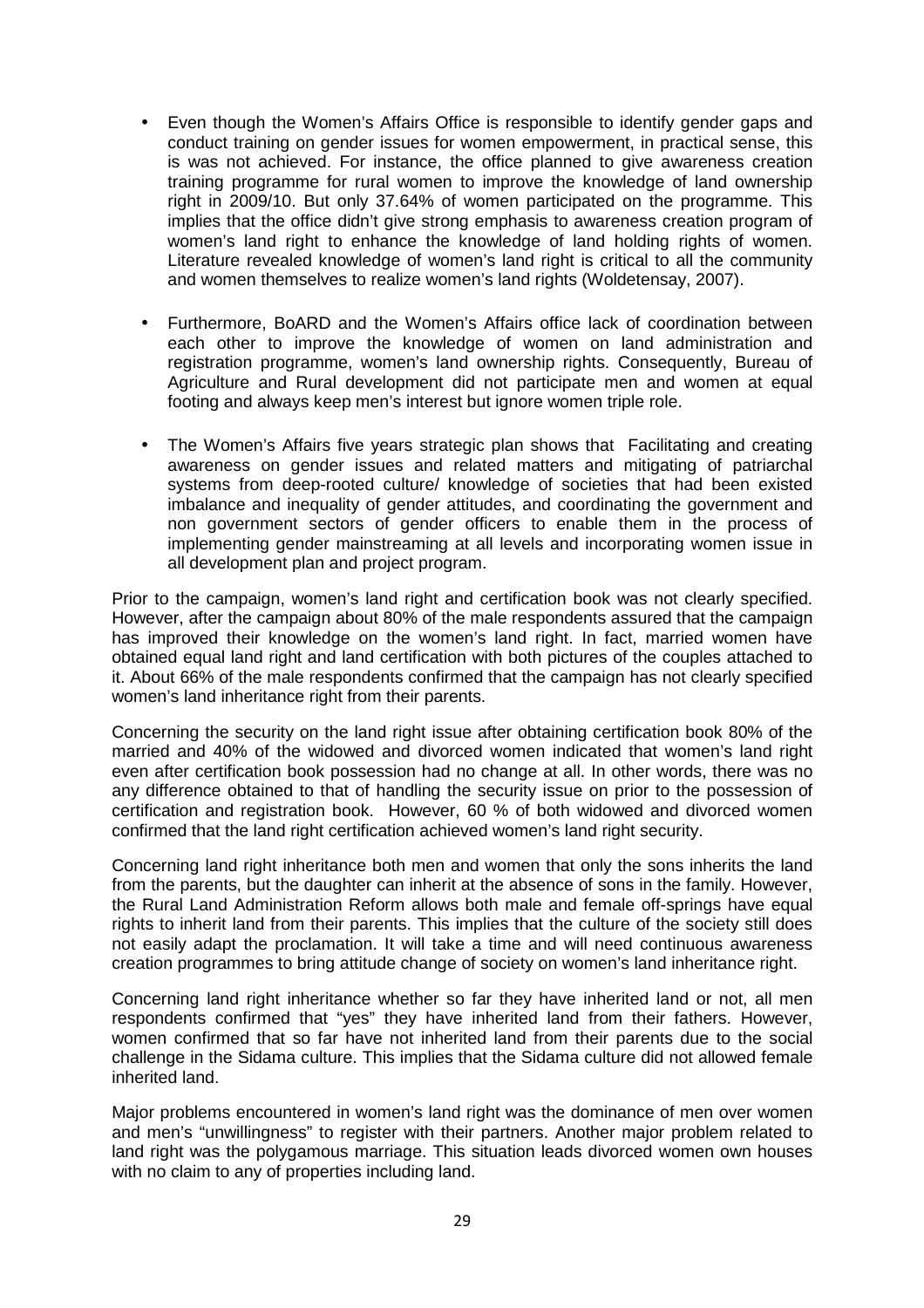- Even though the Women's Affairs Office is responsible to identify gender gaps and conduct training on gender issues for women empowerment, in practical sense, this is was not achieved. For instance, the office planned to give awareness creation training programme for rural women to improve the knowledge of land ownership right in 2009/10. But only 37.64% of women participated on the programme. This implies that the office didn't give strong emphasis to awareness creation program of women's land right to enhance the knowledge of land holding rights of women. Literature revealed knowledge of women's land right is critical to all the community and women themselves to realize women's land rights (Woldetensay, 2007).
- Furthermore, BoARD and the Women's Affairs office lack of coordination between each other to improve the knowledge of women on land administration and registration programme, women's land ownership rights. Consequently, Bureau of Agriculture and Rural development did not participate men and women at equal footing and always keep men's interest but ignore women triple role.
- The Women's Affairs five years strategic plan shows that Facilitating and creating awareness on gender issues and related matters and mitigating of patriarchal systems from deep-rooted culture/ knowledge of societies that had been existed imbalance and inequality of gender attitudes, and coordinating the government and non government sectors of gender officers to enable them in the process of implementing gender mainstreaming at all levels and incorporating women issue in all development plan and project program.

Prior to the campaign, women's land right and certification book was not clearly specified. However, after the campaign about 80% of the male respondents assured that the campaign has improved their knowledge on the women's land right. In fact, married women have obtained equal land right and land certification with both pictures of the couples attached to it. About 66% of the male respondents confirmed that the campaign has not clearly specified women's land inheritance right from their parents.

Concerning the security on the land right issue after obtaining certification book 80% of the married and 40% of the widowed and divorced women indicated that women's land right even after certification book possession had no change at all. In other words, there was no any difference obtained to that of handling the security issue on prior to the possession of certification and registration book. However, 60 % of both widowed and divorced women confirmed that the land right certification achieved women's land right security.

Concerning land right inheritance both men and women that only the sons inherits the land from the parents, but the daughter can inherit at the absence of sons in the family. However, the Rural Land Administration Reform allows both male and female off-springs have equal rights to inherit land from their parents. This implies that the culture of the society still does not easily adapt the proclamation. It will take a time and will need continuous awareness creation programmes to bring attitude change of society on women's land inheritance right.

Concerning land right inheritance whether so far they have inherited land or not, all men respondents confirmed that "yes" they have inherited land from their fathers. However, women confirmed that so far have not inherited land from their parents due to the social challenge in the Sidama culture. This implies that the Sidama culture did not allowed female inherited land.

Major problems encountered in women's land right was the dominance of men over women and men's "unwillingness" to register with their partners. Another major problem related to land right was the polygamous marriage. This situation leads divorced women own houses with no claim to any of properties including land.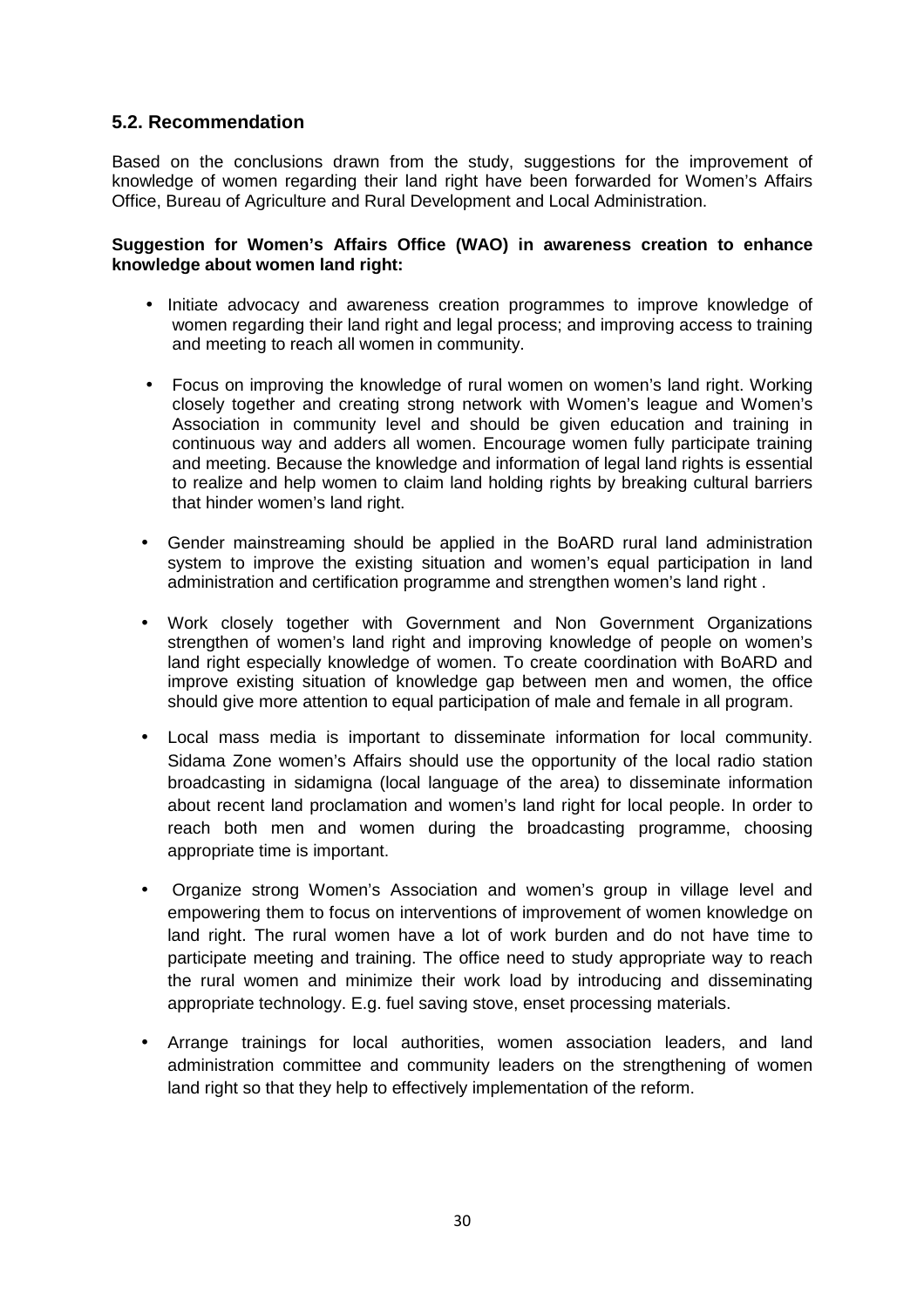## **5.2. Recommendation**

Based on the conclusions drawn from the study, suggestions for the improvement of knowledge of women regarding their land right have been forwarded for Women's Affairs Office, Bureau of Agriculture and Rural Development and Local Administration.

#### **Suggestion for Women's Affairs Office (WAO) in awareness creation to enhance knowledge about women land right:**

- Initiate advocacy and awareness creation programmes to improve knowledge of women regarding their land right and legal process; and improving access to training and meeting to reach all women in community.
- Focus on improving the knowledge of rural women on women's land right. Working closely together and creating strong network with Women's league and Women's Association in community level and should be given education and training in continuous way and adders all women. Encourage women fully participate training and meeting. Because the knowledge and information of legal land rights is essential to realize and help women to claim land holding rights by breaking cultural barriers that hinder women's land right.
- Gender mainstreaming should be applied in the BoARD rural land administration system to improve the existing situation and women's equal participation in land administration and certification programme and strengthen women's land right .
- Work closely together with Government and Non Government Organizations strengthen of women's land right and improving knowledge of people on women's land right especially knowledge of women. To create coordination with BoARD and improve existing situation of knowledge gap between men and women, the office should give more attention to equal participation of male and female in all program.
- Local mass media is important to disseminate information for local community. Sidama Zone women's Affairs should use the opportunity of the local radio station broadcasting in sidamigna (local language of the area) to disseminate information about recent land proclamation and women's land right for local people. In order to reach both men and women during the broadcasting programme, choosing appropriate time is important.
- Organize strong Women's Association and women's group in village level and empowering them to focus on interventions of improvement of women knowledge on land right. The rural women have a lot of work burden and do not have time to participate meeting and training. The office need to study appropriate way to reach the rural women and minimize their work load by introducing and disseminating appropriate technology. E.g. fuel saving stove, enset processing materials.
- Arrange trainings for local authorities, women association leaders, and land administration committee and community leaders on the strengthening of women land right so that they help to effectively implementation of the reform.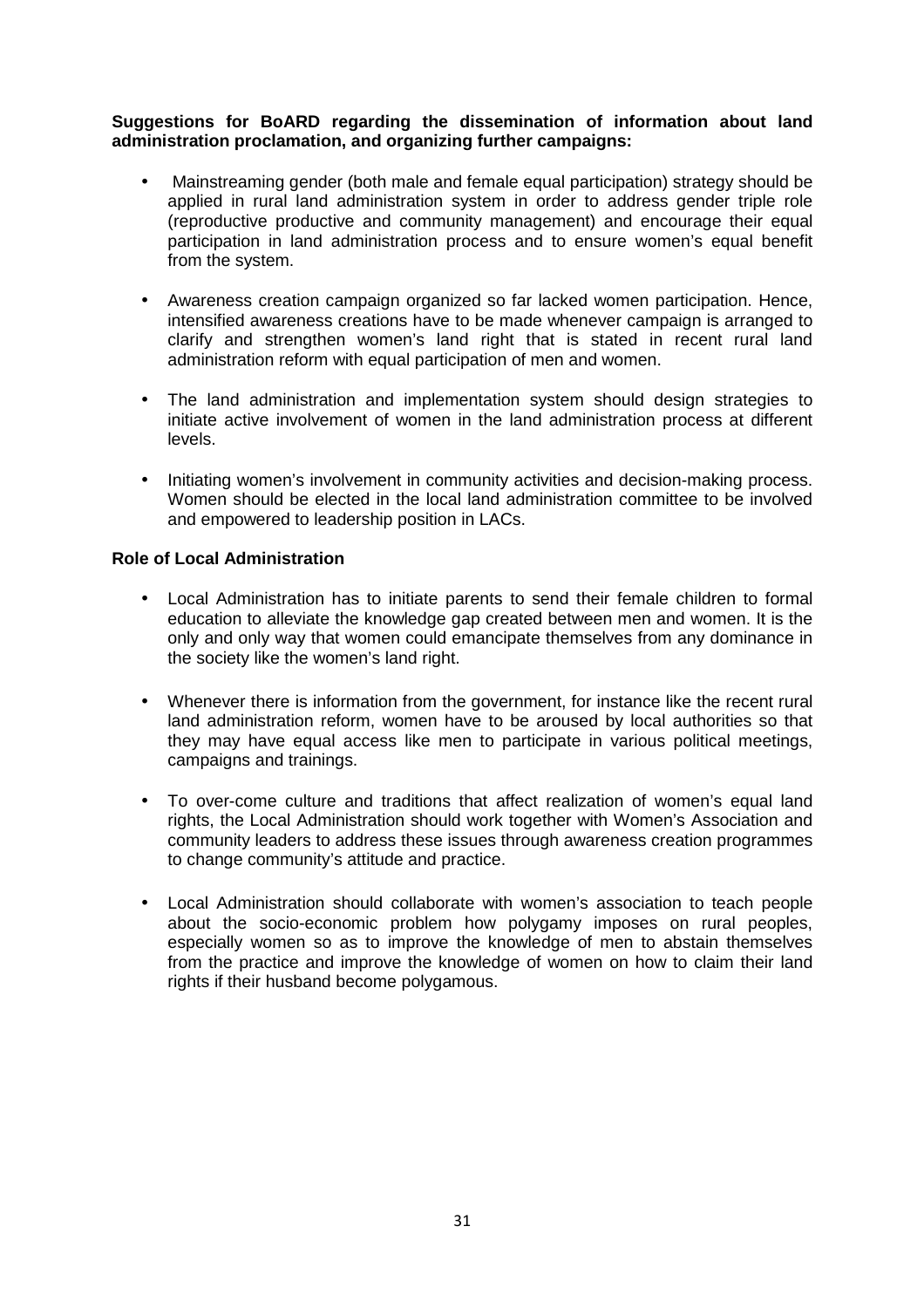#### **Suggestions for BoARD regarding the dissemination of information about land administration proclamation, and organizing further campaigns:**

- Mainstreaming gender (both male and female equal participation) strategy should be applied in rural land administration system in order to address gender triple role (reproductive productive and community management) and encourage their equal participation in land administration process and to ensure women's equal benefit from the system.
- Awareness creation campaign organized so far lacked women participation. Hence, intensified awareness creations have to be made whenever campaign is arranged to clarify and strengthen women's land right that is stated in recent rural land administration reform with equal participation of men and women.
- The land administration and implementation system should design strategies to initiate active involvement of women in the land administration process at different levels.
- Initiating women's involvement in community activities and decision-making process. Women should be elected in the local land administration committee to be involved and empowered to leadership position in LACs.

#### **Role of Local Administration**

- Local Administration has to initiate parents to send their female children to formal education to alleviate the knowledge gap created between men and women. It is the only and only way that women could emancipate themselves from any dominance in the society like the women's land right.
- Whenever there is information from the government, for instance like the recent rural land administration reform, women have to be aroused by local authorities so that they may have equal access like men to participate in various political meetings, campaigns and trainings.
- To over-come culture and traditions that affect realization of women's equal land rights, the Local Administration should work together with Women's Association and community leaders to address these issues through awareness creation programmes to change community's attitude and practice.
- Local Administration should collaborate with women's association to teach people about the socio-economic problem how polygamy imposes on rural peoples, especially women so as to improve the knowledge of men to abstain themselves from the practice and improve the knowledge of women on how to claim their land rights if their husband become polygamous.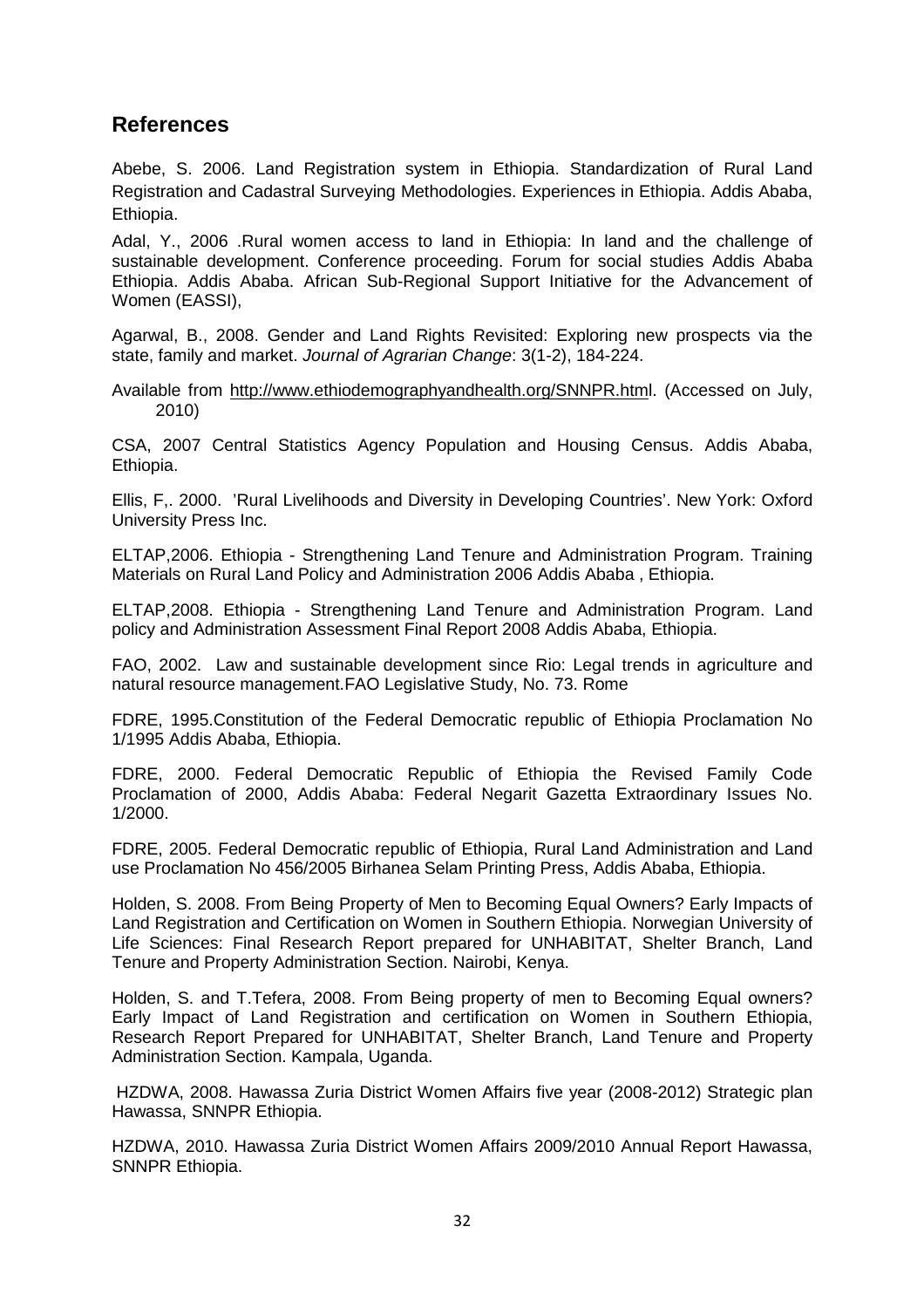## **References**

Abebe, S. 2006. Land Registration system in Ethiopia. Standardization of Rural Land Registration and Cadastral Surveying Methodologies. Experiences in Ethiopia. Addis Ababa, Ethiopia.

Adal, Y., 2006 .Rural women access to land in Ethiopia: In land and the challenge of sustainable development. Conference proceeding. Forum for social studies Addis Ababa Ethiopia. Addis Ababa. African Sub-Regional Support Initiative for the Advancement of Women (EASSI),

Agarwal, B., 2008. Gender and Land Rights Revisited: Exploring new prospects via the state, family and market. Journal of Agrarian Change: 3(1-2), 184-224.

Available from http://www.ethiodemographyandhealth.org/SNNPR.html. (Accessed on July, 2010)

CSA, 2007 Central Statistics Agency Population and Housing Census. Addis Ababa, Ethiopia.

Ellis, F,. 2000. 'Rural Livelihoods and Diversity in Developing Countries'. New York: Oxford University Press Inc.

ELTAP,2006. Ethiopia - Strengthening Land Tenure and Administration Program. Training Materials on Rural Land Policy and Administration 2006 Addis Ababa , Ethiopia.

ELTAP,2008. Ethiopia - Strengthening Land Tenure and Administration Program. Land policy and Administration Assessment Final Report 2008 Addis Ababa, Ethiopia.

FAO, 2002. Law and sustainable development since Rio: Legal trends in agriculture and natural resource management.FAO Legislative Study, No. 73. Rome

FDRE, 1995.Constitution of the Federal Democratic republic of Ethiopia Proclamation No 1/1995 Addis Ababa, Ethiopia.

FDRE, 2000. Federal Democratic Republic of Ethiopia the Revised Family Code Proclamation of 2000, Addis Ababa: Federal Negarit Gazetta Extraordinary Issues No. 1/2000.

FDRE, 2005. Federal Democratic republic of Ethiopia, Rural Land Administration and Land use Proclamation No 456/2005 Birhanea Selam Printing Press, Addis Ababa, Ethiopia.

Holden, S. 2008. From Being Property of Men to Becoming Equal Owners? Early Impacts of Land Registration and Certification on Women in Southern Ethiopia. Norwegian University of Life Sciences: Final Research Report prepared for UNHABITAT, Shelter Branch, Land Tenure and Property Administration Section. Nairobi, Kenya.

Holden, S. and T.Tefera, 2008. From Being property of men to Becoming Equal owners? Early Impact of Land Registration and certification on Women in Southern Ethiopia, Research Report Prepared for UNHABITAT, Shelter Branch, Land Tenure and Property Administration Section. Kampala, Uganda.

 HZDWA, 2008. Hawassa Zuria District Women Affairs five year (2008-2012) Strategic plan Hawassa, SNNPR Ethiopia.

HZDWA, 2010. Hawassa Zuria District Women Affairs 2009/2010 Annual Report Hawassa, SNNPR Ethiopia.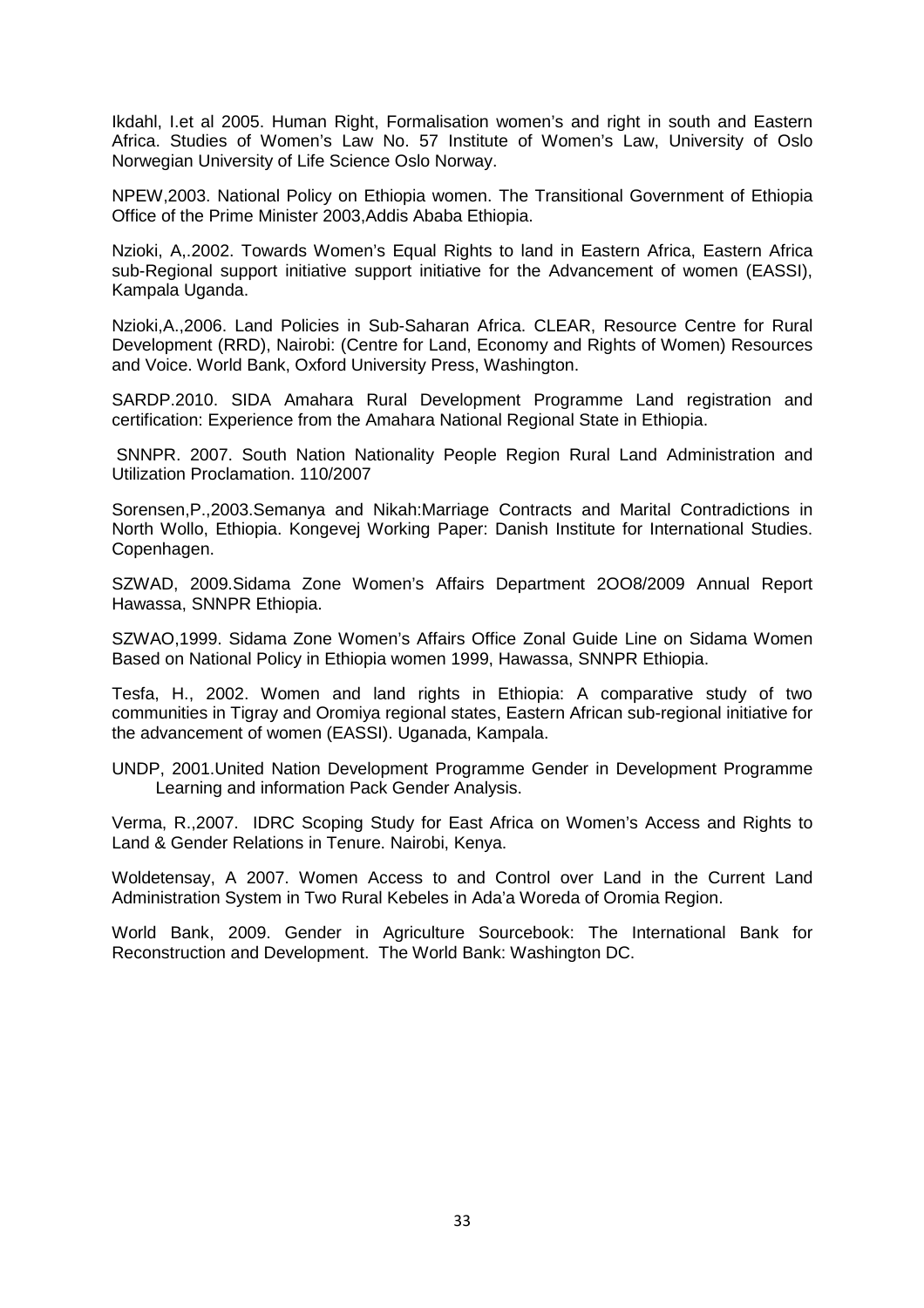Ikdahl, I.et al 2005. Human Right, Formalisation women's and right in south and Eastern Africa. Studies of Women's Law No. 57 Institute of Women's Law, University of Oslo Norwegian University of Life Science Oslo Norway.

NPEW,2003. National Policy on Ethiopia women. The Transitional Government of Ethiopia Office of the Prime Minister 2003,Addis Ababa Ethiopia.

Nzioki, A,.2002. Towards Women's Equal Rights to land in Eastern Africa, Eastern Africa sub-Regional support initiative support initiative for the Advancement of women (EASSI), Kampala Uganda.

Nzioki,A.,2006. Land Policies in Sub-Saharan Africa. CLEAR, Resource Centre for Rural Development (RRD), Nairobi: (Centre for Land, Economy and Rights of Women) Resources and Voice. World Bank, Oxford University Press, Washington.

SARDP.2010. SIDA Amahara Rural Development Programme Land registration and certification: Experience from the Amahara National Regional State in Ethiopia.

 SNNPR. 2007. South Nation Nationality People Region Rural Land Administration and Utilization Proclamation. 110/2007

Sorensen,P.,2003.Semanya and Nikah:Marriage Contracts and Marital Contradictions in North Wollo, Ethiopia. Kongevej Working Paper: Danish Institute for International Studies. Copenhagen.

SZWAD, 2009.Sidama Zone Women's Affairs Department 2OO8/2009 Annual Report Hawassa, SNNPR Ethiopia.

SZWAO,1999. Sidama Zone Women's Affairs Office Zonal Guide Line on Sidama Women Based on National Policy in Ethiopia women 1999, Hawassa, SNNPR Ethiopia.

Tesfa, H., 2002. Women and land rights in Ethiopia: A comparative study of two communities in Tigray and Oromiya regional states, Eastern African sub-regional initiative for the advancement of women (EASSI). Uganada, Kampala.

UNDP, 2001.United Nation Development Programme Gender in Development Programme Learning and information Pack Gender Analysis.

Verma, R.,2007. IDRC Scoping Study for East Africa on Women's Access and Rights to Land & Gender Relations in Tenure. Nairobi, Kenya.

Woldetensay, A 2007. Women Access to and Control over Land in the Current Land Administration System in Two Rural Kebeles in Ada'a Woreda of Oromia Region.

World Bank, 2009. Gender in Agriculture Sourcebook: The International Bank for Reconstruction and Development. The World Bank: Washington DC.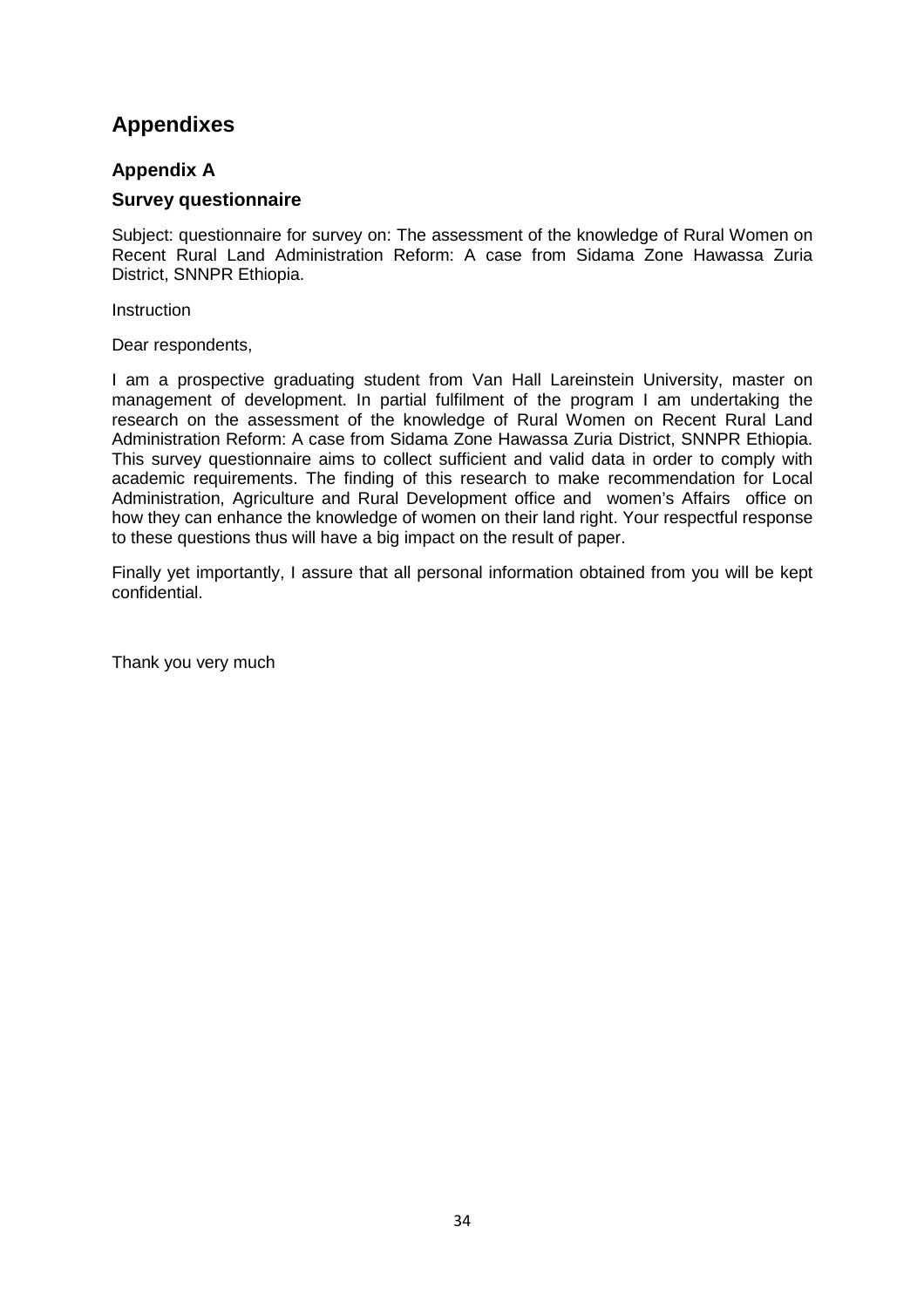## **Appendixes**

## **Appendix A**

## **Survey questionnaire**

Subject: questionnaire for survey on: The assessment of the knowledge of Rural Women on Recent Rural Land Administration Reform: A case from Sidama Zone Hawassa Zuria District, SNNPR Ethiopia.

**Instruction** 

Dear respondents,

I am a prospective graduating student from Van Hall Lareinstein University, master on management of development. In partial fulfilment of the program I am undertaking the research on the assessment of the knowledge of Rural Women on Recent Rural Land Administration Reform: A case from Sidama Zone Hawassa Zuria District, SNNPR Ethiopia. This survey questionnaire aims to collect sufficient and valid data in order to comply with academic requirements. The finding of this research to make recommendation for Local Administration, Agriculture and Rural Development office and women's Affairs office on how they can enhance the knowledge of women on their land right. Your respectful response to these questions thus will have a big impact on the result of paper.

Finally yet importantly, I assure that all personal information obtained from you will be kept confidential.

Thank you very much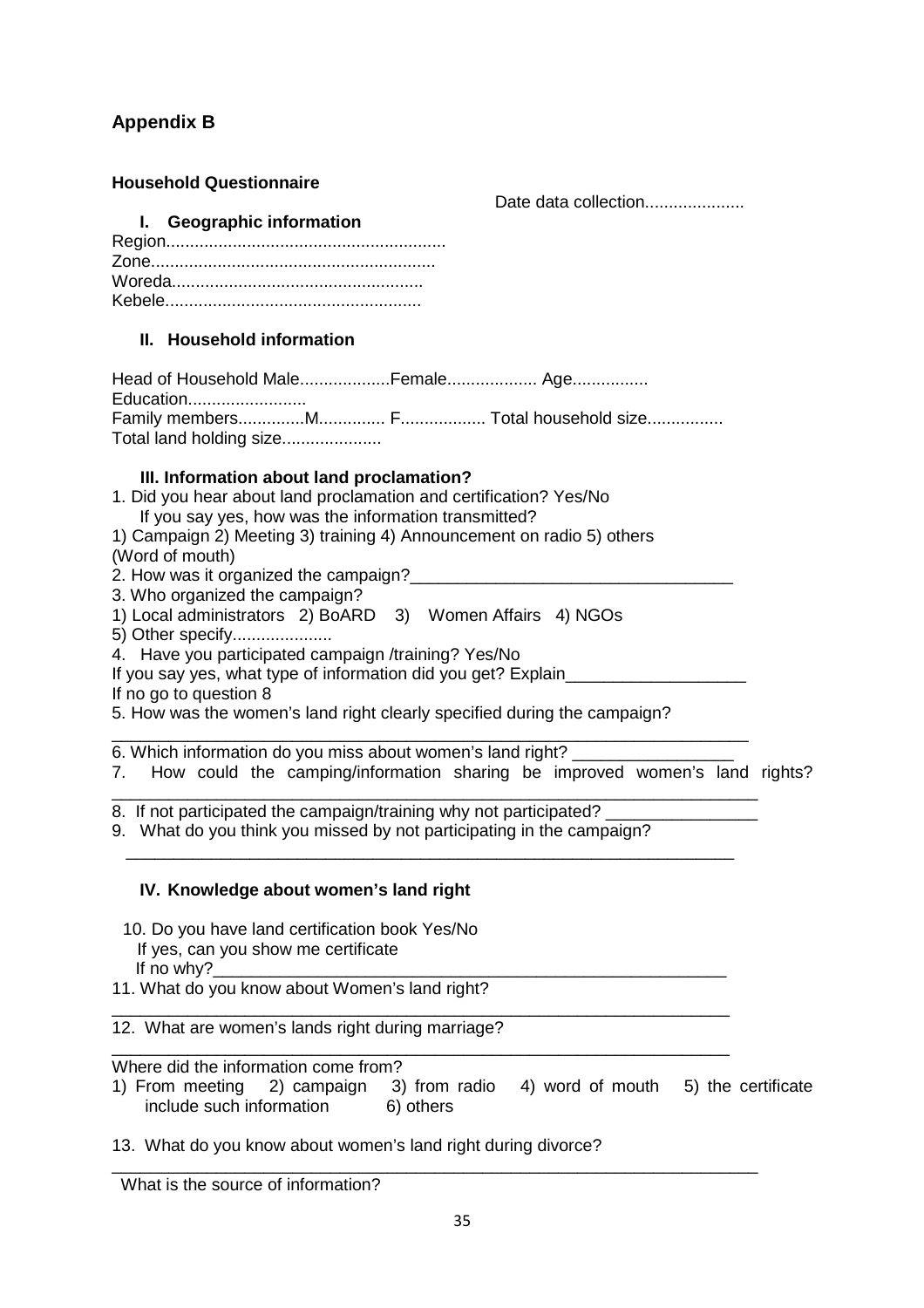## **Appendix B**

#### **Household Questionnaire**

Date data collection.....................

#### **I. Geographic information**

#### **II. Household information**

| Education               |  |  |
|-------------------------|--|--|
|                         |  |  |
| Total land holding size |  |  |

## **III. Information about land proclamation?**

- 1. Did you hear about land proclamation and certification? Yes/No If you say yes, how was the information transmitted?
- 1) Campaign 2) Meeting 3) training 4) Announcement on radio 5) others (Word of mouth)
- 2. How was it organized the campaign?
- 3. Who organized the campaign?
- 1) Local administrators 2) BoARD 3) Women Affairs 4) NGOs
- 5) Other specify.....................
- 4. Have you participated campaign /training? Yes/No
- If you say yes, what type of information did you get? Explain
- If no go to question 8
- 5. How was the women's land right clearly specified during the campaign?

\_\_\_\_\_\_\_\_\_\_\_\_\_\_\_\_\_\_\_\_\_\_\_\_\_\_\_\_\_\_\_\_\_\_\_\_\_\_\_\_\_\_\_\_\_\_\_\_\_\_\_\_\_\_\_\_\_\_\_\_\_\_\_\_\_\_\_ 6. Which information do you miss about women's land right?

- 7. How could the camping/information sharing be improved women's land rights?
- \_\_\_\_\_\_\_\_\_\_\_\_\_\_\_\_\_\_\_\_\_\_\_\_\_\_\_\_\_\_\_\_\_\_\_\_\_\_\_\_\_\_\_\_\_\_\_\_\_\_\_\_\_\_\_\_\_\_\_\_\_\_\_\_\_\_\_\_ 8. If not participated the campaign/training why not participated?
- 9. What do you think you missed by not participating in the campaign?

\_\_\_\_\_\_\_\_\_\_\_\_\_\_\_\_\_\_\_\_\_\_\_\_\_\_\_\_\_\_\_\_\_\_\_\_\_\_\_\_\_\_\_\_\_\_\_\_\_\_\_\_\_\_\_\_\_\_\_\_\_\_\_\_

## **IV. Knowledge about women's land right**

- 10. Do you have land certification book Yes/No If yes, can you show me certificate If no why? $\overline{\phantom{a}}$
- 11. What do you know about Women's land right?

\_\_\_\_\_\_\_\_\_\_\_\_\_\_\_\_\_\_\_\_\_\_\_\_\_\_\_\_\_\_\_\_\_\_\_\_\_\_\_\_\_\_\_\_\_\_\_\_\_\_\_\_\_\_\_\_\_\_\_\_\_\_\_\_\_ 12. What are women's lands right during marriage?

\_\_\_\_\_\_\_\_\_\_\_\_\_\_\_\_\_\_\_\_\_\_\_\_\_\_\_\_\_\_\_\_\_\_\_\_\_\_\_\_\_\_\_\_\_\_\_\_\_\_\_\_\_\_\_\_\_\_\_\_\_\_\_\_\_ Where did the information come from?

1) From meeting 2) campaign 3) from radio 4) word of mouth 5) the certificate include such information 6) others

13. What do you know about women's land right during divorce?

What is the source of information?

\_\_\_\_\_\_\_\_\_\_\_\_\_\_\_\_\_\_\_\_\_\_\_\_\_\_\_\_\_\_\_\_\_\_\_\_\_\_\_\_\_\_\_\_\_\_\_\_\_\_\_\_\_\_\_\_\_\_\_\_\_\_\_\_\_\_\_\_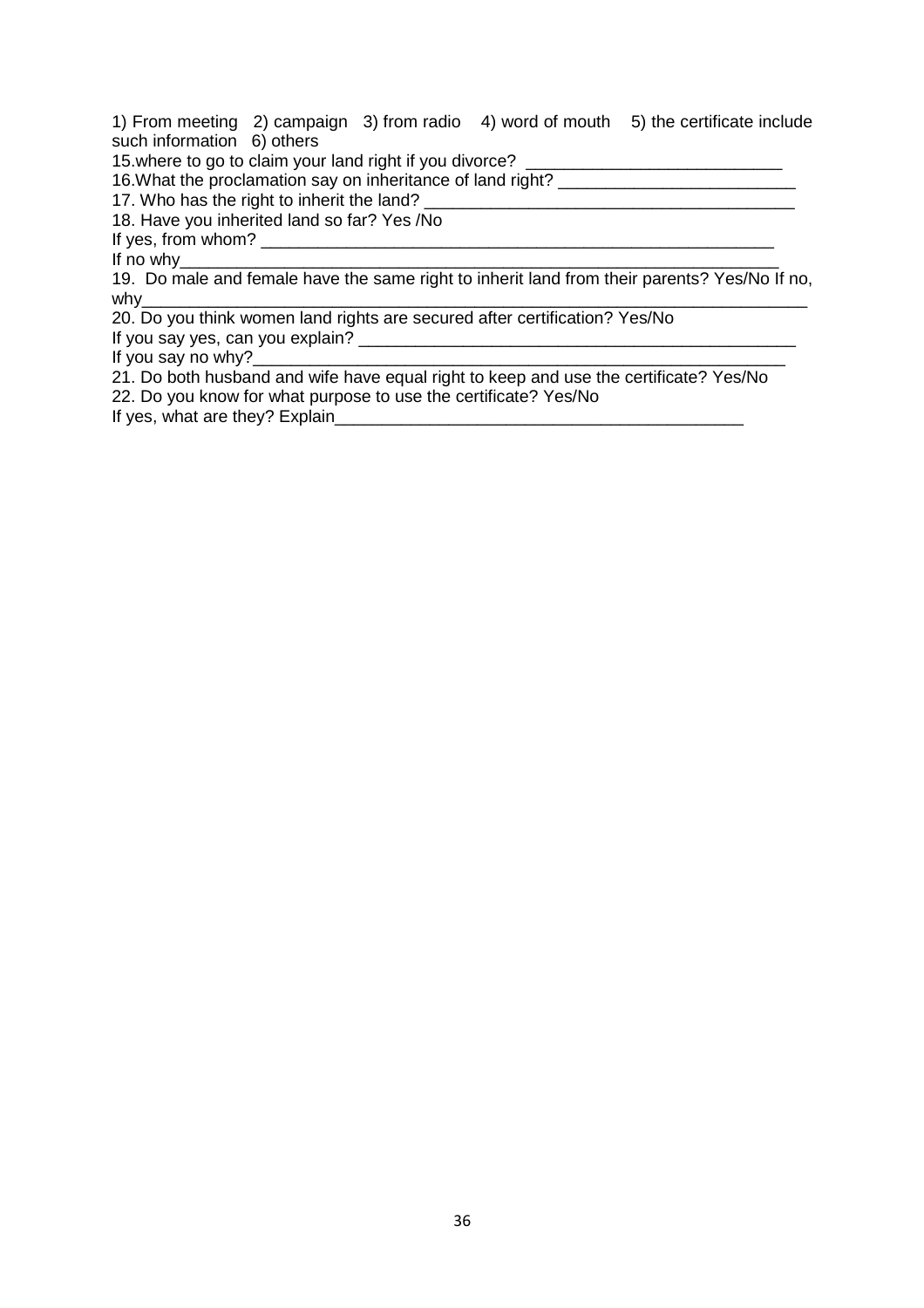1) From meeting 2) campaign 3) from radio 4) word of mouth 5) the certificate include such information 6) others

15. where to go to claim your land right if you divorce?

16. What the proclamation say on inheritance of land right?

17. Who has the right to inherit the land? \_\_\_\_\_\_\_\_\_\_\_\_\_\_\_\_\_\_\_\_\_\_\_\_\_\_\_\_\_\_\_\_\_\_\_\_\_\_\_

18. Have you inherited land so far? Yes /No

If yes, from whom? \_\_\_\_\_\_\_\_\_\_\_\_\_\_\_\_\_\_\_\_\_\_\_\_\_\_\_\_\_\_\_\_\_\_\_\_\_\_\_\_\_\_\_\_\_\_\_\_\_\_\_\_\_\_

If no why\_\_\_\_\_\_\_\_\_\_\_\_\_\_\_\_\_\_\_\_\_\_\_\_\_\_\_\_\_\_\_\_\_\_\_\_\_\_\_\_\_\_\_\_\_\_\_\_\_\_\_\_\_\_\_\_\_\_\_\_\_\_\_

19. Do male and female have the same right to inherit land from their parents? Yes/No If no, why\_\_\_\_\_\_\_\_\_\_\_\_\_\_\_\_\_\_\_\_\_\_\_\_\_\_\_\_\_\_\_\_\_\_\_\_\_\_\_\_\_\_\_\_\_\_\_\_\_\_\_\_\_\_\_\_\_\_\_\_\_\_\_\_\_\_\_\_\_\_

20. Do you think women land rights are secured after certification? Yes/No If you say yes, can you explain? \_\_\_\_\_\_\_\_\_\_\_\_\_\_\_\_\_\_\_\_\_\_\_\_\_\_\_\_\_\_\_\_\_\_\_\_\_\_\_\_\_\_\_\_\_\_

If you say no why?

21. Do both husband and wife have equal right to keep and use the certificate? Yes/No 22. Do you know for what purpose to use the certificate? Yes/No

If yes, what are they? Explain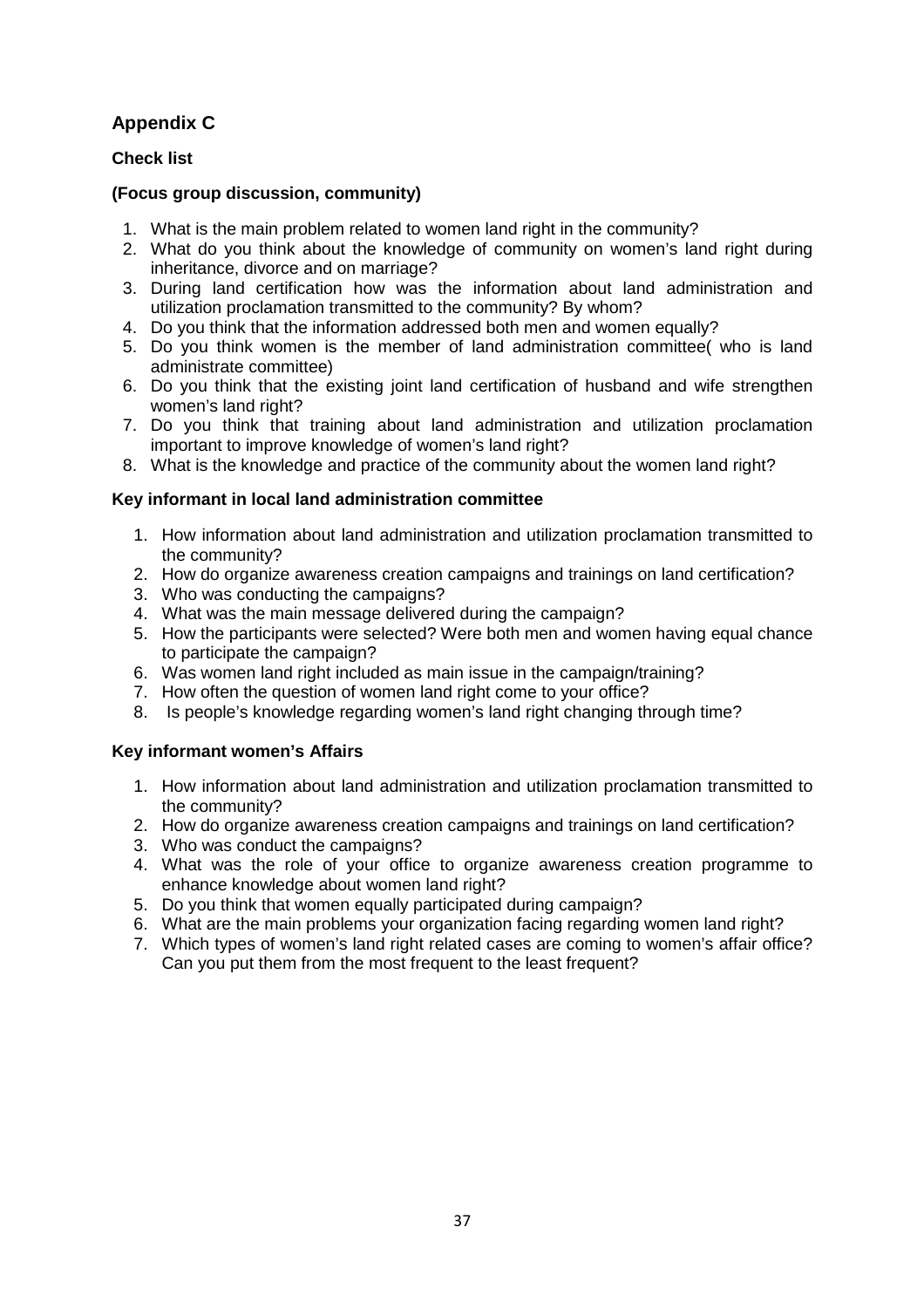## **Appendix C**

## **Check list**

## **(Focus group discussion, community)**

- 1. What is the main problem related to women land right in the community?
- 2. What do you think about the knowledge of community on women's land right during inheritance, divorce and on marriage?
- 3. During land certification how was the information about land administration and utilization proclamation transmitted to the community? By whom?
- 4. Do you think that the information addressed both men and women equally?
- 5. Do you think women is the member of land administration committee( who is land administrate committee)
- 6. Do you think that the existing joint land certification of husband and wife strengthen women's land right?
- 7. Do you think that training about land administration and utilization proclamation important to improve knowledge of women's land right?
- 8. What is the knowledge and practice of the community about the women land right?

#### **Key informant in local land administration committee**

- 1. How information about land administration and utilization proclamation transmitted to the community?
- 2. How do organize awareness creation campaigns and trainings on land certification?
- 3. Who was conducting the campaigns?
- 4. What was the main message delivered during the campaign?
- 5. How the participants were selected? Were both men and women having equal chance to participate the campaign?
- 6. Was women land right included as main issue in the campaign/training?
- 7. How often the question of women land right come to your office?
- 8. Is people's knowledge regarding women's land right changing through time?

## **Key informant women's Affairs**

- 1. How information about land administration and utilization proclamation transmitted to the community?
- 2. How do organize awareness creation campaigns and trainings on land certification?
- 3. Who was conduct the campaigns?
- 4. What was the role of your office to organize awareness creation programme to enhance knowledge about women land right?
- 5. Do you think that women equally participated during campaign?
- 6. What are the main problems your organization facing regarding women land right?
- 7. Which types of women's land right related cases are coming to women's affair office? Can you put them from the most frequent to the least frequent?